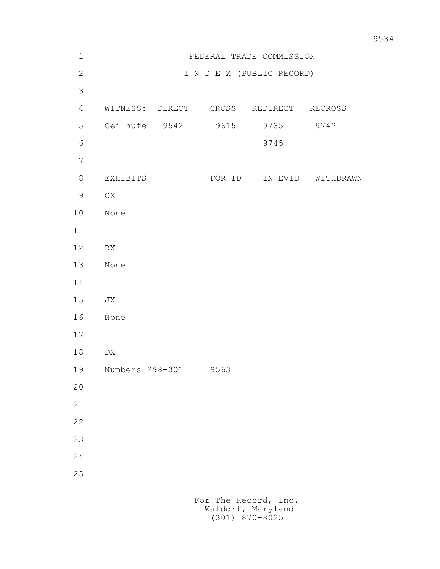| $\mathbf 1$    | FEDERAL TRADE COMMISSION |  |        |                                        |           |
|----------------|--------------------------|--|--------|----------------------------------------|-----------|
| $\mathbf{2}$   |                          |  |        | I N D E X (PUBLIC RECORD)              |           |
| $\mathfrak{Z}$ |                          |  |        |                                        |           |
| $\overline{4}$ |                          |  |        | WITNESS: DIRECT CROSS REDIRECT RECROSS |           |
| 5              | Geilhufe 9542            |  | 9615   | 9735                                   | 9742      |
| $\sqrt{6}$     |                          |  |        | 9745                                   |           |
| $\overline{7}$ |                          |  |        |                                        |           |
| $8\,$          | EXHIBITS                 |  | FOR ID | IN EVID                                | WITHDRAWN |
| $\mathsf 9$    | ${\rm CX}$               |  |        |                                        |           |
| $10$           | None                     |  |        |                                        |           |
| 11             |                          |  |        |                                        |           |
| 12             | RX                       |  |        |                                        |           |
| 13             | None                     |  |        |                                        |           |
| 14             |                          |  |        |                                        |           |
| 15             | JX                       |  |        |                                        |           |
| 16             | None                     |  |        |                                        |           |
| 17             |                          |  |        |                                        |           |
| $18\,$         | ${\rm D}{\rm X}$         |  |        |                                        |           |
| 19             | Numbers 298-301          |  | 9563   |                                        |           |
| 20             |                          |  |        |                                        |           |
| 21             |                          |  |        |                                        |           |
| 22             |                          |  |        |                                        |           |
| 23             |                          |  |        |                                        |           |
| 24             |                          |  |        |                                        |           |
| 25             |                          |  |        |                                        |           |
|                |                          |  |        | For The Record, Inc.                   |           |

Waldorf, Maryland (301) 870-8025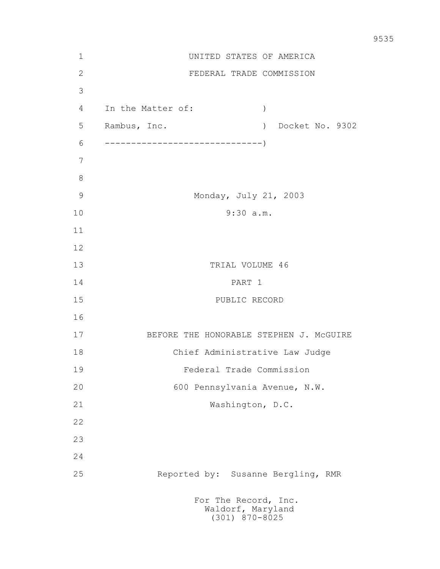| $\mathbf 1$   | UNITED STATES OF AMERICA                                    |  |  |  |  |
|---------------|-------------------------------------------------------------|--|--|--|--|
| $\mathbf{2}$  | FEDERAL TRADE COMMISSION                                    |  |  |  |  |
| 3             |                                                             |  |  |  |  |
| 4             | In the Matter of:<br>$\mathcal{C}$                          |  |  |  |  |
| 5             | ) Docket No. 9302<br>Rambus, Inc.                           |  |  |  |  |
| 6             |                                                             |  |  |  |  |
| 7             |                                                             |  |  |  |  |
| $8\,$         |                                                             |  |  |  |  |
| $\mathcal{G}$ | Monday, July 21, 2003                                       |  |  |  |  |
| 10            | 9:30 a.m.                                                   |  |  |  |  |
| 11            |                                                             |  |  |  |  |
| 12            |                                                             |  |  |  |  |
| 13            | TRIAL VOLUME 46                                             |  |  |  |  |
| 14            | PART 1                                                      |  |  |  |  |
| 15            | PUBLIC RECORD                                               |  |  |  |  |
| 16            |                                                             |  |  |  |  |
| 17            | BEFORE THE HONORABLE STEPHEN J. MCGUIRE                     |  |  |  |  |
| 18            | Chief Administrative Law Judge                              |  |  |  |  |
| 19            | Federal Trade Commission                                    |  |  |  |  |
| 20            | 600 Pennsylvania Avenue, N.W.                               |  |  |  |  |
| 21            | Washington, D.C.                                            |  |  |  |  |
| 22            |                                                             |  |  |  |  |
| 23            |                                                             |  |  |  |  |
| 24            |                                                             |  |  |  |  |
| 25            | Reported by: Susanne Bergling, RMR                          |  |  |  |  |
|               | For The Record, Inc.<br>Waldorf, Maryland<br>(301) 870-8025 |  |  |  |  |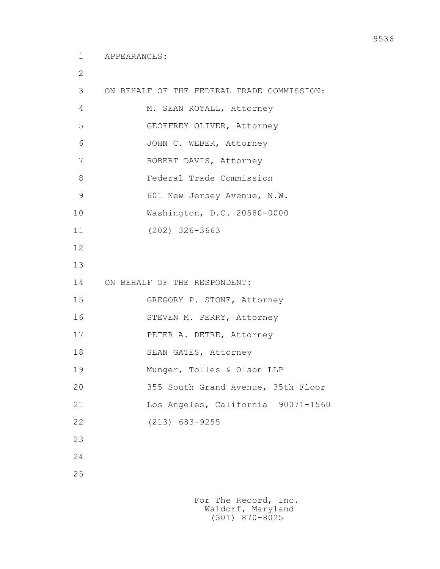2

```
 3 ON BEHALF OF THE FEDERAL TRADE COMMISSION: 
4 M. SEAN ROYALL, Attorney
 5 GEOFFREY OLIVER, Attorney
 6 JOHN C. WEBER, Attorney
 7 ROBERT DAVIS, Attorney
 8 Federal Trade Commission
9 601 New Jersey Avenue, N.W.
 10 Washington, D.C. 20580-0000
 11 (202) 326-3663
 12
 13
 14 ON BEHALF OF THE RESPONDENT:
 15 GREGORY P. STONE, Attorney
 16 STEVEN M. PERRY, Attorney
 17 PETER A. DETRE, Attorney
18 SEAN GATES, Attorney
 19 Munger, Tolles & Olson LLP
 20 355 South Grand Avenue, 35th Floor
 21 Los Angeles, California 90071-1560
 22 (213) 683-9255
 23
 24
 25
```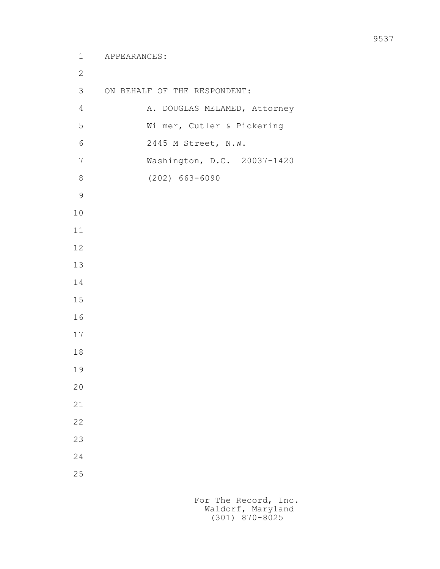```
 1 APPEARANCES:
 2
         3 ON BEHALF OF THE RESPONDENT:
        4 A. DOUGLAS MELAMED, Attorney
         5 Wilmer, Cutler & Pickering
         6 2445 M Street, N.W.
         7 Washington, D.C. 20037-1420
         8 (202) 663-6090
 9
        10
        11
        12
        13
        14
        15
        16
        17
        18
        19
        20
        21
        22
        23
        24
        25
```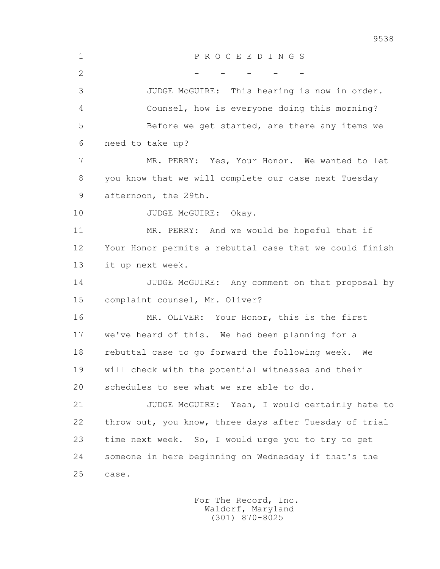1 P R O C E E D I N G S  $2$  - - - - - 3 JUDGE McGUIRE: This hearing is now in order. 4 Counsel, how is everyone doing this morning? 5 Before we get started, are there any items we 6 need to take up? 7 MR. PERRY: Yes, Your Honor. We wanted to let 8 you know that we will complete our case next Tuesday 9 afternoon, the 29th. 10 JUDGE McGUIRE: Okay. 11 MR. PERRY: And we would be hopeful that if 12 Your Honor permits a rebuttal case that we could finish 13 it up next week. 14 JUDGE McGUIRE: Any comment on that proposal by 15 complaint counsel, Mr. Oliver? 16 MR. OLIVER: Your Honor, this is the first 17 we've heard of this. We had been planning for a 18 rebuttal case to go forward the following week. We 19 will check with the potential witnesses and their 20 schedules to see what we are able to do. 21 JUDGE McGUIRE: Yeah, I would certainly hate to 22 throw out, you know, three days after Tuesday of trial 23 time next week. So, I would urge you to try to get 24 someone in here beginning on Wednesday if that's the 25 case.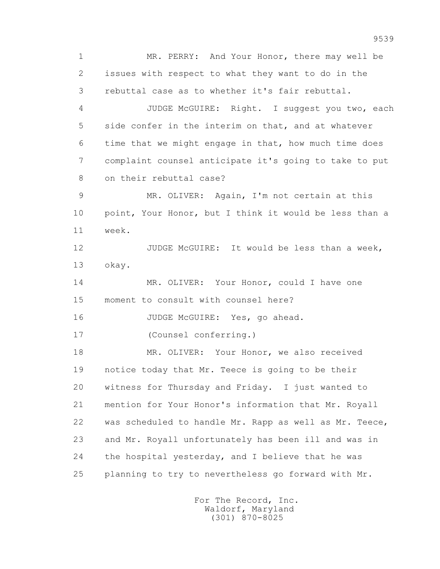1 MR. PERRY: And Your Honor, there may well be 2 issues with respect to what they want to do in the 3 rebuttal case as to whether it's fair rebuttal. 4 JUDGE McGUIRE: Right. I suggest you two, each 5 side confer in the interim on that, and at whatever 6 time that we might engage in that, how much time does 7 complaint counsel anticipate it's going to take to put 8 on their rebuttal case? 9 MR. OLIVER: Again, I'm not certain at this 10 point, Your Honor, but I think it would be less than a 11 week. 12 JUDGE McGUIRE: It would be less than a week, 13 okay. 14 MR. OLIVER: Your Honor, could I have one 15 moment to consult with counsel here? 16 JUDGE McGUIRE: Yes, go ahead. 17 (Counsel conferring.) 18 MR. OLIVER: Your Honor, we also received 19 notice today that Mr. Teece is going to be their 20 witness for Thursday and Friday. I just wanted to 21 mention for Your Honor's information that Mr. Royall 22 was scheduled to handle Mr. Rapp as well as Mr. Teece, 23 and Mr. Royall unfortunately has been ill and was in 24 the hospital yesterday, and I believe that he was 25 planning to try to nevertheless go forward with Mr.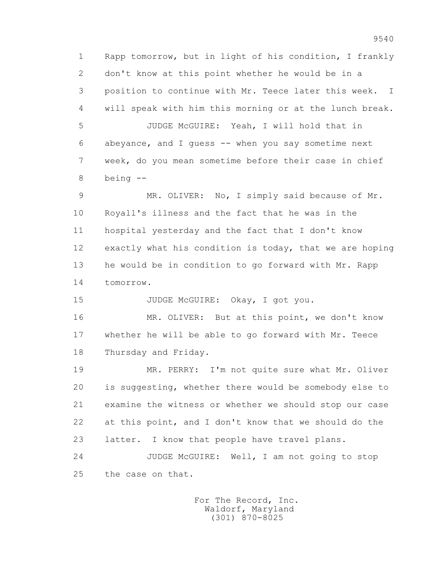1 Rapp tomorrow, but in light of his condition, I frankly 2 don't know at this point whether he would be in a 3 position to continue with Mr. Teece later this week. I 4 will speak with him this morning or at the lunch break. 5 JUDGE McGUIRE: Yeah, I will hold that in 6 abeyance, and I guess -- when you say sometime next 7 week, do you mean sometime before their case in chief 8 being --

 9 MR. OLIVER: No, I simply said because of Mr. 10 Royall's illness and the fact that he was in the 11 hospital yesterday and the fact that I don't know 12 exactly what his condition is today, that we are hoping 13 he would be in condition to go forward with Mr. Rapp 14 tomorrow.

15 JUDGE McGUIRE: Okay, I got you.

 16 MR. OLIVER: But at this point, we don't know 17 whether he will be able to go forward with Mr. Teece 18 Thursday and Friday.

 19 MR. PERRY: I'm not quite sure what Mr. Oliver 20 is suggesting, whether there would be somebody else to 21 examine the witness or whether we should stop our case 22 at this point, and I don't know that we should do the 23 latter. I know that people have travel plans. 24 JUDGE McGUIRE: Well, I am not going to stop 25 the case on that.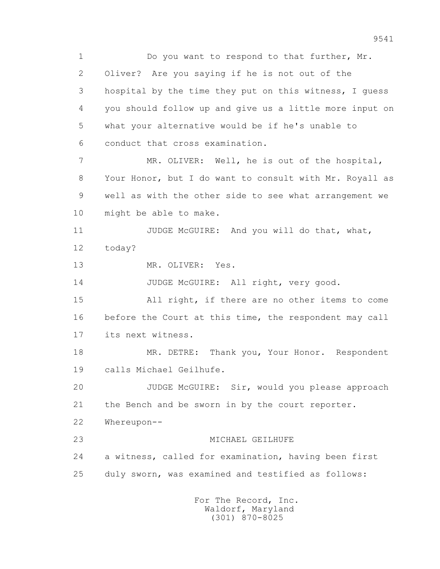1 Do you want to respond to that further, Mr. 2 Oliver? Are you saying if he is not out of the 3 hospital by the time they put on this witness, I guess 4 you should follow up and give us a little more input on 5 what your alternative would be if he's unable to 6 conduct that cross examination. 7 MR. OLIVER: Well, he is out of the hospital, 8 Your Honor, but I do want to consult with Mr. Royall as 9 well as with the other side to see what arrangement we 10 might be able to make. 11 JUDGE McGUIRE: And you will do that, what, 12 today? 13 MR. OLIVER: Yes. 14 JUDGE McGUIRE: All right, very good. 15 All right, if there are no other items to come 16 before the Court at this time, the respondent may call 17 its next witness. 18 MR. DETRE: Thank you, Your Honor. Respondent 19 calls Michael Geilhufe. 20 JUDGE McGUIRE: Sir, would you please approach 21 the Bench and be sworn in by the court reporter. 22 Whereupon-- 23 MICHAEL GEILHUFE 24 a witness, called for examination, having been first 25 duly sworn, was examined and testified as follows: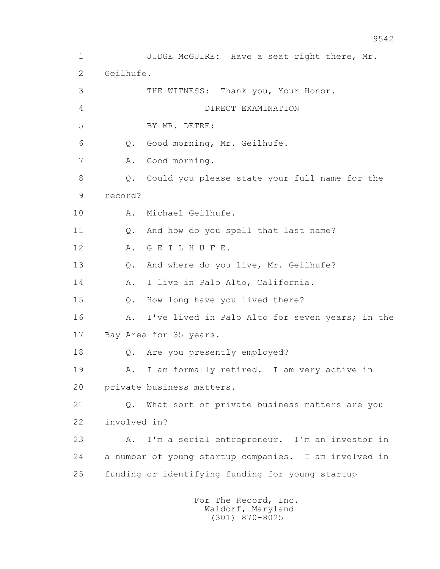1 JUDGE McGUIRE: Have a seat right there, Mr. 2 Geilhufe. 3 THE WITNESS: Thank you, Your Honor. 4 DIRECT EXAMINATION 5 BY MR. DETRE: 6 Q. Good morning, Mr. Geilhufe. 7 A. Good morning. 8 Q. Could you please state your full name for the 9 record? 10 A. Michael Geilhufe. 11 Q. And how do you spell that last name? 12 A. G E I L H U F E. 13 Q. And where do you live, Mr. Geilhufe? 14 A. I live in Palo Alto, California. 15 Q. How long have you lived there? 16 A. I've lived in Palo Alto for seven years; in the 17 Bay Area for 35 years. 18 Q. Are you presently employed? 19 A. I am formally retired. I am very active in 20 private business matters. 21 Q. What sort of private business matters are you 22 involved in? 23 A. I'm a serial entrepreneur. I'm an investor in 24 a number of young startup companies. I am involved in 25 funding or identifying funding for young startup For The Record, Inc.

 Waldorf, Maryland (301) 870-8025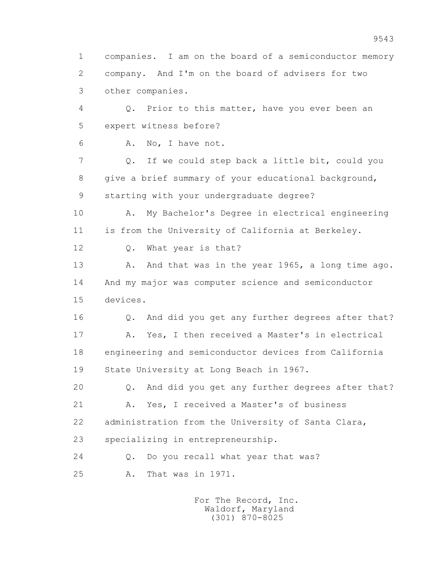1 companies. I am on the board of a semiconductor memory 2 company. And I'm on the board of advisers for two 3 other companies. 4 Q. Prior to this matter, have you ever been an 5 expert witness before? 6 A. No, I have not. 7 Q. If we could step back a little bit, could you 8 give a brief summary of your educational background, 9 starting with your undergraduate degree? 10 A. My Bachelor's Degree in electrical engineering 11 is from the University of California at Berkeley. 12 Q. What year is that? 13 A. And that was in the year 1965, a long time ago. 14 And my major was computer science and semiconductor 15 devices. 16 Q. And did you get any further degrees after that? 17 A. Yes, I then received a Master's in electrical 18 engineering and semiconductor devices from California 19 State University at Long Beach in 1967. 20 Q. And did you get any further degrees after that? 21 A. Yes, I received a Master's of business 22 administration from the University of Santa Clara, 23 specializing in entrepreneurship. 24 O. Do you recall what year that was? 25 A. That was in 1971.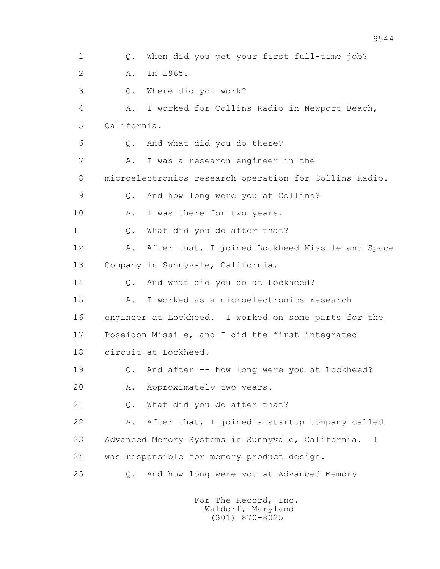1 Q. When did you get your first full-time job? 2 A. In 1965. 3 Q. Where did you work? 4 A. I worked for Collins Radio in Newport Beach, 5 California. 6 Q. And what did you do there? 7 A. I was a research engineer in the 8 microelectronics research operation for Collins Radio. 9 Q. And how long were you at Collins? 10 A. I was there for two years. 11 0. What did you do after that? 12 A. After that, I joined Lockheed Missile and Space 13 Company in Sunnyvale, California. 14 0. And what did you do at Lockheed? 15 A. I worked as a microelectronics research 16 engineer at Lockheed. I worked on some parts for the 17 Poseidon Missile, and I did the first integrated 18 circuit at Lockheed. 19 Q. And after -- how long were you at Lockheed? 20 A. Approximately two years. 21 Q. What did you do after that? 22 A. After that, I joined a startup company called 23 Advanced Memory Systems in Sunnyvale, California. I 24 was responsible for memory product design. 25 Q. And how long were you at Advanced Memory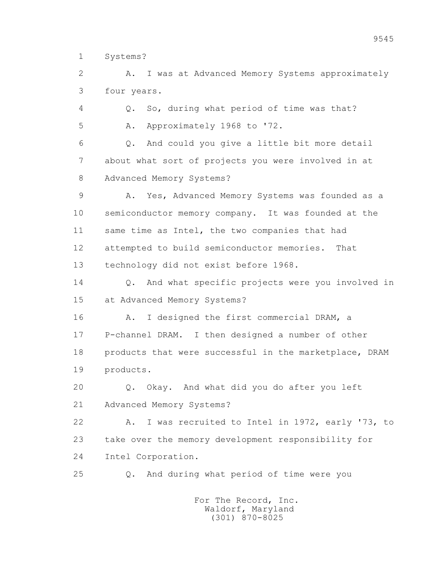1 Systems?

 2 A. I was at Advanced Memory Systems approximately 3 four years.

4 Q. So, during what period of time was that?

5 A. Approximately 1968 to '72.

 6 Q. And could you give a little bit more detail 7 about what sort of projects you were involved in at 8 Advanced Memory Systems?

9 A. Yes, Advanced Memory Systems was founded as a 10 semiconductor memory company. It was founded at the 11 same time as Intel, the two companies that had 12 attempted to build semiconductor memories. That 13 technology did not exist before 1968.

14 0. And what specific projects were you involved in 15 at Advanced Memory Systems?

16 A. I designed the first commercial DRAM, a 17 P-channel DRAM. I then designed a number of other 18 products that were successful in the marketplace, DRAM 19 products.

 20 Q. Okay. And what did you do after you left 21 Advanced Memory Systems?

 22 A. I was recruited to Intel in 1972, early '73, to 23 take over the memory development responsibility for 24 Intel Corporation.

25 Q. And during what period of time were you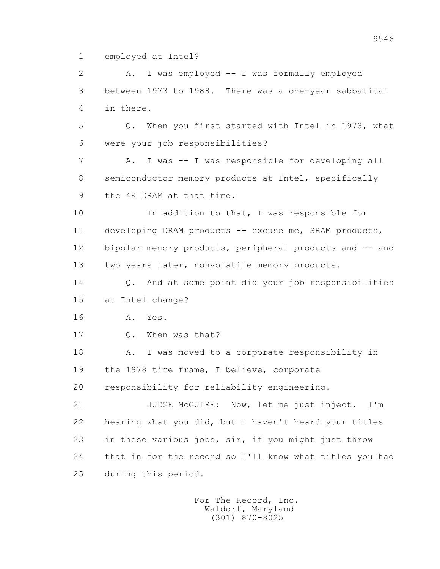1 employed at Intel?

 2 A. I was employed -- I was formally employed 3 between 1973 to 1988. There was a one-year sabbatical 4 in there.

 5 Q. When you first started with Intel in 1973, what 6 were your job responsibilities?

 7 A. I was -- I was responsible for developing all 8 semiconductor memory products at Intel, specifically 9 the 4K DRAM at that time.

 10 In addition to that, I was responsible for 11 developing DRAM products -- excuse me, SRAM products, 12 bipolar memory products, peripheral products and -- and 13 two years later, nonvolatile memory products.

 14 Q. And at some point did your job responsibilities 15 at Intel change?

16 A. Yes.

17 Q. When was that?

18 A. I was moved to a corporate responsibility in 19 the 1978 time frame, I believe, corporate

20 responsibility for reliability engineering.

 21 JUDGE McGUIRE: Now, let me just inject. I'm 22 hearing what you did, but I haven't heard your titles 23 in these various jobs, sir, if you might just throw 24 that in for the record so I'll know what titles you had 25 during this period.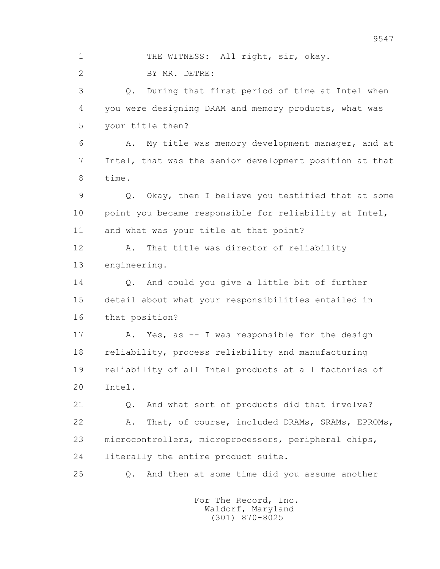2 BY MR. DETRE: 3 Q. During that first period of time at Intel when 4 you were designing DRAM and memory products, what was 5 your title then? 6 A. My title was memory development manager, and at 7 Intel, that was the senior development position at that 8 time. 9 Q. Okay, then I believe you testified that at some 10 point you became responsible for reliability at Intel, 11 and what was your title at that point? 12 A. That title was director of reliability 13 engineering. 14 Q. And could you give a little bit of further 15 detail about what your responsibilities entailed in 16 that position? 17 A. Yes, as -- I was responsible for the design 18 reliability, process reliability and manufacturing 19 reliability of all Intel products at all factories of

1 THE WITNESS: All right, sir, okay.

20 Intel.

 21 Q. And what sort of products did that involve? 22 A. That, of course, included DRAMs, SRAMs, EPROMs, 23 microcontrollers, microprocessors, peripheral chips, 24 literally the entire product suite.

25 Q. And then at some time did you assume another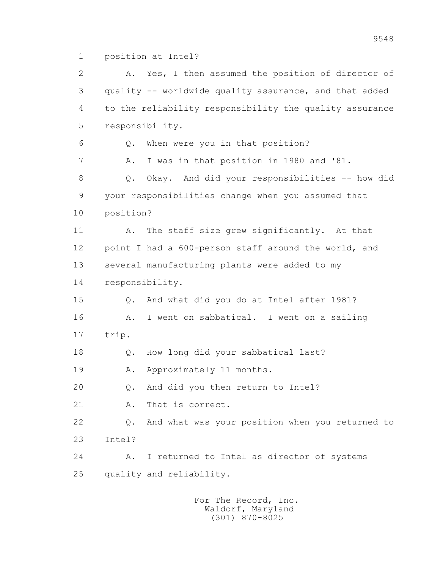1 position at Intel?

 2 A. Yes, I then assumed the position of director of 3 quality -- worldwide quality assurance, and that added 4 to the reliability responsibility the quality assurance 5 responsibility. 6 Q. When were you in that position? 7 A. I was in that position in 1980 and '81. 8 Q. Okay. And did your responsibilities -- how did 9 your responsibilities change when you assumed that 10 position? 11 A. The staff size grew significantly. At that 12 point I had a 600-person staff around the world, and 13 several manufacturing plants were added to my 14 responsibility. 15 Q. And what did you do at Intel after 1981? 16 A. I went on sabbatical. I went on a sailing 17 trip. 18 Q. How long did your sabbatical last? 19 A. Approximately 11 months. 20 Q. And did you then return to Intel? 21 A. That is correct. 22 Q. And what was your position when you returned to 23 Intel? 24 A. I returned to Intel as director of systems 25 quality and reliability.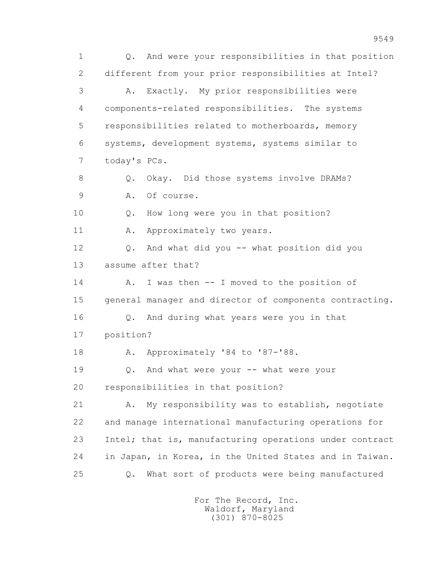1 Q. And were your responsibilities in that position 2 different from your prior responsibilities at Intel? 3 A. Exactly. My prior responsibilities were 4 components-related responsibilities. The systems 5 responsibilities related to motherboards, memory 6 systems, development systems, systems similar to 7 today's PCs. 8 Q. Okay. Did those systems involve DRAMs? 9 A. Of course. 10 Q. How long were you in that position? 11 A. Approximately two years. 12 Q. And what did you -- what position did you 13 assume after that? 14 A. I was then -- I moved to the position of 15 general manager and director of components contracting. 16 Q. And during what years were you in that 17 position? 18 A. Approximately '84 to '87-'88. 19 Q. And what were your -- what were your 20 responsibilities in that position? 21 A. My responsibility was to establish, negotiate 22 and manage international manufacturing operations for 23 Intel; that is, manufacturing operations under contract 24 in Japan, in Korea, in the United States and in Taiwan. 25 Q. What sort of products were being manufactured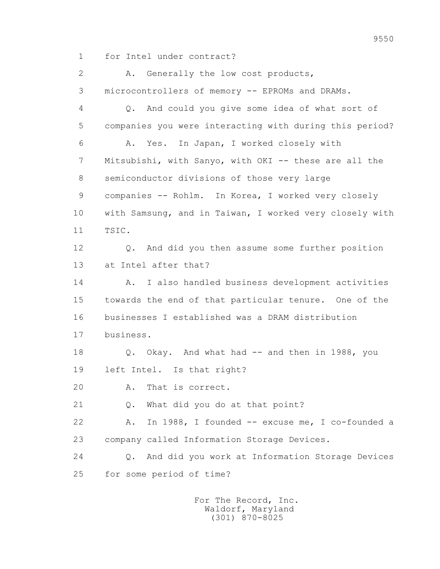1 for Intel under contract?

 2 A. Generally the low cost products, 3 microcontrollers of memory -- EPROMs and DRAMs. 4 Q. And could you give some idea of what sort of 5 companies you were interacting with during this period? 6 A. Yes. In Japan, I worked closely with 7 Mitsubishi, with Sanyo, with OKI -- these are all the 8 semiconductor divisions of those very large 9 companies -- Rohlm. In Korea, I worked very closely 10 with Samsung, and in Taiwan, I worked very closely with 11 TSIC. 12 Q. And did you then assume some further position 13 at Intel after that? 14 A. I also handled business development activities 15 towards the end of that particular tenure. One of the 16 businesses I established was a DRAM distribution 17 business. 18 Q. Okay. And what had -- and then in 1988, you 19 left Intel. Is that right? 20 A. That is correct. 21 Q. What did you do at that point? 22 A. In 1988, I founded -- excuse me, I co-founded a 23 company called Information Storage Devices. 24 Q. And did you work at Information Storage Devices 25 for some period of time?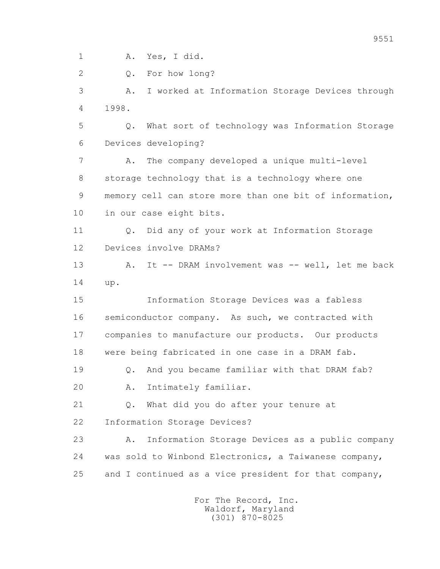1 A. Yes, I did.

2 O. For how long?

 3 A. I worked at Information Storage Devices through 4 1998.

 5 Q. What sort of technology was Information Storage 6 Devices developing?

 7 A. The company developed a unique multi-level 8 storage technology that is a technology where one 9 memory cell can store more than one bit of information, 10 in our case eight bits.

 11 Q. Did any of your work at Information Storage 12 Devices involve DRAMs?

13 A. It -- DRAM involvement was -- well, let me back 14 up.

 15 Information Storage Devices was a fabless 16 semiconductor company. As such, we contracted with 17 companies to manufacture our products. Our products 18 were being fabricated in one case in a DRAM fab.

 19 Q. And you became familiar with that DRAM fab? 20 A. Intimately familiar.

 21 Q. What did you do after your tenure at 22 Information Storage Devices?

 23 A. Information Storage Devices as a public company 24 was sold to Winbond Electronics, a Taiwanese company, 25 and I continued as a vice president for that company,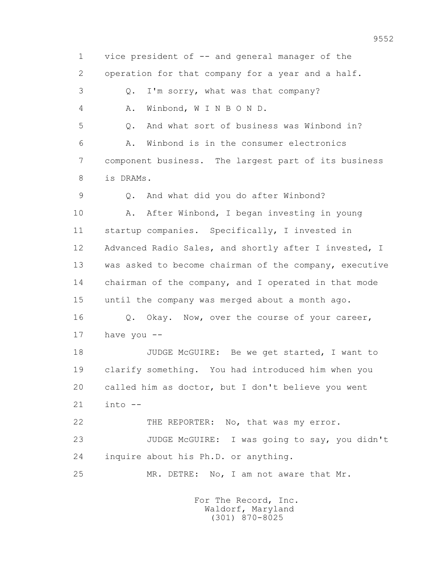1 vice president of -- and general manager of the 2 operation for that company for a year and a half. 3 Q. I'm sorry, what was that company? 4 A. Winbond, W I N B O N D. 5 Q. And what sort of business was Winbond in? 6 A. Winbond is in the consumer electronics 7 component business. The largest part of its business 8 is DRAMs. 9 Q. And what did you do after Winbond? 10 A. After Winbond, I began investing in young 11 startup companies. Specifically, I invested in 12 Advanced Radio Sales, and shortly after I invested, I 13 was asked to become chairman of the company, executive 14 chairman of the company, and I operated in that mode 15 until the company was merged about a month ago. 16 Q. Okay. Now, over the course of your career, 17 have you -- 18 JUDGE McGUIRE: Be we get started, I want to 19 clarify something. You had introduced him when you 20 called him as doctor, but I don't believe you went  $21$  into  $-$ 22 THE REPORTER: No, that was my error. 23 JUDGE McGUIRE: I was going to say, you didn't 24 inquire about his Ph.D. or anything. 25 MR. DETRE: No, I am not aware that Mr.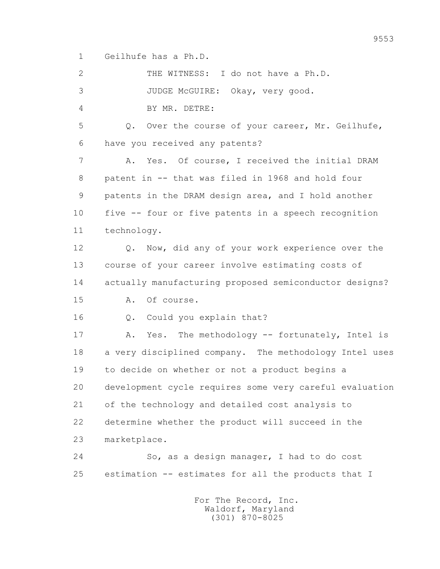1 Geilhufe has a Ph.D.

 2 THE WITNESS: I do not have a Ph.D. 3 JUDGE McGUIRE: Okay, very good. 4 BY MR. DETRE: 5 Q. Over the course of your career, Mr. Geilhufe, 6 have you received any patents? 7 A. Yes. Of course, I received the initial DRAM 8 patent in -- that was filed in 1968 and hold four 9 patents in the DRAM design area, and I hold another 10 five -- four or five patents in a speech recognition 11 technology. 12 Q. Now, did any of your work experience over the 13 course of your career involve estimating costs of 14 actually manufacturing proposed semiconductor designs? 15 A. Of course. 16 Q. Could you explain that? 17 A. Yes. The methodology -- fortunately, Intel is 18 a very disciplined company. The methodology Intel uses 19 to decide on whether or not a product begins a 20 development cycle requires some very careful evaluation 21 of the technology and detailed cost analysis to 22 determine whether the product will succeed in the 23 marketplace. 24 So, as a design manager, I had to do cost 25 estimation -- estimates for all the products that I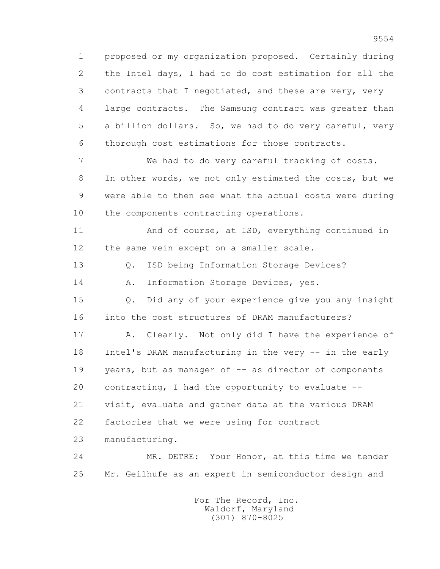1 proposed or my organization proposed. Certainly during 2 the Intel days, I had to do cost estimation for all the 3 contracts that I negotiated, and these are very, very 4 large contracts. The Samsung contract was greater than 5 a billion dollars. So, we had to do very careful, very 6 thorough cost estimations for those contracts.

 7 We had to do very careful tracking of costs. 8 In other words, we not only estimated the costs, but we 9 were able to then see what the actual costs were during 10 the components contracting operations.

 11 And of course, at ISD, everything continued in 12 the same vein except on a smaller scale.

13 Q. ISD being Information Storage Devices?

14 A. Information Storage Devices, yes.

 15 Q. Did any of your experience give you any insight 16 into the cost structures of DRAM manufacturers?

 17 A. Clearly. Not only did I have the experience of 18 Intel's DRAM manufacturing in the very -- in the early 19 years, but as manager of -- as director of components 20 contracting, I had the opportunity to evaluate -- 21 visit, evaluate and gather data at the various DRAM 22 factories that we were using for contract

23 manufacturing.

 24 MR. DETRE: Your Honor, at this time we tender 25 Mr. Geilhufe as an expert in semiconductor design and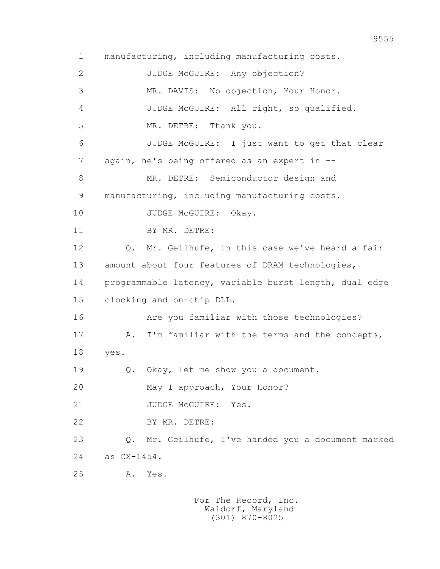1 manufacturing, including manufacturing costs. 2 JUDGE McGUIRE: Any objection? 3 MR. DAVIS: No objection, Your Honor. 4 JUDGE McGUIRE: All right, so qualified. 5 MR. DETRE: Thank you. 6 JUDGE McGUIRE: I just want to get that clear 7 again, he's being offered as an expert in -- 8 MR. DETRE: Semiconductor design and 9 manufacturing, including manufacturing costs. 10 JUDGE McGUIRE: Okay. 11 BY MR. DETRE: 12 Q. Mr. Geilhufe, in this case we've heard a fair 13 amount about four features of DRAM technologies, 14 programmable latency, variable burst length, dual edge 15 clocking and on-chip DLL. 16 Are you familiar with those technologies? 17 A. I'm familiar with the terms and the concepts, 18 yes. 19 Q. Okay, let me show you a document. 20 May I approach, Your Honor? 21 JUDGE McGUIRE: Yes. 22 BY MR. DETRE: 23 Q. Mr. Geilhufe, I've handed you a document marked 24 as CX-1454. 25 A. Yes.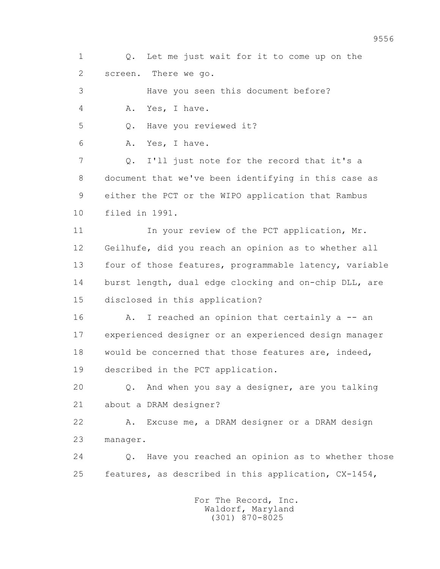1 Q. Let me just wait for it to come up on the 2 screen. There we go.

3 Have you seen this document before?

4 A. Yes, I have.

5 Q. Have you reviewed it?

6 A. Yes, I have.

 7 Q. I'll just note for the record that it's a 8 document that we've been identifying in this case as 9 either the PCT or the WIPO application that Rambus 10 filed in 1991.

11 In your review of the PCT application, Mr. 12 Geilhufe, did you reach an opinion as to whether all 13 four of those features, programmable latency, variable 14 burst length, dual edge clocking and on-chip DLL, are 15 disclosed in this application?

16 A. I reached an opinion that certainly a -- an 17 experienced designer or an experienced design manager 18 would be concerned that those features are, indeed, 19 described in the PCT application.

 20 Q. And when you say a designer, are you talking 21 about a DRAM designer?

 22 A. Excuse me, a DRAM designer or a DRAM design 23 manager.

 24 Q. Have you reached an opinion as to whether those 25 features, as described in this application, CX-1454,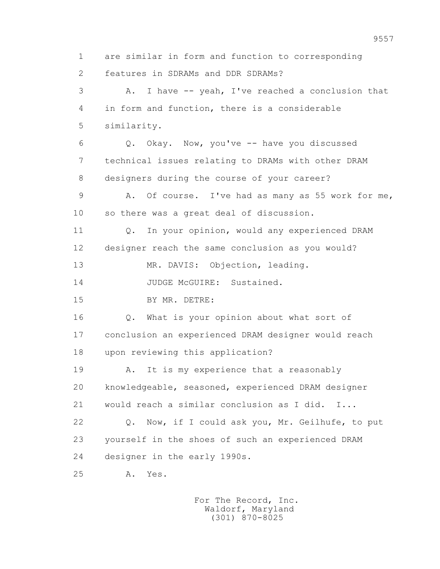1 are similar in form and function to corresponding 2 features in SDRAMs and DDR SDRAMs? 3 A. I have -- yeah, I've reached a conclusion that 4 in form and function, there is a considerable 5 similarity. 6 Q. Okay. Now, you've -- have you discussed 7 technical issues relating to DRAMs with other DRAM 8 designers during the course of your career? 9 A. Of course. I've had as many as 55 work for me, 10 so there was a great deal of discussion. 11 Q. In your opinion, would any experienced DRAM 12 designer reach the same conclusion as you would? 13 MR. DAVIS: Objection, leading. 14 JUDGE McGUIRE: Sustained. 15 BY MR. DETRE: 16 Q. What is your opinion about what sort of 17 conclusion an experienced DRAM designer would reach 18 upon reviewing this application? 19 A. It is my experience that a reasonably 20 knowledgeable, seasoned, experienced DRAM designer 21 would reach a similar conclusion as I did. I... 22 Q. Now, if I could ask you, Mr. Geilhufe, to put 23 yourself in the shoes of such an experienced DRAM 24 designer in the early 1990s. 25 A. Yes.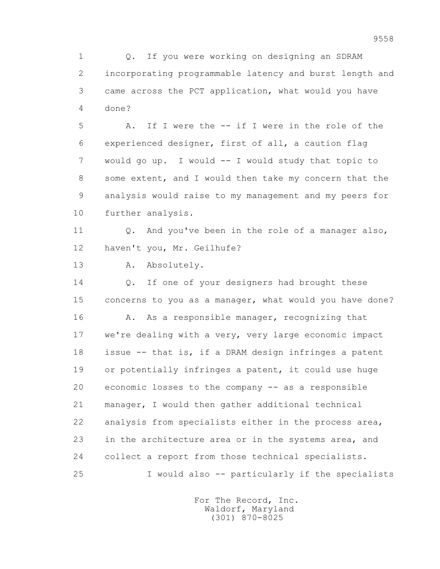1 Q. If you were working on designing an SDRAM 2 incorporating programmable latency and burst length and 3 came across the PCT application, what would you have 4 done?

 5 A. If I were the -- if I were in the role of the 6 experienced designer, first of all, a caution flag 7 would go up. I would -- I would study that topic to 8 some extent, and I would then take my concern that the 9 analysis would raise to my management and my peers for 10 further analysis.

11 0. And you've been in the role of a manager also, 12 haven't you, Mr. Geilhufe?

13 A. Absolutely.

 14 Q. If one of your designers had brought these 15 concerns to you as a manager, what would you have done? 16 A. As a responsible manager, recognizing that 17 we're dealing with a very, very large economic impact 18 issue -- that is, if a DRAM design infringes a patent 19 or potentially infringes a patent, it could use huge 20 economic losses to the company -- as a responsible 21 manager, I would then gather additional technical 22 analysis from specialists either in the process area, 23 in the architecture area or in the systems area, and 24 collect a report from those technical specialists. 25 I would also -- particularly if the specialists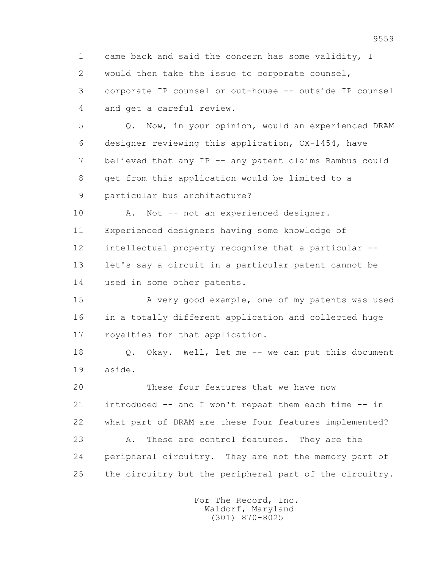1 came back and said the concern has some validity, I 2 would then take the issue to corporate counsel, 3 corporate IP counsel or out-house -- outside IP counsel 4 and get a careful review.

 5 Q. Now, in your opinion, would an experienced DRAM 6 designer reviewing this application, CX-1454, have 7 believed that any IP -- any patent claims Rambus could 8 get from this application would be limited to a 9 particular bus architecture?

10 A. Not -- not an experienced designer. 11 Experienced designers having some knowledge of 12 intellectual property recognize that a particular -- 13 let's say a circuit in a particular patent cannot be 14 used in some other patents.

 15 A very good example, one of my patents was used 16 in a totally different application and collected huge 17 royalties for that application.

 18 Q. Okay. Well, let me -- we can put this document 19 aside.

 20 These four features that we have now 21 introduced -- and I won't repeat them each time -- in 22 what part of DRAM are these four features implemented? 23 A. These are control features. They are the 24 peripheral circuitry. They are not the memory part of 25 the circuitry but the peripheral part of the circuitry.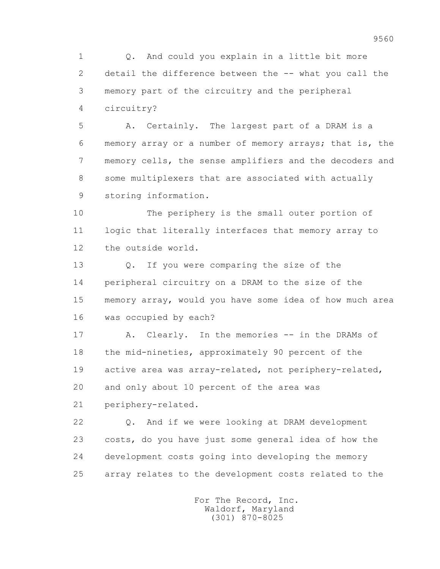1 Q. And could you explain in a little bit more 2 detail the difference between the -- what you call the 3 memory part of the circuitry and the peripheral 4 circuitry?

 5 A. Certainly. The largest part of a DRAM is a 6 memory array or a number of memory arrays; that is, the 7 memory cells, the sense amplifiers and the decoders and 8 some multiplexers that are associated with actually 9 storing information.

 10 The periphery is the small outer portion of 11 logic that literally interfaces that memory array to 12 the outside world.

 13 Q. If you were comparing the size of the 14 peripheral circuitry on a DRAM to the size of the 15 memory array, would you have some idea of how much area 16 was occupied by each?

 17 A. Clearly. In the memories -- in the DRAMs of 18 the mid-nineties, approximately 90 percent of the 19 active area was array-related, not periphery-related, 20 and only about 10 percent of the area was 21 periphery-related.

 22 Q. And if we were looking at DRAM development 23 costs, do you have just some general idea of how the 24 development costs going into developing the memory 25 array relates to the development costs related to the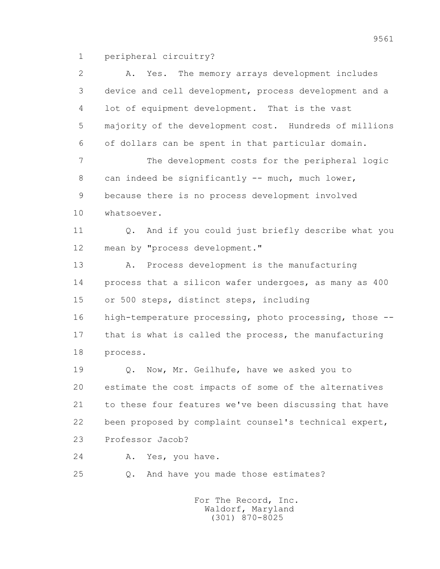1 peripheral circuitry?

| 2  | Yes. The memory arrays development includes<br>Α.       |
|----|---------------------------------------------------------|
| 3  | device and cell development, process development and a  |
| 4  | lot of equipment development. That is the vast          |
| 5  | majority of the development cost. Hundreds of millions  |
| 6  | of dollars can be spent in that particular domain.      |
| 7  | The development costs for the peripheral logic          |
| 8  | can indeed be significantly -- much, much lower,        |
| 9  | because there is no process development involved        |
| 10 | whatsoever.                                             |
| 11 | Q. And if you could just briefly describe what you      |
| 12 | mean by "process development."                          |
| 13 | Process development is the manufacturing<br>Α.          |
| 14 | process that a silicon wafer undergoes, as many as 400  |
| 15 | or 500 steps, distinct steps, including                 |
| 16 | high-temperature processing, photo processing, those -- |
| 17 | that is what is called the process, the manufacturing   |
| 18 | process.                                                |
| 19 | Q. Now, Mr. Geilhufe, have we asked you to              |
| 20 | estimate the cost impacts of some of the alternatives   |
| 21 | to these four features we've been discussing that have  |
| 22 | been proposed by complaint counsel's technical expert,  |
| 23 | Professor Jacob?                                        |
| 24 | Yes, you have.<br>Α.                                    |
| 25 | And have you made those estimates?<br>Q.                |
|    |                                                         |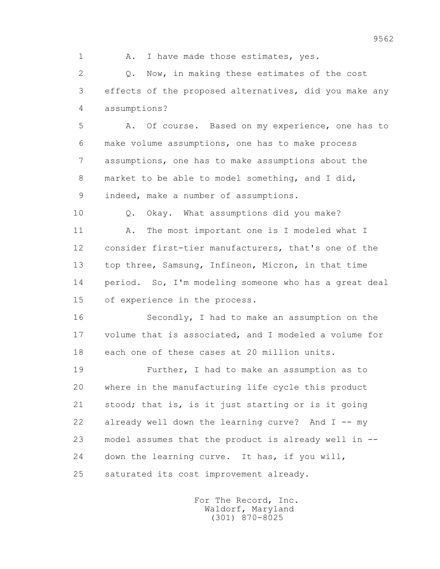1 A. I have made those estimates, yes.

 2 Q. Now, in making these estimates of the cost 3 effects of the proposed alternatives, did you make any 4 assumptions?

 5 A. Of course. Based on my experience, one has to 6 make volume assumptions, one has to make process 7 assumptions, one has to make assumptions about the 8 market to be able to model something, and I did, 9 indeed, make a number of assumptions.

 10 Q. Okay. What assumptions did you make? 11 A. The most important one is I modeled what I 12 consider first-tier manufacturers, that's one of the 13 top three, Samsung, Infineon, Micron, in that time 14 period. So, I'm modeling someone who has a great deal 15 of experience in the process.

 16 Secondly, I had to make an assumption on the 17 volume that is associated, and I modeled a volume for 18 each one of these cases at 20 million units.

 19 Further, I had to make an assumption as to 20 where in the manufacturing life cycle this product 21 stood; that is, is it just starting or is it going 22 already well down the learning curve? And I -- my 23 model assumes that the product is already well in -- 24 down the learning curve. It has, if you will, 25 saturated its cost improvement already.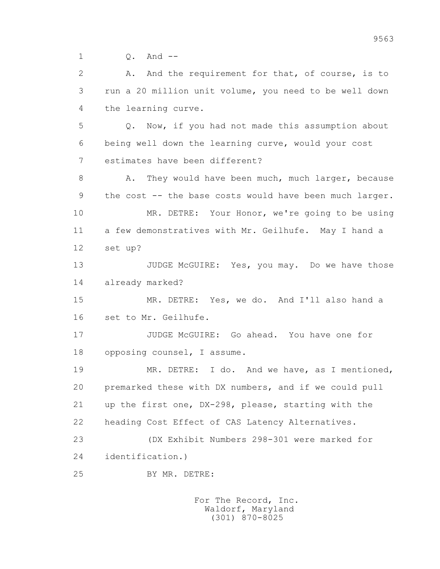1 Q. And --

 2 A. And the requirement for that, of course, is to 3 run a 20 million unit volume, you need to be well down 4 the learning curve.

 5 Q. Now, if you had not made this assumption about 6 being well down the learning curve, would your cost 7 estimates have been different?

8 A. They would have been much, much larger, because 9 the cost -- the base costs would have been much larger. 10 MR. DETRE: Your Honor, we're going to be using 11 a few demonstratives with Mr. Geilhufe. May I hand a 12 set up?

13 JUDGE McGUIRE: Yes, you may. Do we have those 14 already marked?

 15 MR. DETRE: Yes, we do. And I'll also hand a 16 set to Mr. Geilhufe.

 17 JUDGE McGUIRE: Go ahead. You have one for 18 opposing counsel, I assume.

19 MR. DETRE: I do. And we have, as I mentioned, 20 premarked these with DX numbers, and if we could pull 21 up the first one, DX-298, please, starting with the 22 heading Cost Effect of CAS Latency Alternatives.

 23 (DX Exhibit Numbers 298-301 were marked for 24 identification.)

25 BY MR. DETRE: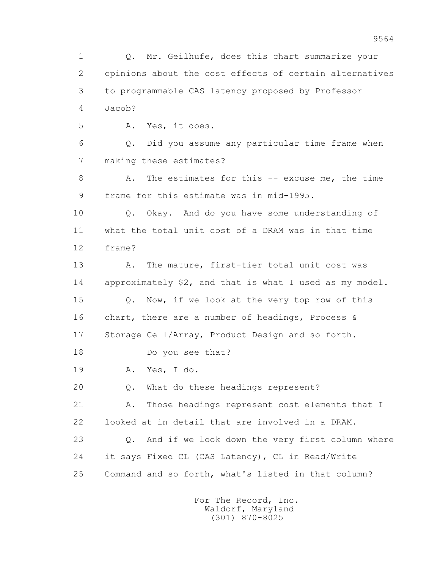1 Q. Mr. Geilhufe, does this chart summarize your 2 opinions about the cost effects of certain alternatives 3 to programmable CAS latency proposed by Professor 4 Jacob? 5 A. Yes, it does. 6 Q. Did you assume any particular time frame when 7 making these estimates? 8 A. The estimates for this -- excuse me, the time 9 frame for this estimate was in mid-1995. 10 Q. Okay. And do you have some understanding of 11 what the total unit cost of a DRAM was in that time 12 frame? 13 A. The mature, first-tier total unit cost was 14 approximately \$2, and that is what I used as my model. 15 Q. Now, if we look at the very top row of this 16 chart, there are a number of headings, Process & 17 Storage Cell/Array, Product Design and so forth. 18 Do you see that? 19 A. Yes, I do. 20 Q. What do these headings represent? 21 A. Those headings represent cost elements that I 22 looked at in detail that are involved in a DRAM. 23 Q. And if we look down the very first column where 24 it says Fixed CL (CAS Latency), CL in Read/Write 25 Command and so forth, what's listed in that column?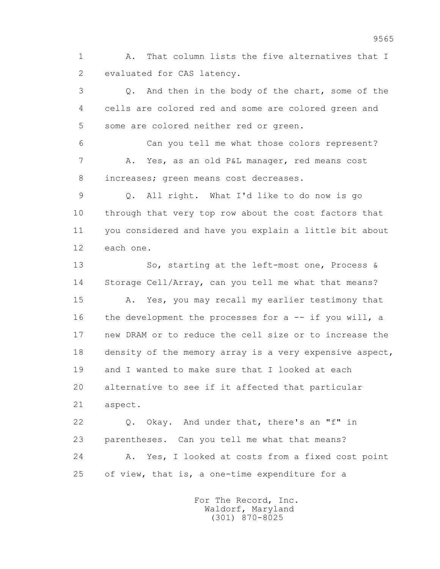1 A. That column lists the five alternatives that I 2 evaluated for CAS latency.

 3 Q. And then in the body of the chart, some of the 4 cells are colored red and some are colored green and 5 some are colored neither red or green.

 6 Can you tell me what those colors represent? 7 A. Yes, as an old P&L manager, red means cost 8 increases; green means cost decreases.

 9 Q. All right. What I'd like to do now is go 10 through that very top row about the cost factors that 11 you considered and have you explain a little bit about 12 each one.

13 So, starting at the left-most one, Process & 14 Storage Cell/Array, can you tell me what that means? 15 A. Yes, you may recall my earlier testimony that 16 the development the processes for a -- if you will, a 17 new DRAM or to reduce the cell size or to increase the 18 density of the memory array is a very expensive aspect, 19 and I wanted to make sure that I looked at each 20 alternative to see if it affected that particular 21 aspect. 22 Q. Okay. And under that, there's an "f" in

 23 parentheses. Can you tell me what that means? 24 A. Yes, I looked at costs from a fixed cost point 25 of view, that is, a one-time expenditure for a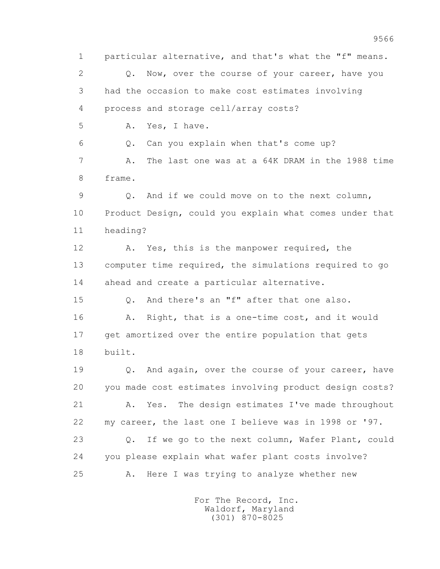1 particular alternative, and that's what the "f" means. 2 0. Now, over the course of your career, have you 3 had the occasion to make cost estimates involving 4 process and storage cell/array costs? 5 A. Yes, I have. 6 Q. Can you explain when that's come up? 7 A. The last one was at a 64K DRAM in the 1988 time 8 frame. 9 Q. And if we could move on to the next column, 10 Product Design, could you explain what comes under that 11 heading? 12 A. Yes, this is the manpower required, the 13 computer time required, the simulations required to go 14 ahead and create a particular alternative. 15 Q. And there's an "f" after that one also. 16 A. Right, that is a one-time cost, and it would 17 get amortized over the entire population that gets 18 built. 19 0. And again, over the course of your career, have 20 you made cost estimates involving product design costs? 21 A. Yes. The design estimates I've made throughout 22 my career, the last one I believe was in 1998 or '97. 23 Q. If we go to the next column, Wafer Plant, could 24 you please explain what wafer plant costs involve? 25 A. Here I was trying to analyze whether new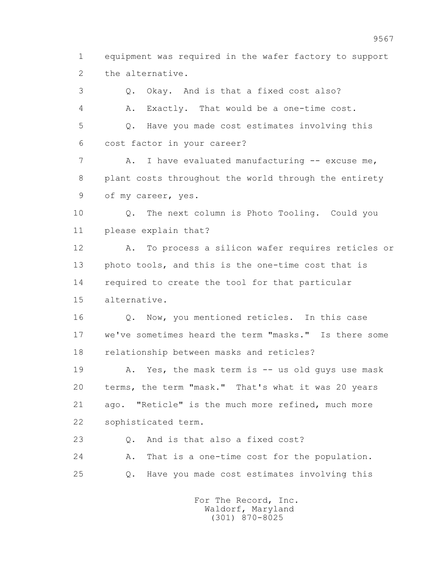1 equipment was required in the wafer factory to support 2 the alternative.

 3 Q. Okay. And is that a fixed cost also? 4 A. Exactly. That would be a one-time cost. 5 Q. Have you made cost estimates involving this 6 cost factor in your career? 7 A. I have evaluated manufacturing -- excuse me, 8 plant costs throughout the world through the entirety 9 of my career, yes. 10 Q. The next column is Photo Tooling. Could you 11 please explain that? 12 A. To process a silicon wafer requires reticles or 13 photo tools, and this is the one-time cost that is 14 required to create the tool for that particular 15 alternative. 16 Q. Now, you mentioned reticles. In this case 17 we've sometimes heard the term "masks." Is there some 18 relationship between masks and reticles? 19 A. Yes, the mask term is -- us old guys use mask

 20 terms, the term "mask." That's what it was 20 years 21 ago. "Reticle" is the much more refined, much more 22 sophisticated term.

23 Q. And is that also a fixed cost?

 24 A. That is a one-time cost for the population. 25 Q. Have you made cost estimates involving this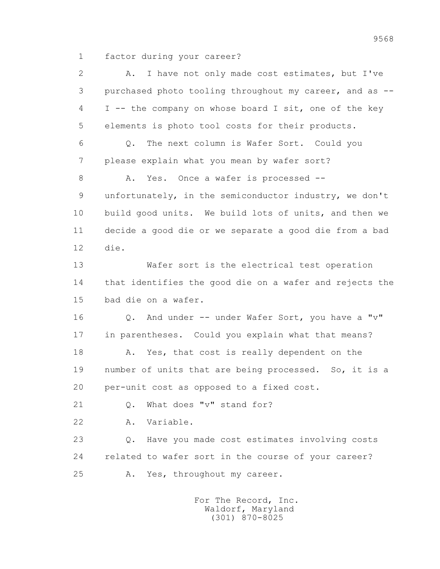1 factor during your career?

| 2  | I have not only made cost estimates, but I've<br>Α.     |
|----|---------------------------------------------------------|
| 3  | purchased photo tooling throughout my career, and as -- |
| 4  | I -- the company on whose board I sit, one of the key   |
| 5  | elements is photo tool costs for their products.        |
| 6  | The next column is Wafer Sort. Could you<br>$Q$ .       |
| 7  | please explain what you mean by wafer sort?             |
| 8  | Yes. Once a wafer is processed --<br>Α.                 |
| 9  | unfortunately, in the semiconductor industry, we don't  |
| 10 | build good units. We build lots of units, and then we   |
| 11 | decide a good die or we separate a good die from a bad  |
| 12 | die.                                                    |
| 13 | Wafer sort is the electrical test operation             |
| 14 | that identifies the good die on a wafer and rejects the |
| 15 | bad die on a wafer.                                     |
| 16 | Q. And under -- under Wafer Sort, you have a "v"        |
| 17 | in parentheses. Could you explain what that means?      |
| 18 | Yes, that cost is really dependent on the<br>Α.         |
| 19 | number of units that are being processed. So, it is a   |
| 20 | per-unit cost as opposed to a fixed cost.               |
| 21 | What does "v" stand for?<br>$Q_{\bullet}$               |
| 22 | Variable.<br>Α.                                         |
| 23 | Have you made cost estimates involving costs<br>$Q$ .   |
| 24 | related to wafer sort in the course of your career?     |
| 25 | Yes, throughout my career.<br>Α.                        |
|    |                                                         |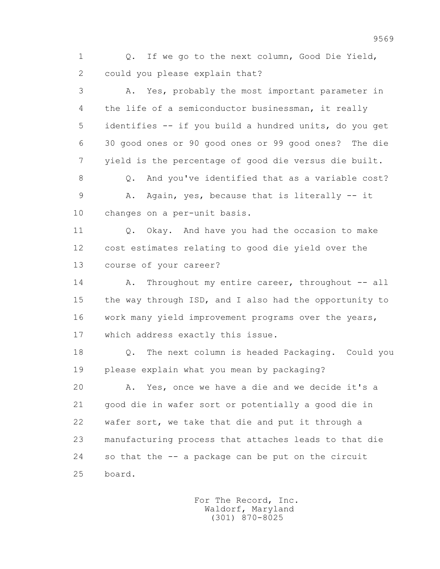1 Q. If we go to the next column, Good Die Yield, 2 could you please explain that?

 3 A. Yes, probably the most important parameter in 4 the life of a semiconductor businessman, it really 5 identifies -- if you build a hundred units, do you get 6 30 good ones or 90 good ones or 99 good ones? The die 7 yield is the percentage of good die versus die built.

8 0. And you've identified that as a variable cost? 9 A. Again, yes, because that is literally -- it 10 changes on a per-unit basis.

11 0. Okay. And have you had the occasion to make 12 cost estimates relating to good die yield over the 13 course of your career?

14 A. Throughout my entire career, throughout -- all 15 the way through ISD, and I also had the opportunity to 16 work many yield improvement programs over the years, 17 which address exactly this issue.

 18 Q. The next column is headed Packaging. Could you 19 please explain what you mean by packaging?

 20 A. Yes, once we have a die and we decide it's a 21 good die in wafer sort or potentially a good die in 22 wafer sort, we take that die and put it through a 23 manufacturing process that attaches leads to that die 24 so that the -- a package can be put on the circuit 25 board.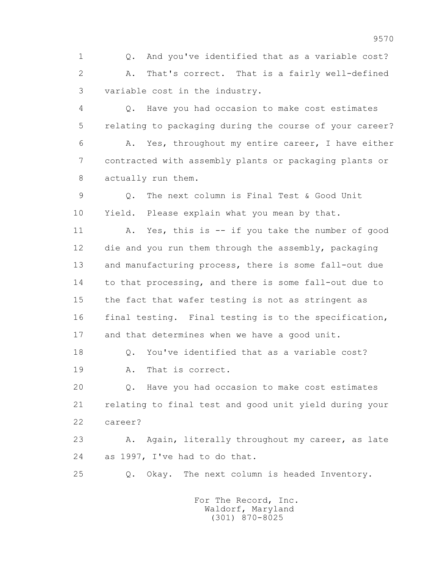1 Q. And you've identified that as a variable cost? 2 A. That's correct. That is a fairly well-defined 3 variable cost in the industry.

 4 Q. Have you had occasion to make cost estimates 5 relating to packaging during the course of your career? 6 A. Yes, throughout my entire career, I have either

 7 contracted with assembly plants or packaging plants or 8 actually run them.

 9 Q. The next column is Final Test & Good Unit 10 Yield. Please explain what you mean by that.

 11 A. Yes, this is -- if you take the number of good 12 die and you run them through the assembly, packaging 13 and manufacturing process, there is some fall-out due 14 to that processing, and there is some fall-out due to 15 the fact that wafer testing is not as stringent as 16 final testing. Final testing is to the specification, 17 and that determines when we have a good unit.

 18 Q. You've identified that as a variable cost? 19 A. That is correct.

 20 Q. Have you had occasion to make cost estimates 21 relating to final test and good unit yield during your 22 career?

23 A. Again, literally throughout my career, as late 24 as 1997, I've had to do that.

25 Q. Okay. The next column is headed Inventory.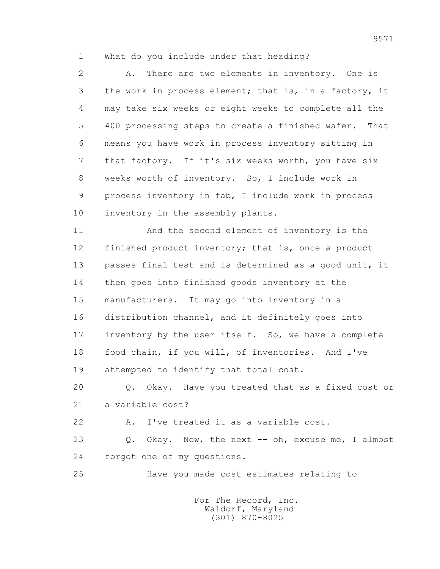1 What do you include under that heading?

 2 A. There are two elements in inventory. One is 3 the work in process element; that is, in a factory, it 4 may take six weeks or eight weeks to complete all the 5 400 processing steps to create a finished wafer. That 6 means you have work in process inventory sitting in 7 that factory. If it's six weeks worth, you have six 8 weeks worth of inventory. So, I include work in 9 process inventory in fab, I include work in process 10 inventory in the assembly plants.

 11 And the second element of inventory is the 12 finished product inventory; that is, once a product 13 passes final test and is determined as a good unit, it 14 then goes into finished goods inventory at the 15 manufacturers. It may go into inventory in a 16 distribution channel, and it definitely goes into 17 inventory by the user itself. So, we have a complete 18 food chain, if you will, of inventories. And I've 19 attempted to identify that total cost.

 20 Q. Okay. Have you treated that as a fixed cost or 21 a variable cost?

22 A. I've treated it as a variable cost.

23 0. Okay. Now, the next -- oh, excuse me, I almost 24 forgot one of my questions.

25 Have you made cost estimates relating to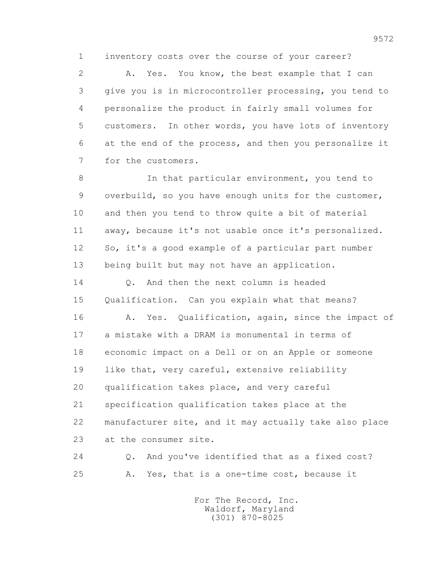1 inventory costs over the course of your career?

 2 A. Yes. You know, the best example that I can 3 give you is in microcontroller processing, you tend to 4 personalize the product in fairly small volumes for 5 customers. In other words, you have lots of inventory 6 at the end of the process, and then you personalize it 7 for the customers.

 8 In that particular environment, you tend to 9 overbuild, so you have enough units for the customer, 10 and then you tend to throw quite a bit of material 11 away, because it's not usable once it's personalized. 12 So, it's a good example of a particular part number 13 being built but may not have an application.

 14 Q. And then the next column is headed 15 Qualification. Can you explain what that means?

 16 A. Yes. Qualification, again, since the impact of 17 a mistake with a DRAM is monumental in terms of 18 economic impact on a Dell or on an Apple or someone 19 like that, very careful, extensive reliability 20 qualification takes place, and very careful 21 specification qualification takes place at the 22 manufacturer site, and it may actually take also place 23 at the consumer site.

 24 Q. And you've identified that as a fixed cost? 25 A. Yes, that is a one-time cost, because it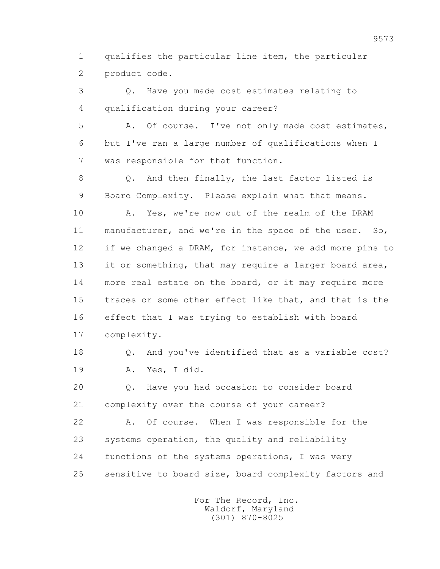1 qualifies the particular line item, the particular 2 product code.

 3 Q. Have you made cost estimates relating to 4 qualification during your career?

 5 A. Of course. I've not only made cost estimates, 6 but I've ran a large number of qualifications when I 7 was responsible for that function.

 8 Q. And then finally, the last factor listed is 9 Board Complexity. Please explain what that means.

 10 A. Yes, we're now out of the realm of the DRAM 11 manufacturer, and we're in the space of the user. So, 12 if we changed a DRAM, for instance, we add more pins to 13 it or something, that may require a larger board area, 14 more real estate on the board, or it may require more 15 traces or some other effect like that, and that is the 16 effect that I was trying to establish with board 17 complexity.

 18 Q. And you've identified that as a variable cost? 19 A. Yes, I did.

 20 Q. Have you had occasion to consider board 21 complexity over the course of your career?

 22 A. Of course. When I was responsible for the 23 systems operation, the quality and reliability 24 functions of the systems operations, I was very 25 sensitive to board size, board complexity factors and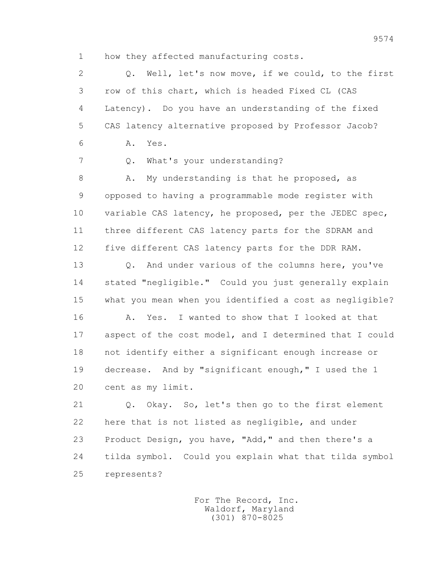1 how they affected manufacturing costs.

 2 Q. Well, let's now move, if we could, to the first 3 row of this chart, which is headed Fixed CL (CAS 4 Latency). Do you have an understanding of the fixed 5 CAS latency alternative proposed by Professor Jacob? 6 A. Yes. 7 Q. What's your understanding? 8 A. My understanding is that he proposed, as 9 opposed to having a programmable mode register with 10 variable CAS latency, he proposed, per the JEDEC spec, 11 three different CAS latency parts for the SDRAM and 12 five different CAS latency parts for the DDR RAM. 13 Q. And under various of the columns here, you've 14 stated "negligible." Could you just generally explain 15 what you mean when you identified a cost as negligible? 16 A. Yes. I wanted to show that I looked at that

 17 aspect of the cost model, and I determined that I could 18 not identify either a significant enough increase or 19 decrease. And by "significant enough," I used the 1 20 cent as my limit.

 21 Q. Okay. So, let's then go to the first element 22 here that is not listed as negligible, and under 23 Product Design, you have, "Add," and then there's a 24 tilda symbol. Could you explain what that tilda symbol 25 represents?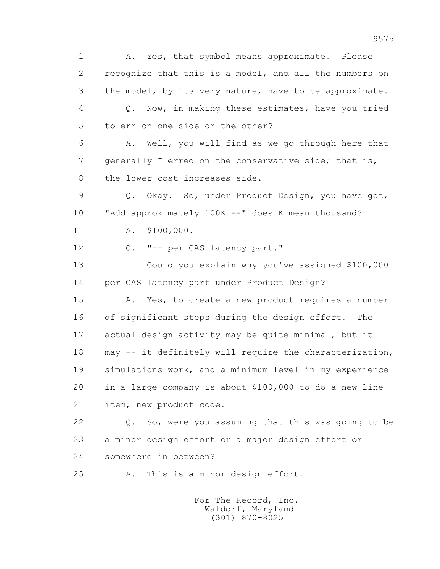1 A. Yes, that symbol means approximate. Please 2 recognize that this is a model, and all the numbers on 3 the model, by its very nature, have to be approximate. 4 Q. Now, in making these estimates, have you tried 5 to err on one side or the other? 6 A. Well, you will find as we go through here that 7 generally I erred on the conservative side; that is, 8 the lower cost increases side. 9 Q. Okay. So, under Product Design, you have got, 10 "Add approximately 100K --" does K mean thousand? 11 A. \$100,000. 12 Q. "-- per CAS latency part." 13 Could you explain why you've assigned \$100,000 14 per CAS latency part under Product Design? 15 A. Yes, to create a new product requires a number 16 of significant steps during the design effort. The 17 actual design activity may be quite minimal, but it 18 may -- it definitely will require the characterization, 19 simulations work, and a minimum level in my experience 20 in a large company is about \$100,000 to do a new line 21 item, new product code. 22 Q. So, were you assuming that this was going to be 23 a minor design effort or a major design effort or 24 somewhere in between? 25 A. This is a minor design effort.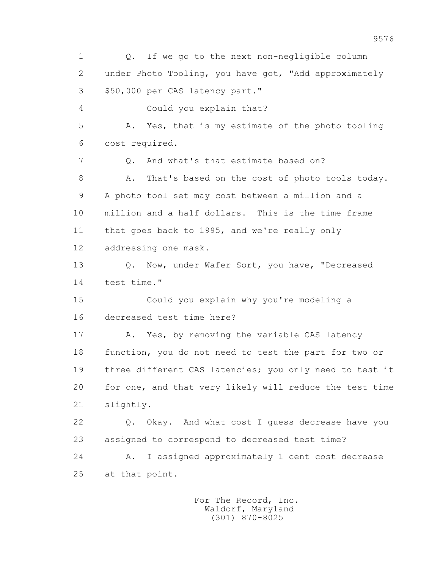1 Q. If we go to the next non-negligible column 2 under Photo Tooling, you have got, "Add approximately 3 \$50,000 per CAS latency part." 4 Could you explain that? 5 A. Yes, that is my estimate of the photo tooling 6 cost required. 7 Q. And what's that estimate based on? 8 A. That's based on the cost of photo tools today. 9 A photo tool set may cost between a million and a 10 million and a half dollars. This is the time frame 11 that goes back to 1995, and we're really only 12 addressing one mask. 13 O. Now, under Wafer Sort, you have, "Decreased 14 test time." 15 Could you explain why you're modeling a 16 decreased test time here? 17 A. Yes, by removing the variable CAS latency 18 function, you do not need to test the part for two or 19 three different CAS latencies; you only need to test it 20 for one, and that very likely will reduce the test time 21 slightly. 22 Q. Okay. And what cost I guess decrease have you 23 assigned to correspond to decreased test time? 24 A. I assigned approximately 1 cent cost decrease 25 at that point.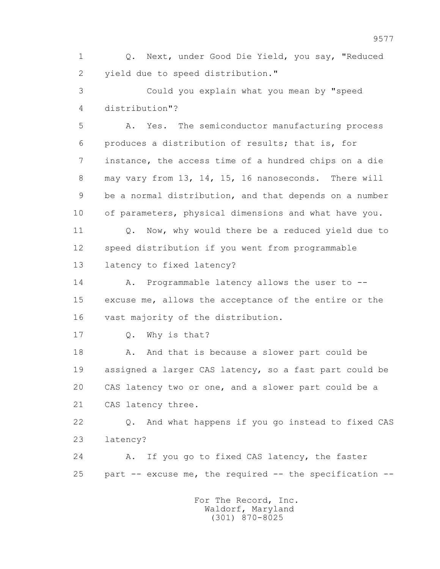1 Q. Next, under Good Die Yield, you say, "Reduced 2 yield due to speed distribution."

 3 Could you explain what you mean by "speed 4 distribution"?

 5 A. Yes. The semiconductor manufacturing process 6 produces a distribution of results; that is, for 7 instance, the access time of a hundred chips on a die 8 may vary from 13, 14, 15, 16 nanoseconds. There will 9 be a normal distribution, and that depends on a number 10 of parameters, physical dimensions and what have you.

11 0. Now, why would there be a reduced yield due to 12 speed distribution if you went from programmable 13 latency to fixed latency?

 14 A. Programmable latency allows the user to -- 15 excuse me, allows the acceptance of the entire or the 16 vast majority of the distribution.

17 Q. Why is that?

18 A. And that is because a slower part could be 19 assigned a larger CAS latency, so a fast part could be 20 CAS latency two or one, and a slower part could be a 21 CAS latency three.

 22 Q. And what happens if you go instead to fixed CAS 23 latency?

 24 A. If you go to fixed CAS latency, the faster 25 part -- excuse me, the required -- the specification --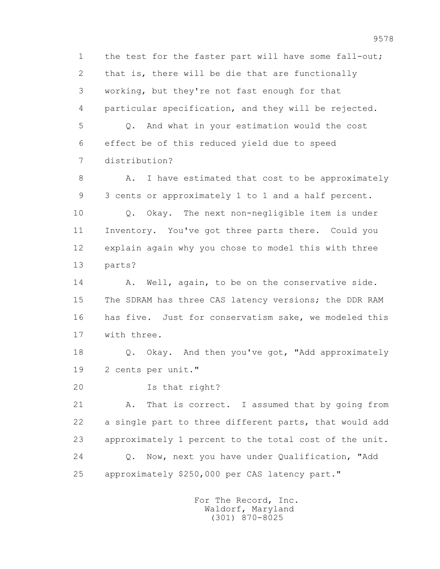1 the test for the faster part will have some fall-out; 2 that is, there will be die that are functionally 3 working, but they're not fast enough for that 4 particular specification, and they will be rejected. 5 Q. And what in your estimation would the cost 6 effect be of this reduced yield due to speed 7 distribution? 8 A. I have estimated that cost to be approximately 9 3 cents or approximately 1 to 1 and a half percent. 10 Q. Okay. The next non-negligible item is under 11 Inventory. You've got three parts there. Could you 12 explain again why you chose to model this with three 13 parts? 14 A. Well, again, to be on the conservative side. 15 The SDRAM has three CAS latency versions; the DDR RAM 16 has five. Just for conservatism sake, we modeled this

17 with three.

 18 Q. Okay. And then you've got, "Add approximately 19 2 cents per unit."

20 Is that right?

 21 A. That is correct. I assumed that by going from 22 a single part to three different parts, that would add 23 approximately 1 percent to the total cost of the unit. 24 Q. Now, next you have under Qualification, "Add 25 approximately \$250,000 per CAS latency part."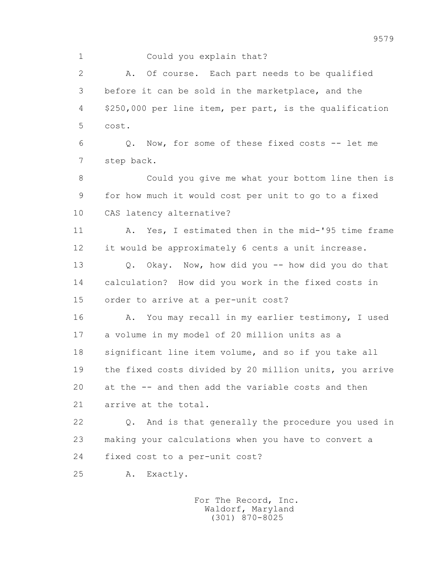## 1 Could you explain that?

 2 A. Of course. Each part needs to be qualified 3 before it can be sold in the marketplace, and the 4 \$250,000 per line item, per part, is the qualification 5 cost.

 6 Q. Now, for some of these fixed costs -- let me 7 step back.

 8 Could you give me what your bottom line then is 9 for how much it would cost per unit to go to a fixed 10 CAS latency alternative?

11 A. Yes, I estimated then in the mid-'95 time frame 12 it would be approximately 6 cents a unit increase.

 13 Q. Okay. Now, how did you -- how did you do that 14 calculation? How did you work in the fixed costs in 15 order to arrive at a per-unit cost?

 16 A. You may recall in my earlier testimony, I used 17 a volume in my model of 20 million units as a 18 significant line item volume, and so if you take all 19 the fixed costs divided by 20 million units, you arrive 20 at the -- and then add the variable costs and then 21 arrive at the total.

 22 Q. And is that generally the procedure you used in 23 making your calculations when you have to convert a 24 fixed cost to a per-unit cost?

25 A. Exactly.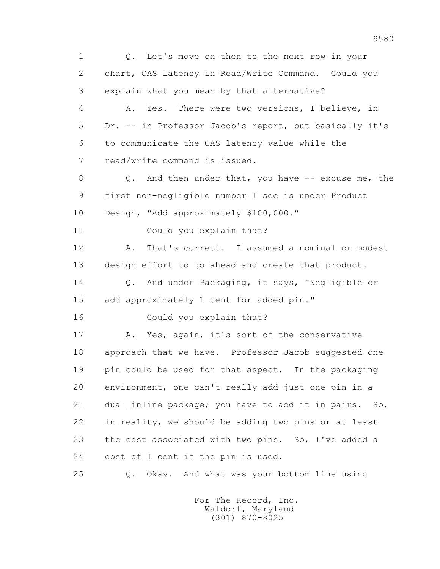1 Q. Let's move on then to the next row in your 2 chart, CAS latency in Read/Write Command. Could you 3 explain what you mean by that alternative? 4 A. Yes. There were two versions, I believe, in 5 Dr. -- in Professor Jacob's report, but basically it's 6 to communicate the CAS latency value while the 7 read/write command is issued. 8 Q. And then under that, you have -- excuse me, the 9 first non-negligible number I see is under Product 10 Design, "Add approximately \$100,000." 11 Could you explain that? 12 A. That's correct. I assumed a nominal or modest 13 design effort to go ahead and create that product. 14 Q. And under Packaging, it says, "Negligible or 15 add approximately 1 cent for added pin." 16 Could you explain that? 17 A. Yes, again, it's sort of the conservative 18 approach that we have. Professor Jacob suggested one 19 pin could be used for that aspect. In the packaging 20 environment, one can't really add just one pin in a 21 dual inline package; you have to add it in pairs. So, 22 in reality, we should be adding two pins or at least 23 the cost associated with two pins. So, I've added a 24 cost of 1 cent if the pin is used. 25 Q. Okay. And what was your bottom line using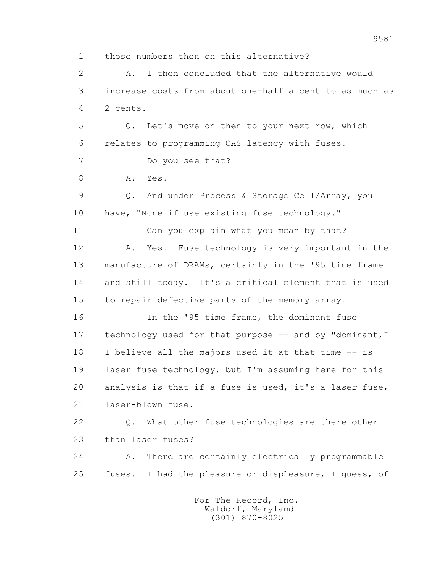1 those numbers then on this alternative? 2 A. I then concluded that the alternative would 3 increase costs from about one-half a cent to as much as 4 2 cents. 5 Q. Let's move on then to your next row, which 6 relates to programming CAS latency with fuses. 7 Do you see that? 8 A. Yes. 9 Q. And under Process & Storage Cell/Array, you 10 have, "None if use existing fuse technology." 11 Can you explain what you mean by that? 12 A. Yes. Fuse technology is very important in the 13 manufacture of DRAMs, certainly in the '95 time frame 14 and still today. It's a critical element that is used 15 to repair defective parts of the memory array. 16 In the '95 time frame, the dominant fuse 17 technology used for that purpose -- and by "dominant," 18 I believe all the majors used it at that time -- is 19 laser fuse technology, but I'm assuming here for this 20 analysis is that if a fuse is used, it's a laser fuse, 21 laser-blown fuse. 22 Q. What other fuse technologies are there other 23 than laser fuses? 24 A. There are certainly electrically programmable 25 fuses. I had the pleasure or displeasure, I guess, of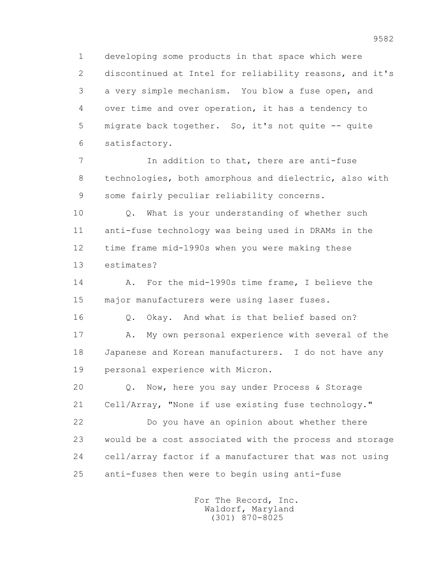1 developing some products in that space which were 2 discontinued at Intel for reliability reasons, and it's 3 a very simple mechanism. You blow a fuse open, and 4 over time and over operation, it has a tendency to 5 migrate back together. So, it's not quite -- quite 6 satisfactory.

 7 In addition to that, there are anti-fuse 8 technologies, both amorphous and dielectric, also with 9 some fairly peculiar reliability concerns.

 10 Q. What is your understanding of whether such 11 anti-fuse technology was being used in DRAMs in the 12 time frame mid-1990s when you were making these 13 estimates?

 14 A. For the mid-1990s time frame, I believe the 15 major manufacturers were using laser fuses.

16 Q. Okay. And what is that belief based on?

 17 A. My own personal experience with several of the 18 Japanese and Korean manufacturers. I do not have any 19 personal experience with Micron.

 20 Q. Now, here you say under Process & Storage 21 Cell/Array, "None if use existing fuse technology."

 22 Do you have an opinion about whether there 23 would be a cost associated with the process and storage 24 cell/array factor if a manufacturer that was not using 25 anti-fuses then were to begin using anti-fuse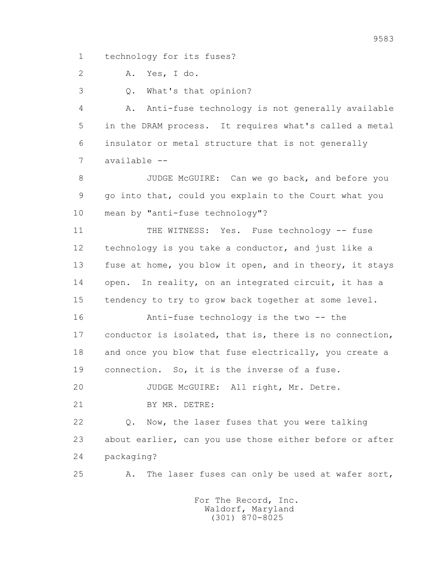1 technology for its fuses?

2 A. Yes, I do.

3 Q. What's that opinion?

 4 A. Anti-fuse technology is not generally available 5 in the DRAM process. It requires what's called a metal 6 insulator or metal structure that is not generally 7 available --

 8 JUDGE McGUIRE: Can we go back, and before you 9 go into that, could you explain to the Court what you 10 mean by "anti-fuse technology"?

 11 THE WITNESS: Yes. Fuse technology -- fuse 12 technology is you take a conductor, and just like a 13 fuse at home, you blow it open, and in theory, it stays 14 open. In reality, on an integrated circuit, it has a 15 tendency to try to grow back together at some level.

 16 Anti-fuse technology is the two -- the 17 conductor is isolated, that is, there is no connection, 18 and once you blow that fuse electrically, you create a 19 connection. So, it is the inverse of a fuse.

20 JUDGE McGUIRE: All right, Mr. Detre.

21 BY MR. DETRE:

 22 Q. Now, the laser fuses that you were talking 23 about earlier, can you use those either before or after 24 packaging?

25 A. The laser fuses can only be used at wafer sort,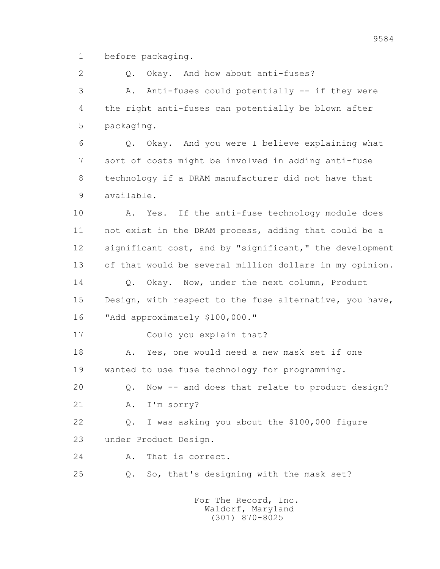1 before packaging.

2 0. Okay. And how about anti-fuses?

 3 A. Anti-fuses could potentially -- if they were 4 the right anti-fuses can potentially be blown after 5 packaging.

 6 Q. Okay. And you were I believe explaining what 7 sort of costs might be involved in adding anti-fuse 8 technology if a DRAM manufacturer did not have that 9 available.

 10 A. Yes. If the anti-fuse technology module does 11 not exist in the DRAM process, adding that could be a 12 significant cost, and by "significant," the development 13 of that would be several million dollars in my opinion. 14 0. Okay. Now, under the next column, Product 15 Design, with respect to the fuse alternative, you have, 16 "Add approximately \$100,000."

17 Could you explain that?

 18 A. Yes, one would need a new mask set if one 19 wanted to use fuse technology for programming.

20 Q. Now -- and does that relate to product design?

21 A. I'm sorry?

 22 Q. I was asking you about the \$100,000 figure 23 under Product Design.

24 A. That is correct.

25 Q. So, that's designing with the mask set?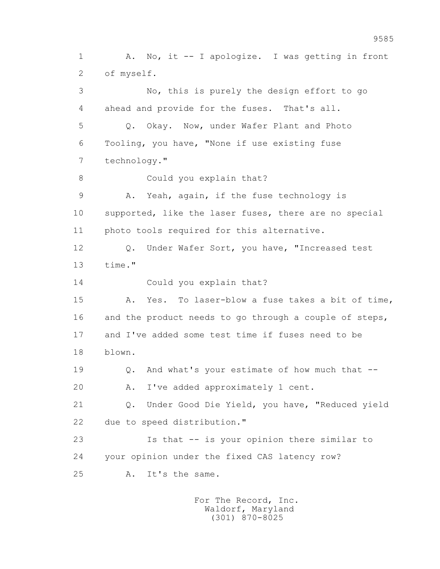1 A. No, it -- I apologize. I was getting in front 2 of myself. 3 No, this is purely the design effort to go 4 ahead and provide for the fuses. That's all. 5 Q. Okay. Now, under Wafer Plant and Photo 6 Tooling, you have, "None if use existing fuse 7 technology." 8 Could you explain that? 9 A. Yeah, again, if the fuse technology is 10 supported, like the laser fuses, there are no special 11 photo tools required for this alternative. 12 Q. Under Wafer Sort, you have, "Increased test 13 time." 14 Could you explain that? 15 A. Yes. To laser-blow a fuse takes a bit of time, 16 and the product needs to go through a couple of steps, 17 and I've added some test time if fuses need to be 18 blown. 19 Q. And what's your estimate of how much that -- 20 A. I've added approximately 1 cent. 21 Q. Under Good Die Yield, you have, "Reduced yield 22 due to speed distribution." 23 Is that -- is your opinion there similar to 24 your opinion under the fixed CAS latency row? 25 A. It's the same.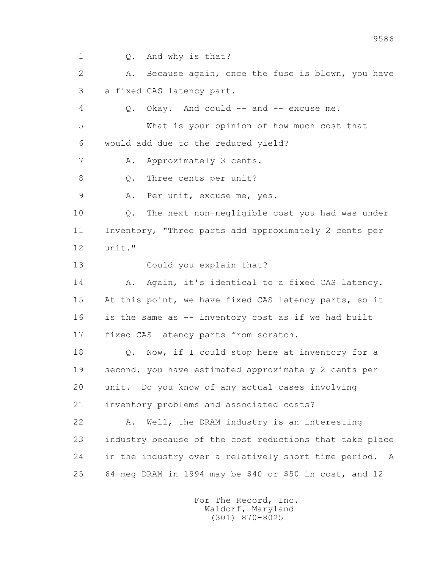1 Q. And why is that? 2 A. Because again, once the fuse is blown, you have 3 a fixed CAS latency part. 4 Q. Okay. And could -- and -- excuse me. 5 What is your opinion of how much cost that 6 would add due to the reduced yield? 7 A. Approximately 3 cents. 8 Q. Three cents per unit? 9 A. Per unit, excuse me, yes. 10 Q. The next non-negligible cost you had was under 11 Inventory, "Three parts add approximately 2 cents per 12 unit." 13 Could you explain that? 14 A. Again, it's identical to a fixed CAS latency. 15 At this point, we have fixed CAS latency parts, so it 16 is the same as -- inventory cost as if we had built 17 fixed CAS latency parts from scratch. 18 Q. Now, if I could stop here at inventory for a 19 second, you have estimated approximately 2 cents per 20 unit. Do you know of any actual cases involving 21 inventory problems and associated costs? 22 A. Well, the DRAM industry is an interesting 23 industry because of the cost reductions that take place 24 in the industry over a relatively short time period. A 25 64-meg DRAM in 1994 may be \$40 or \$50 in cost, and 12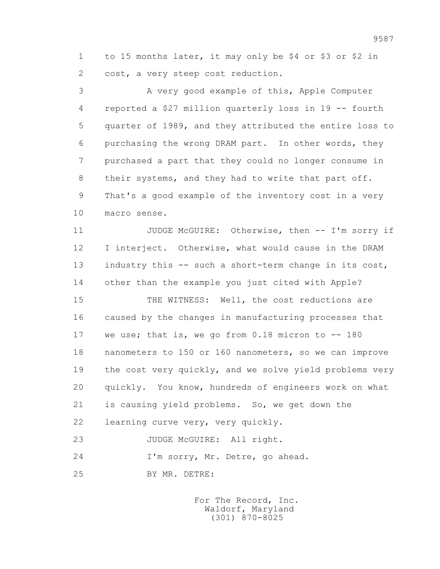1 to 15 months later, it may only be \$4 or \$3 or \$2 in 2 cost, a very steep cost reduction.

 3 A very good example of this, Apple Computer 4 reported a \$27 million quarterly loss in 19 -- fourth 5 quarter of 1989, and they attributed the entire loss to 6 purchasing the wrong DRAM part. In other words, they 7 purchased a part that they could no longer consume in 8 their systems, and they had to write that part off. 9 That's a good example of the inventory cost in a very 10 macro sense.

11 JUDGE McGUIRE: Otherwise, then -- I'm sorry if 12 I interject. Otherwise, what would cause in the DRAM 13 industry this -- such a short-term change in its cost, 14 other than the example you just cited with Apple?

 15 THE WITNESS: Well, the cost reductions are 16 caused by the changes in manufacturing processes that 17 we use; that is, we go from 0.18 micron to -- 180 18 nanometers to 150 or 160 nanometers, so we can improve 19 the cost very quickly, and we solve yield problems very 20 quickly. You know, hundreds of engineers work on what 21 is causing yield problems. So, we get down the 22 learning curve very, very quickly.

23 JUDGE McGUIRE: All right.

24 I'm sorry, Mr. Detre, go ahead.

25 BY MR. DETRE: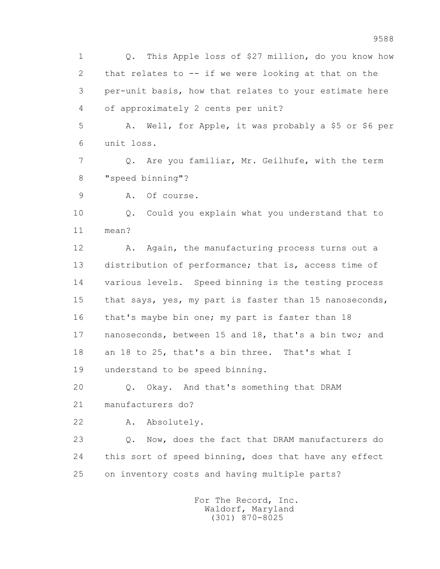1 Q. This Apple loss of \$27 million, do you know how 2 that relates to -- if we were looking at that on the 3 per-unit basis, how that relates to your estimate here 4 of approximately 2 cents per unit?

 5 A. Well, for Apple, it was probably a \$5 or \$6 per 6 unit loss.

 7 Q. Are you familiar, Mr. Geilhufe, with the term 8 "speed binning"?

9 A. Of course.

 10 Q. Could you explain what you understand that to 11 mean?

12 A. Again, the manufacturing process turns out a 13 distribution of performance; that is, access time of 14 various levels. Speed binning is the testing process 15 that says, yes, my part is faster than 15 nanoseconds, 16 that's maybe bin one; my part is faster than 18 17 nanoseconds, between 15 and 18, that's a bin two; and 18 an 18 to 25, that's a bin three. That's what I 19 understand to be speed binning.

20 Q. Okay. And that's something that DRAM

21 manufacturers do?

22 A. Absolutely.

 23 Q. Now, does the fact that DRAM manufacturers do 24 this sort of speed binning, does that have any effect 25 on inventory costs and having multiple parts?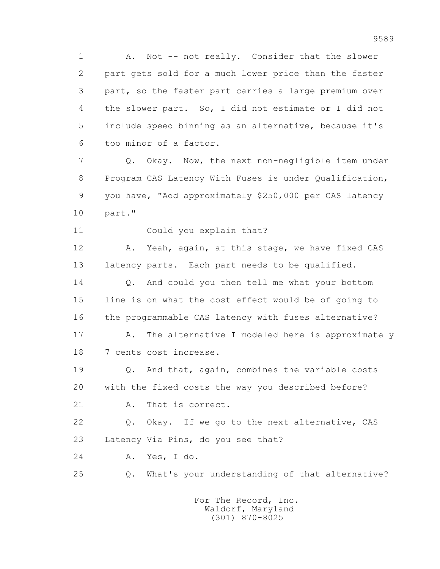1 A. Not -- not really. Consider that the slower 2 part gets sold for a much lower price than the faster 3 part, so the faster part carries a large premium over 4 the slower part. So, I did not estimate or I did not 5 include speed binning as an alternative, because it's 6 too minor of a factor.

 7 Q. Okay. Now, the next non-negligible item under 8 Program CAS Latency With Fuses is under Qualification, 9 you have, "Add approximately \$250,000 per CAS latency 10 part."

11 Could you explain that?

 12 A. Yeah, again, at this stage, we have fixed CAS 13 latency parts. Each part needs to be qualified.

14 0. And could you then tell me what your bottom 15 line is on what the cost effect would be of going to 16 the programmable CAS latency with fuses alternative?

17 A. The alternative I modeled here is approximately 18 7 cents cost increase.

 19 Q. And that, again, combines the variable costs 20 with the fixed costs the way you described before?

21 A. That is correct.

 22 Q. Okay. If we go to the next alternative, CAS 23 Latency Via Pins, do you see that?

24 A. Yes, I do.

25 Q. What's your understanding of that alternative?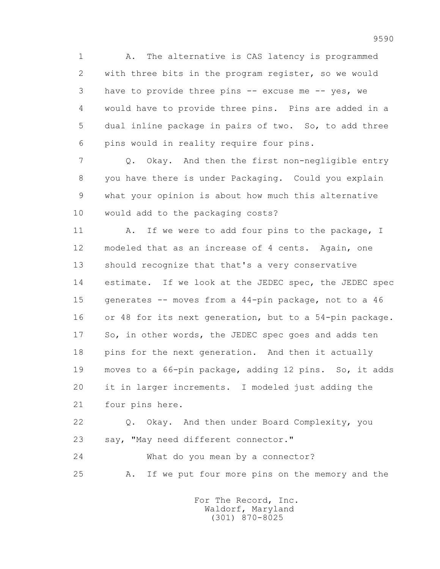1 A. The alternative is CAS latency is programmed 2 with three bits in the program register, so we would 3 have to provide three pins -- excuse me -- yes, we 4 would have to provide three pins. Pins are added in a 5 dual inline package in pairs of two. So, to add three 6 pins would in reality require four pins.

 7 Q. Okay. And then the first non-negligible entry 8 you have there is under Packaging. Could you explain 9 what your opinion is about how much this alternative 10 would add to the packaging costs?

11 A. If we were to add four pins to the package, I 12 modeled that as an increase of 4 cents. Again, one 13 should recognize that that's a very conservative 14 estimate. If we look at the JEDEC spec, the JEDEC spec 15 generates -- moves from a 44-pin package, not to a 46 16 or 48 for its next generation, but to a 54-pin package. 17 So, in other words, the JEDEC spec goes and adds ten 18 pins for the next generation. And then it actually 19 moves to a 66-pin package, adding 12 pins. So, it adds 20 it in larger increments. I modeled just adding the 21 four pins here.

 22 Q. Okay. And then under Board Complexity, you 23 say, "May need different connector."

 24 What do you mean by a connector? 25 A. If we put four more pins on the memory and the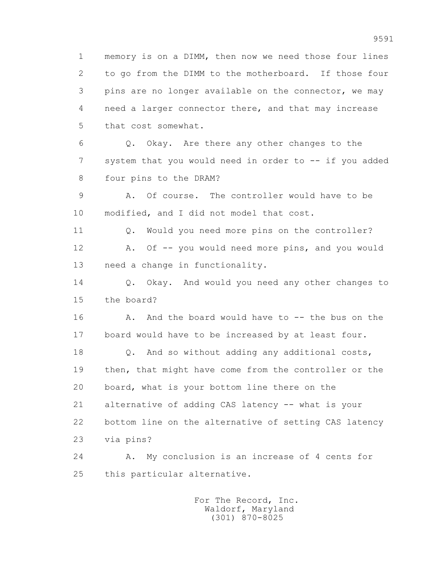1 memory is on a DIMM, then now we need those four lines 2 to go from the DIMM to the motherboard. If those four 3 pins are no longer available on the connector, we may 4 need a larger connector there, and that may increase 5 that cost somewhat. 6 Q. Okay. Are there any other changes to the 7 system that you would need in order to -- if you added 8 four pins to the DRAM? 9 A. Of course. The controller would have to be 10 modified, and I did not model that cost. 11 Q. Would you need more pins on the controller? 12 A. Of -- you would need more pins, and you would 13 need a change in functionality. 14 0. Okay. And would you need any other changes to 15 the board? 16 A. And the board would have to -- the bus on the 17 board would have to be increased by at least four. 18 Q. And so without adding any additional costs, 19 then, that might have come from the controller or the 20 board, what is your bottom line there on the 21 alternative of adding CAS latency -- what is your 22 bottom line on the alternative of setting CAS latency 23 via pins? 24 A. My conclusion is an increase of 4 cents for 25 this particular alternative.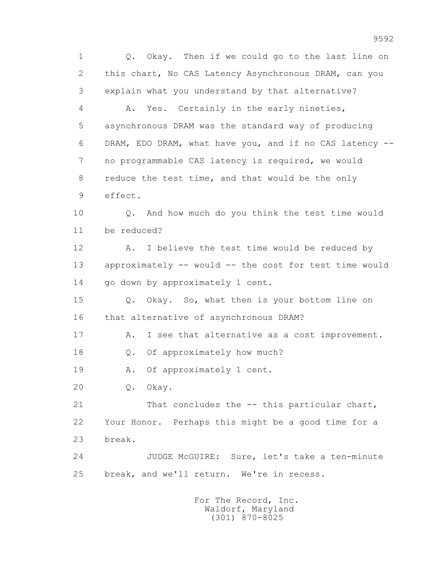1 Q. Okay. Then if we could go to the last line on 2 this chart, No CAS Latency Asynchronous DRAM, can you 3 explain what you understand by that alternative? 4 A. Yes. Certainly in the early nineties, 5 asynchronous DRAM was the standard way of producing 6 DRAM, EDO DRAM, what have you, and if no CAS latency -- 7 no programmable CAS latency is required, we would 8 reduce the test time, and that would be the only 9 effect. 10 Q. And how much do you think the test time would 11 be reduced? 12 A. I believe the test time would be reduced by 13 approximately -- would -- the cost for test time would 14 go down by approximately 1 cent. 15 Q. Okay. So, what then is your bottom line on 16 that alternative of asynchronous DRAM? 17 A. I see that alternative as a cost improvement. 18 Q. Of approximately how much? 19 A. Of approximately 1 cent. 20 Q. Okay. 21 That concludes the -- this particular chart, 22 Your Honor. Perhaps this might be a good time for a 23 break. 24 JUDGE McGUIRE: Sure, let's take a ten-minute 25 break, and we'll return. We're in recess. For The Record, Inc.

 Waldorf, Maryland (301) 870-8025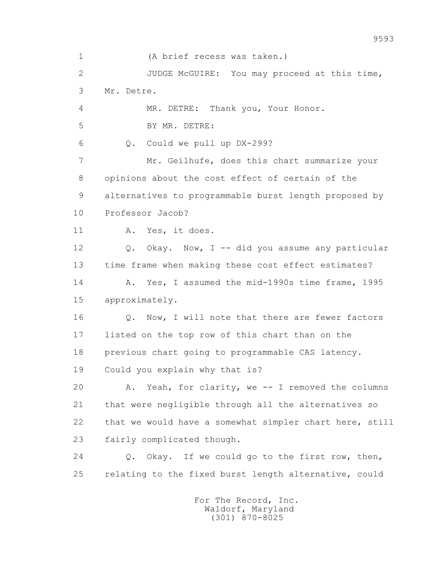1 (A brief recess was taken.) 2 JUDGE McGUIRE: You may proceed at this time, 3 Mr. Detre. 4 MR. DETRE: Thank you, Your Honor. 5 BY MR. DETRE: 6 Q. Could we pull up DX-299? 7 Mr. Geilhufe, does this chart summarize your 8 opinions about the cost effect of certain of the 9 alternatives to programmable burst length proposed by 10 Professor Jacob? 11 A. Yes, it does. 12 Q. Okay. Now, I -- did you assume any particular 13 time frame when making these cost effect estimates? 14 A. Yes, I assumed the mid-1990s time frame, 1995 15 approximately. 16 0. Now, I will note that there are fewer factors 17 listed on the top row of this chart than on the 18 previous chart going to programmable CAS latency. 19 Could you explain why that is? 20 A. Yeah, for clarity, we -- I removed the columns 21 that were negligible through all the alternatives so 22 that we would have a somewhat simpler chart here, still 23 fairly complicated though. 24 Q. Okay. If we could go to the first row, then, 25 relating to the fixed burst length alternative, could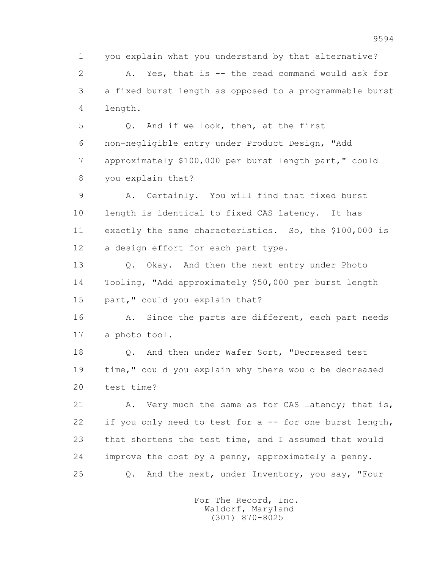1 you explain what you understand by that alternative? 2 A. Yes, that is -- the read command would ask for 3 a fixed burst length as opposed to a programmable burst 4 length.

 5 Q. And if we look, then, at the first 6 non-negligible entry under Product Design, "Add 7 approximately \$100,000 per burst length part," could 8 you explain that?

 9 A. Certainly. You will find that fixed burst 10 length is identical to fixed CAS latency. It has 11 exactly the same characteristics. So, the \$100,000 is 12 a design effort for each part type.

 13 Q. Okay. And then the next entry under Photo 14 Tooling, "Add approximately \$50,000 per burst length 15 part," could you explain that?

16 A. Since the parts are different, each part needs 17 a photo tool.

 18 Q. And then under Wafer Sort, "Decreased test 19 time," could you explain why there would be decreased 20 test time?

21 A. Very much the same as for CAS latency; that is, 22 if you only need to test for a -- for one burst length, 23 that shortens the test time, and I assumed that would 24 improve the cost by a penny, approximately a penny. 25 Q. And the next, under Inventory, you say, "Four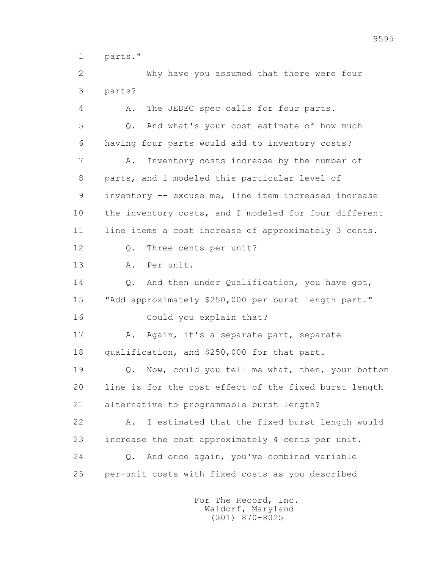1 parts."

 2 Why have you assumed that there were four 3 parts?

 4 A. The JEDEC spec calls for four parts. 5 Q. And what's your cost estimate of how much 6 having four parts would add to inventory costs? 7 A. Inventory costs increase by the number of 8 parts, and I modeled this particular level of 9 inventory -- excuse me, line item increases increase 10 the inventory costs, and I modeled for four different 11 line items a cost increase of approximately 3 cents. 12 Q. Three cents per unit? 13 A. Per unit. 14 0. And then under Qualification, you have got, 15 "Add approximately \$250,000 per burst length part." 16 Could you explain that? 17 A. Again, it's a separate part, separate 18 qualification, and \$250,000 for that part. 19 Q. Now, could you tell me what, then, your bottom 20 line is for the cost effect of the fixed burst length 21 alternative to programmable burst length? 22 A. I estimated that the fixed burst length would 23 increase the cost approximately 4 cents per unit. 24 Q. And once again, you've combined variable 25 per-unit costs with fixed costs as you described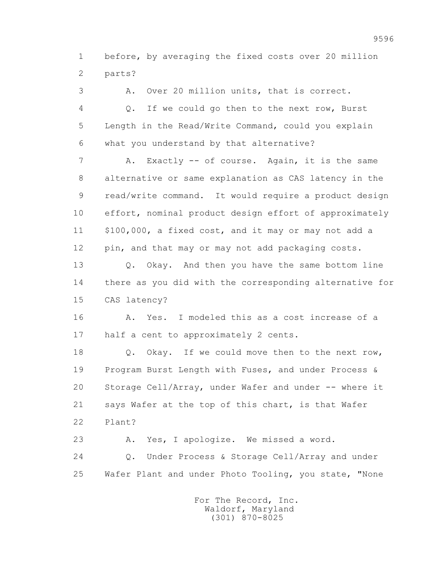1 before, by averaging the fixed costs over 20 million 2 parts?

 3 A. Over 20 million units, that is correct. 4 Q. If we could go then to the next row, Burst 5 Length in the Read/Write Command, could you explain 6 what you understand by that alternative? 7 A. Exactly -- of course. Again, it is the same 8 alternative or same explanation as CAS latency in the 9 read/write command. It would require a product design 10 effort, nominal product design effort of approximately 11 \$100,000, a fixed cost, and it may or may not add a 12 pin, and that may or may not add packaging costs. 13 Q. Okay. And then you have the same bottom line 14 there as you did with the corresponding alternative for 15 CAS latency? 16 A. Yes. I modeled this as a cost increase of a 17 half a cent to approximately 2 cents. 18 Q. Okay. If we could move then to the next row, 19 Program Burst Length with Fuses, and under Process & 20 Storage Cell/Array, under Wafer and under -- where it 21 says Wafer at the top of this chart, is that Wafer 22 Plant? 23 A. Yes, I apologize. We missed a word. 24 Q. Under Process & Storage Cell/Array and under 25 Wafer Plant and under Photo Tooling, you state, "None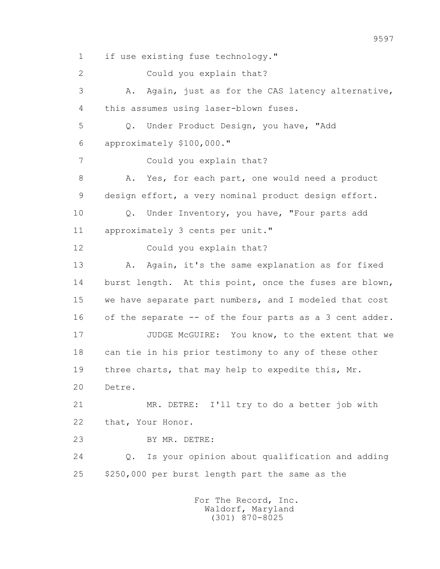1 if use existing fuse technology." 2 Could you explain that? 3 A. Again, just as for the CAS latency alternative, 4 this assumes using laser-blown fuses. 5 Q. Under Product Design, you have, "Add 6 approximately \$100,000." 7 Could you explain that? 8 A. Yes, for each part, one would need a product 9 design effort, a very nominal product design effort. 10 Q. Under Inventory, you have, "Four parts add 11 approximately 3 cents per unit." 12 Could you explain that? 13 A. Again, it's the same explanation as for fixed 14 burst length. At this point, once the fuses are blown, 15 we have separate part numbers, and I modeled that cost 16 of the separate -- of the four parts as a 3 cent adder. 17 JUDGE McGUIRE: You know, to the extent that we 18 can tie in his prior testimony to any of these other 19 three charts, that may help to expedite this, Mr. 20 Detre. 21 MR. DETRE: I'll try to do a better job with 22 that, Your Honor. 23 BY MR. DETRE: 24 Q. Is your opinion about qualification and adding 25 \$250,000 per burst length part the same as the For The Record, Inc.

 Waldorf, Maryland (301) 870-8025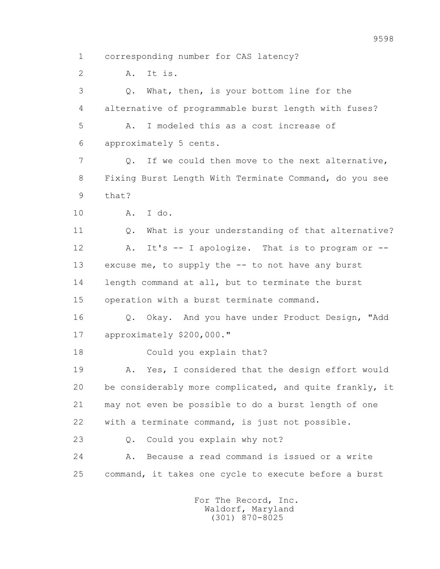1 corresponding number for CAS latency?

2 A. It is.

 3 Q. What, then, is your bottom line for the 4 alternative of programmable burst length with fuses? 5 A. I modeled this as a cost increase of 6 approximately 5 cents. 7 Q. If we could then move to the next alternative, 8 Fixing Burst Length With Terminate Command, do you see 9 that? 10 A. I do. 11 0. What is your understanding of that alternative? 12 A. It's -- I apologize. That is to program or -- 13 excuse me, to supply the -- to not have any burst 14 length command at all, but to terminate the burst 15 operation with a burst terminate command. 16 Q. Okay. And you have under Product Design, "Add 17 approximately \$200,000." 18 Could you explain that? 19 A. Yes, I considered that the design effort would 20 be considerably more complicated, and quite frankly, it 21 may not even be possible to do a burst length of one 22 with a terminate command, is just not possible. 23 Q. Could you explain why not? 24 A. Because a read command is issued or a write 25 command, it takes one cycle to execute before a burst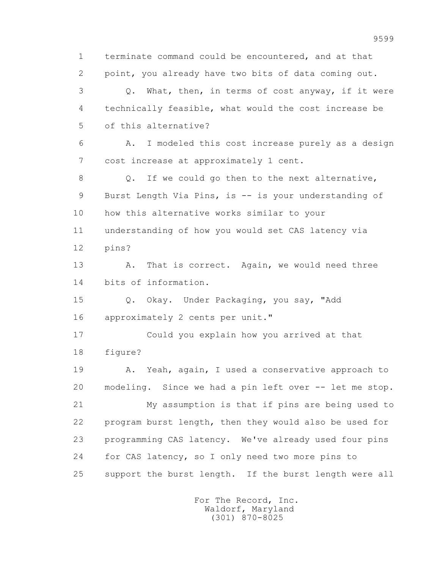1 terminate command could be encountered, and at that 2 point, you already have two bits of data coming out. 3 Q. What, then, in terms of cost anyway, if it were 4 technically feasible, what would the cost increase be 5 of this alternative? 6 A. I modeled this cost increase purely as a design 7 cost increase at approximately 1 cent. 8 Q. If we could go then to the next alternative, 9 Burst Length Via Pins, is -- is your understanding of 10 how this alternative works similar to your 11 understanding of how you would set CAS latency via 12 pins? 13 A. That is correct. Again, we would need three 14 bits of information. 15 Q. Okay. Under Packaging, you say, "Add 16 approximately 2 cents per unit." 17 Could you explain how you arrived at that 18 figure? 19 A. Yeah, again, I used a conservative approach to 20 modeling. Since we had a pin left over -- let me stop. 21 My assumption is that if pins are being used to 22 program burst length, then they would also be used for 23 programming CAS latency. We've already used four pins 24 for CAS latency, so I only need two more pins to 25 support the burst length. If the burst length were all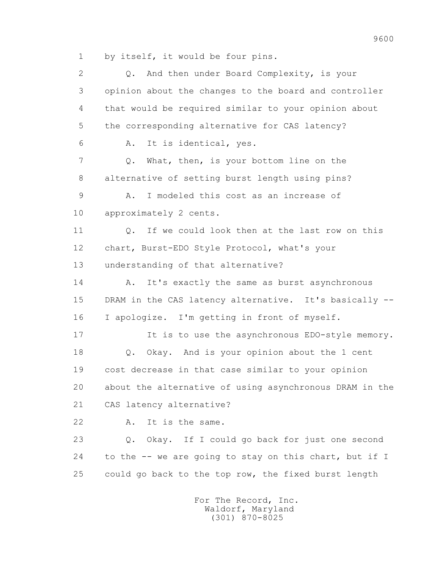1 by itself, it would be four pins.

2 0. And then under Board Complexity, is your 3 opinion about the changes to the board and controller 4 that would be required similar to your opinion about 5 the corresponding alternative for CAS latency? 6 A. It is identical, yes. 7 Q. What, then, is your bottom line on the 8 alternative of setting burst length using pins? 9 A. I modeled this cost as an increase of 10 approximately 2 cents. 11 Q. If we could look then at the last row on this 12 chart, Burst-EDO Style Protocol, what's your 13 understanding of that alternative? 14 A. It's exactly the same as burst asynchronous 15 DRAM in the CAS latency alternative. It's basically -- 16 I apologize. I'm getting in front of myself. 17 17 It is to use the asynchronous EDO-style memory. 18 Q. Okay. And is your opinion about the 1 cent 19 cost decrease in that case similar to your opinion 20 about the alternative of using asynchronous DRAM in the 21 CAS latency alternative? 22 A. It is the same. 23 Q. Okay. If I could go back for just one second 24 to the -- we are going to stay on this chart, but if I 25 could go back to the top row, the fixed burst length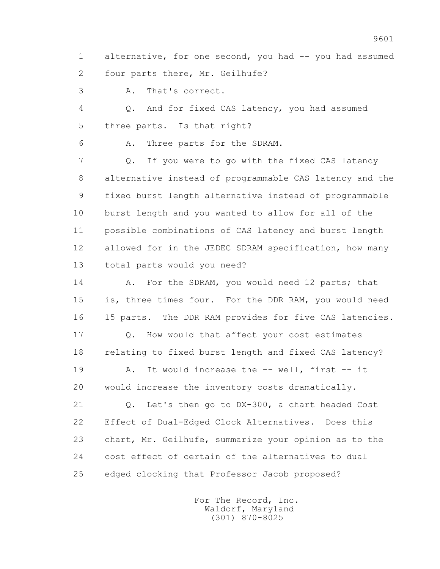1 alternative, for one second, you had -- you had assumed 2 four parts there, Mr. Geilhufe?

3 A. That's correct.

 4 Q. And for fixed CAS latency, you had assumed 5 three parts. Is that right?

6 A. Three parts for the SDRAM.

 7 Q. If you were to go with the fixed CAS latency 8 alternative instead of programmable CAS latency and the 9 fixed burst length alternative instead of programmable 10 burst length and you wanted to allow for all of the 11 possible combinations of CAS latency and burst length 12 allowed for in the JEDEC SDRAM specification, how many 13 total parts would you need?

14 A. For the SDRAM, you would need 12 parts; that 15 is, three times four. For the DDR RAM, you would need 16 15 parts. The DDR RAM provides for five CAS latencies.

17 Q. How would that affect your cost estimates 18 relating to fixed burst length and fixed CAS latency?

 19 A. It would increase the -- well, first -- it 20 would increase the inventory costs dramatically.

 21 Q. Let's then go to DX-300, a chart headed Cost 22 Effect of Dual-Edged Clock Alternatives. Does this 23 chart, Mr. Geilhufe, summarize your opinion as to the 24 cost effect of certain of the alternatives to dual 25 edged clocking that Professor Jacob proposed?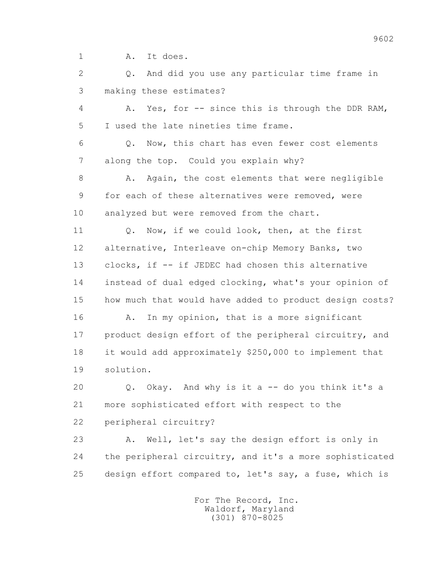1 A. It does.

 2 Q. And did you use any particular time frame in 3 making these estimates? 4 A. Yes, for -- since this is through the DDR RAM, 5 I used the late nineties time frame. 6 Q. Now, this chart has even fewer cost elements 7 along the top. Could you explain why? 8 A. Again, the cost elements that were negligible 9 for each of these alternatives were removed, were 10 analyzed but were removed from the chart. 11 0. Now, if we could look, then, at the first 12 alternative, Interleave on-chip Memory Banks, two 13 clocks, if -- if JEDEC had chosen this alternative 14 instead of dual edged clocking, what's your opinion of 15 how much that would have added to product design costs? 16 A. In my opinion, that is a more significant 17 product design effort of the peripheral circuitry, and 18 it would add approximately \$250,000 to implement that 19 solution. 20 Q. Okay. And why is it a -- do you think it's a 21 more sophisticated effort with respect to the 22 peripheral circuitry? 23 A. Well, let's say the design effort is only in

 24 the peripheral circuitry, and it's a more sophisticated 25 design effort compared to, let's say, a fuse, which is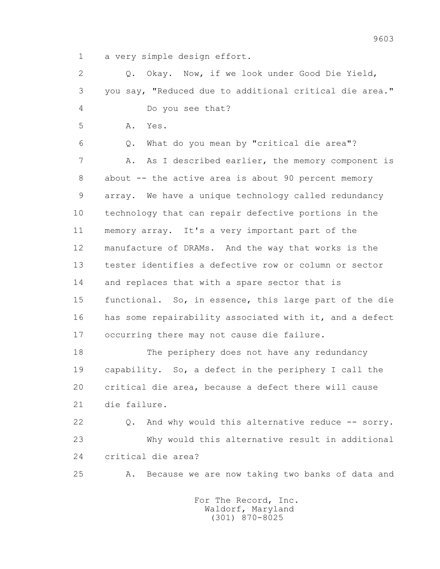1 a very simple design effort.

 2 Q. Okay. Now, if we look under Good Die Yield, 3 you say, "Reduced due to additional critical die area." 4 Do you see that? 5 A. Yes. 6 Q. What do you mean by "critical die area"? 7 A. As I described earlier, the memory component is 8 about -- the active area is about 90 percent memory 9 array. We have a unique technology called redundancy 10 technology that can repair defective portions in the 11 memory array. It's a very important part of the 12 manufacture of DRAMs. And the way that works is the 13 tester identifies a defective row or column or sector 14 and replaces that with a spare sector that is 15 functional. So, in essence, this large part of the die 16 has some repairability associated with it, and a defect 17 occurring there may not cause die failure. 18 The periphery does not have any redundancy

 19 capability. So, a defect in the periphery I call the 20 critical die area, because a defect there will cause 21 die failure.

22 Q. And why would this alternative reduce -- sorry. 23 Why would this alternative result in additional 24 critical die area?

25 A. Because we are now taking two banks of data and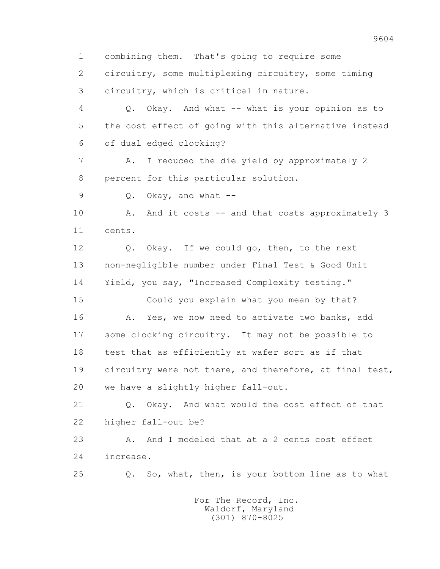1 combining them. That's going to require some 2 circuitry, some multiplexing circuitry, some timing 3 circuitry, which is critical in nature. 4 Q. Okay. And what -- what is your opinion as to 5 the cost effect of going with this alternative instead 6 of dual edged clocking? 7 A. I reduced the die yield by approximately 2 8 percent for this particular solution. 9  $Q.$  Okay, and what  $-$  10 A. And it costs -- and that costs approximately 3 11 cents. 12 Q. Okay. If we could go, then, to the next 13 non-negligible number under Final Test & Good Unit 14 Yield, you say, "Increased Complexity testing." 15 Could you explain what you mean by that? 16 A. Yes, we now need to activate two banks, add 17 some clocking circuitry. It may not be possible to 18 test that as efficiently at wafer sort as if that 19 circuitry were not there, and therefore, at final test, 20 we have a slightly higher fall-out. 21 Q. Okay. And what would the cost effect of that 22 higher fall-out be? 23 A. And I modeled that at a 2 cents cost effect 24 increase. 25 Q. So, what, then, is your bottom line as to what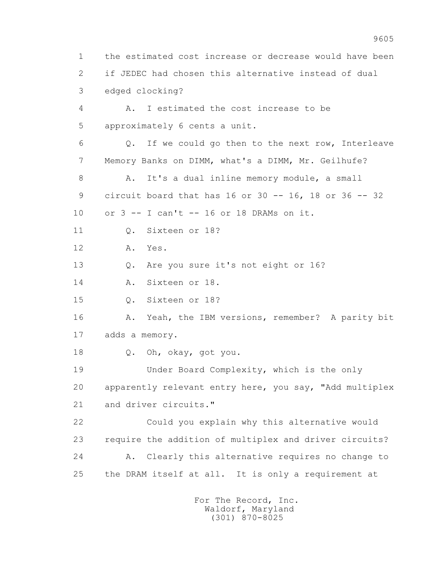1 the estimated cost increase or decrease would have been 2 if JEDEC had chosen this alternative instead of dual 3 edged clocking? 4 A. I estimated the cost increase to be 5 approximately 6 cents a unit. 6 Q. If we could go then to the next row, Interleave 7 Memory Banks on DIMM, what's a DIMM, Mr. Geilhufe? 8 A. It's a dual inline memory module, a small 9 circuit board that has 16 or 30 -- 16, 18 or 36 -- 32 10 or 3 -- I can't -- 16 or 18 DRAMs on it. 11 Q. Sixteen or 18? 12 A. Yes. 13 Q. Are you sure it's not eight or 16? 14 A. Sixteen or 18. 15 Q. Sixteen or 18? 16 A. Yeah, the IBM versions, remember? A parity bit 17 adds a memory. 18 Q. Oh, okay, got you. 19 Under Board Complexity, which is the only 20 apparently relevant entry here, you say, "Add multiplex 21 and driver circuits." 22 Could you explain why this alternative would 23 require the addition of multiplex and driver circuits? 24 A. Clearly this alternative requires no change to 25 the DRAM itself at all. It is only a requirement at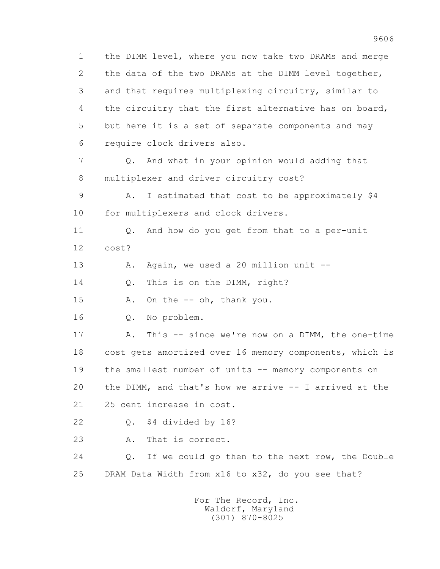1 the DIMM level, where you now take two DRAMs and merge 2 the data of the two DRAMs at the DIMM level together, 3 and that requires multiplexing circuitry, similar to 4 the circuitry that the first alternative has on board, 5 but here it is a set of separate components and may 6 require clock drivers also. 7 Q. And what in your opinion would adding that 8 multiplexer and driver circuitry cost? 9 A. I estimated that cost to be approximately \$4 10 for multiplexers and clock drivers. 11 Q. And how do you get from that to a per-unit 12 cost? 13 A. Again, we used a 20 million unit --14 0. This is on the DIMM, right? 15 A. On the -- oh, thank you. 16 Q. No problem. 17 A. This -- since we're now on a DIMM, the one-time 18 cost gets amortized over 16 memory components, which is 19 the smallest number of units -- memory components on 20 the DIMM, and that's how we arrive -- I arrived at the 21 25 cent increase in cost. 22 Q. \$4 divided by 16? 23 A. That is correct. 24 Q. If we could go then to the next row, the Double 25 DRAM Data Width from x16 to x32, do you see that?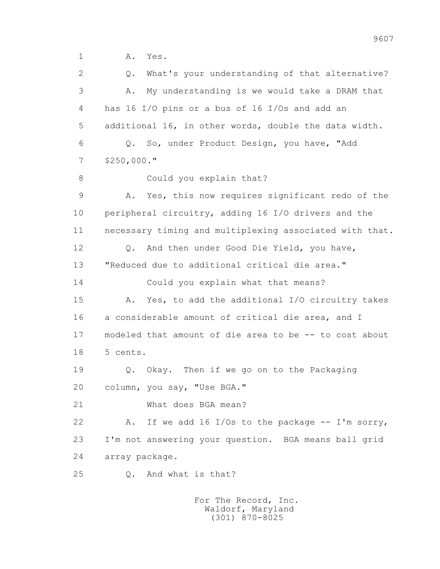2 Q. What's your understanding of that alternative? 3 A. My understanding is we would take a DRAM that 4 has 16 I/O pins or a bus of 16 I/Os and add an 5 additional 16, in other words, double the data width. 6 Q. So, under Product Design, you have, "Add 7 \$250,000." 8 Could you explain that? 9 A. Yes, this now requires significant redo of the 10 peripheral circuitry, adding 16 I/O drivers and the 11 necessary timing and multiplexing associated with that. 12 Q. And then under Good Die Yield, you have, 13 "Reduced due to additional critical die area." 14 Could you explain what that means? 15 A. Yes, to add the additional I/O circuitry takes 16 a considerable amount of critical die area, and I 17 modeled that amount of die area to be -- to cost about 18 5 cents. 19 Q. Okay. Then if we go on to the Packaging 20 column, you say, "Use BGA." 21 What does BGA mean? 22 A. If we add 16 I/Os to the package -- I'm sorry, 23 I'm not answering your question. BGA means ball grid 24 array package. 25 Q. And what is that?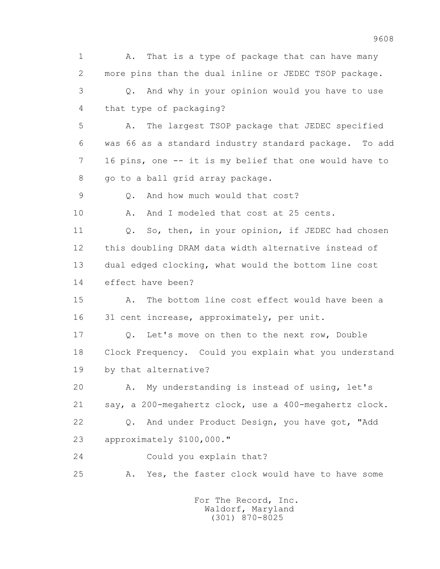1 A. That is a type of package that can have many 2 more pins than the dual inline or JEDEC TSOP package. 3 Q. And why in your opinion would you have to use 4 that type of packaging? 5 A. The largest TSOP package that JEDEC specified 6 was 66 as a standard industry standard package. To add 7 16 pins, one -- it is my belief that one would have to 8 go to a ball grid array package. 9 0. And how much would that cost? 10 A. And I modeled that cost at 25 cents. 11 Q. So, then, in your opinion, if JEDEC had chosen 12 this doubling DRAM data width alternative instead of 13 dual edged clocking, what would the bottom line cost 14 effect have been? 15 A. The bottom line cost effect would have been a 16 31 cent increase, approximately, per unit. 17 Q. Let's move on then to the next row, Double 18 Clock Frequency. Could you explain what you understand 19 by that alternative? 20 A. My understanding is instead of using, let's 21 say, a 200-megahertz clock, use a 400-megahertz clock. 22 Q. And under Product Design, you have got, "Add 23 approximately \$100,000." 24 Could you explain that? 25 A. Yes, the faster clock would have to have some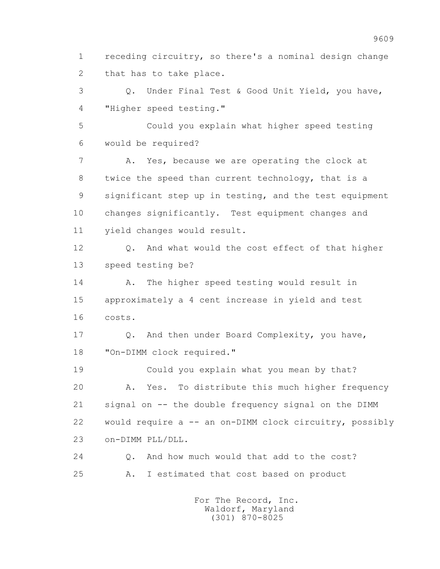1 receding circuitry, so there's a nominal design change 2 that has to take place.

 3 Q. Under Final Test & Good Unit Yield, you have, 4 "Higher speed testing."

 5 Could you explain what higher speed testing 6 would be required?

 7 A. Yes, because we are operating the clock at 8 twice the speed than current technology, that is a 9 significant step up in testing, and the test equipment 10 changes significantly. Test equipment changes and 11 yield changes would result.

 12 Q. And what would the cost effect of that higher 13 speed testing be?

 14 A. The higher speed testing would result in 15 approximately a 4 cent increase in yield and test 16 costs.

 17 Q. And then under Board Complexity, you have, 18 "On-DIMM clock required."

 19 Could you explain what you mean by that? 20 A. Yes. To distribute this much higher frequency 21 signal on -- the double frequency signal on the DIMM 22 would require a -- an on-DIMM clock circuitry, possibly 23 on-DIMM PLL/DLL.

 24 Q. And how much would that add to the cost? 25 A. I estimated that cost based on product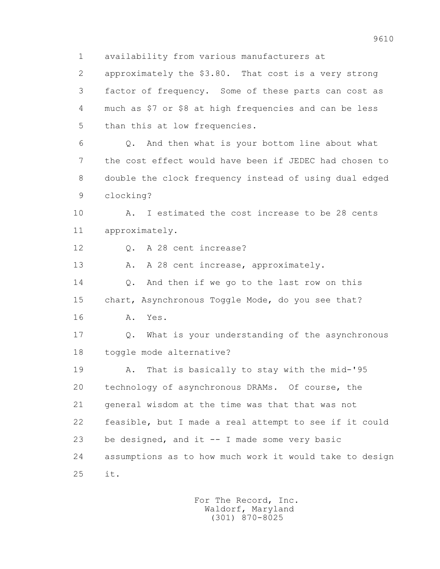1 availability from various manufacturers at

 2 approximately the \$3.80. That cost is a very strong 3 factor of frequency. Some of these parts can cost as 4 much as \$7 or \$8 at high frequencies and can be less 5 than this at low frequencies.

 6 Q. And then what is your bottom line about what 7 the cost effect would have been if JEDEC had chosen to 8 double the clock frequency instead of using dual edged 9 clocking?

 10 A. I estimated the cost increase to be 28 cents 11 approximately.

12 0. A 28 cent increase?

13 A. A 28 cent increase, approximately.

14 O. And then if we go to the last row on this 15 chart, Asynchronous Toggle Mode, do you see that? 16 A. Yes.

 17 Q. What is your understanding of the asynchronous 18 toggle mode alternative?

 19 A. That is basically to stay with the mid-'95 20 technology of asynchronous DRAMs. Of course, the 21 general wisdom at the time was that that was not 22 feasible, but I made a real attempt to see if it could 23 be designed, and it -- I made some very basic 24 assumptions as to how much work it would take to design 25 it.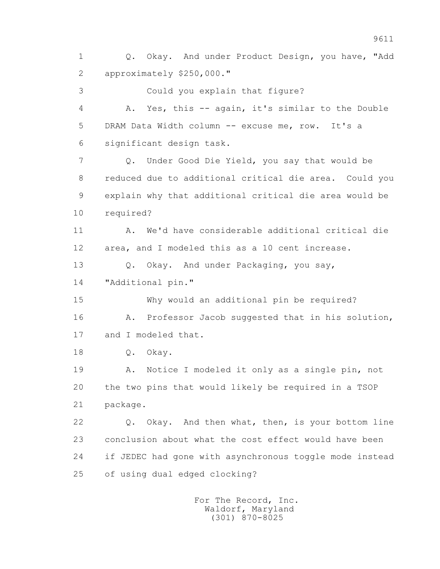2 approximately \$250,000." 3 Could you explain that figure? 4 A. Yes, this -- again, it's similar to the Double 5 DRAM Data Width column -- excuse me, row. It's a 6 significant design task. 7 Q. Under Good Die Yield, you say that would be 8 reduced due to additional critical die area. Could you 9 explain why that additional critical die area would be 10 required? 11 A. We'd have considerable additional critical die 12 area, and I modeled this as a 10 cent increase. 13 Q. Okay. And under Packaging, you say, 14 "Additional pin." 15 Why would an additional pin be required? 16 A. Professor Jacob suggested that in his solution, 17 and I modeled that. 18 Q. Okay. 19 A. Notice I modeled it only as a single pin, not 20 the two pins that would likely be required in a TSOP 21 package. 22 Q. Okay. And then what, then, is your bottom line 23 conclusion about what the cost effect would have been 24 if JEDEC had gone with asynchronous toggle mode instead 25 of using dual edged clocking? For The Record, Inc. Waldorf, Maryland

1 Q. Okay. And under Product Design, you have, "Add

(301) 870-8025

9611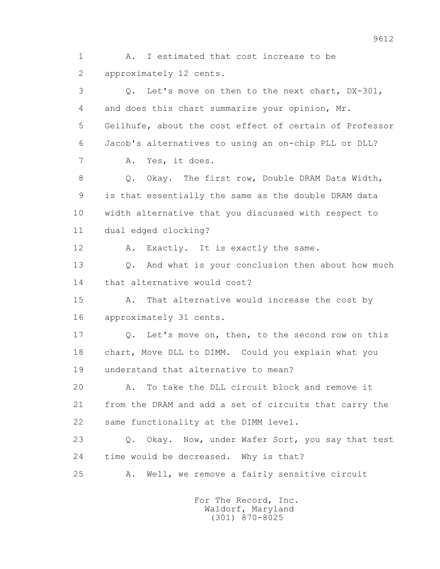1 A. I estimated that cost increase to be 2 approximately 12 cents. 3 Q. Let's move on then to the next chart, DX-301, 4 and does this chart summarize your opinion, Mr.

 5 Geilhufe, about the cost effect of certain of Professor 6 Jacob's alternatives to using an on-chip PLL or DLL?

7 A. Yes, it does.

8 Q. Okay. The first row, Double DRAM Data Width, 9 is that essentially the same as the double DRAM data 10 width alternative that you discussed with respect to 11 dual edged clocking?

12 A. Exactly. It is exactly the same.

 13 Q. And what is your conclusion then about how much 14 that alternative would cost?

 15 A. That alternative would increase the cost by 16 approximately 31 cents.

 17 Q. Let's move on, then, to the second row on this 18 chart, Move DLL to DIMM. Could you explain what you 19 understand that alternative to mean?

 20 A. To take the DLL circuit block and remove it 21 from the DRAM and add a set of circuits that carry the 22 same functionality at the DIMM level.

 23 Q. Okay. Now, under Wafer Sort, you say that test 24 time would be decreased. Why is that?

25 A. Well, we remove a fairly sensitive circuit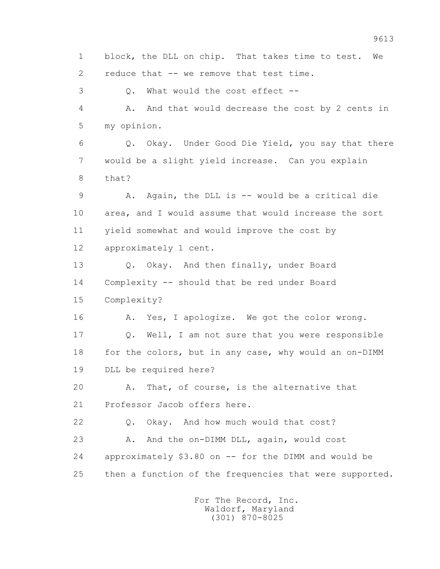1 block, the DLL on chip. That takes time to test. We 2 reduce that -- we remove that test time. 3 Q. What would the cost effect -- 4 A. And that would decrease the cost by 2 cents in 5 my opinion. 6 Q. Okay. Under Good Die Yield, you say that there 7 would be a slight yield increase. Can you explain 8 that? 9 A. Again, the DLL is -- would be a critical die 10 area, and I would assume that would increase the sort 11 yield somewhat and would improve the cost by 12 approximately 1 cent. 13 Q. Okay. And then finally, under Board 14 Complexity -- should that be red under Board 15 Complexity? 16 A. Yes, I apologize. We got the color wrong. 17 Q. Well, I am not sure that you were responsible 18 for the colors, but in any case, why would an on-DIMM 19 DLL be required here? 20 A. That, of course, is the alternative that 21 Professor Jacob offers here. 22 Q. Okay. And how much would that cost? 23 A. And the on-DIMM DLL, again, would cost 24 approximately \$3.80 on -- for the DIMM and would be 25 then a function of the frequencies that were supported. For The Record, Inc. Waldorf, Maryland (301) 870-8025

9613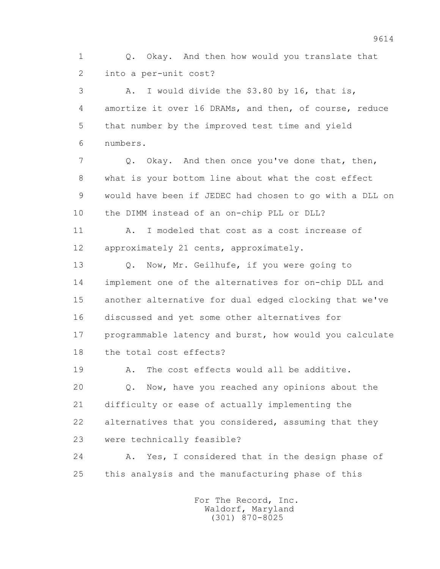1 Q. Okay. And then how would you translate that 2 into a per-unit cost?

 3 A. I would divide the \$3.80 by 16, that is, 4 amortize it over 16 DRAMs, and then, of course, reduce 5 that number by the improved test time and yield 6 numbers.

 7 Q. Okay. And then once you've done that, then, 8 what is your bottom line about what the cost effect 9 would have been if JEDEC had chosen to go with a DLL on 10 the DIMM instead of an on-chip PLL or DLL?

 11 A. I modeled that cost as a cost increase of 12 approximately 21 cents, approximately.

13 O. Now, Mr. Geilhufe, if you were going to 14 implement one of the alternatives for on-chip DLL and 15 another alternative for dual edged clocking that we've 16 discussed and yet some other alternatives for 17 programmable latency and burst, how would you calculate 18 the total cost effects?

 19 A. The cost effects would all be additive. 20 Q. Now, have you reached any opinions about the 21 difficulty or ease of actually implementing the 22 alternatives that you considered, assuming that they 23 were technically feasible?

 24 A. Yes, I considered that in the design phase of 25 this analysis and the manufacturing phase of this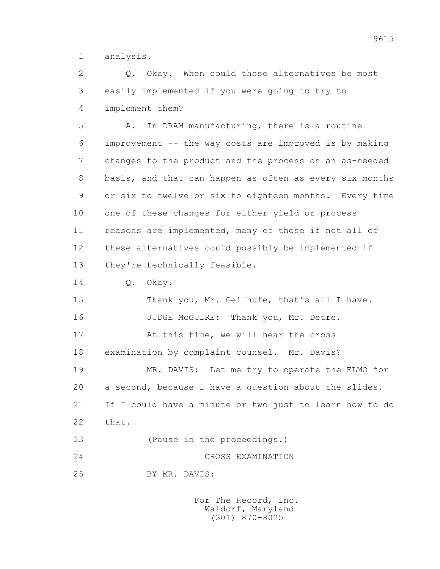1 analysis.

 2 Q. Okay. When could these alternatives be most 3 easily implemented if you were going to try to

4 implement them?

 5 A. In DRAM manufacturing, there is a routine 6 improvement -- the way costs are improved is by making 7 changes to the product and the process on an as-needed 8 basis, and that can happen as often as every six months 9 or six to twelve or six to eighteen months. Every time 10 one of these changes for either yield or process 11 reasons are implemented, many of these if not all of 12 these alternatives could possibly be implemented if 13 they're technically feasible.

14 0. Okay.

15 Thank you, Mr. Geilhufe, that's all I have. 16 JUDGE McGUIRE: Thank you, Mr. Detre. 17 At this time, we will hear the cross 18 examination by complaint counsel. Mr. Davis? 19 MR. DAVIS: Let me try to operate the ELMO for 20 a second, because I have a question about the slides. 21 If I could have a minute or two just to learn how to do 22 that. 23 (Pause in the proceedings.) 24 CROSS EXAMINATION

25 BY MR. DAVIS: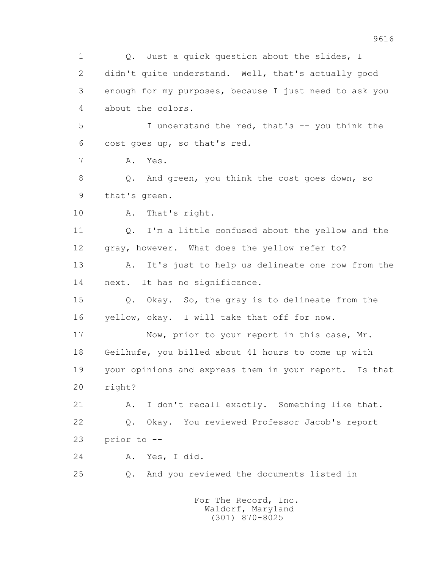1 0. Just a quick question about the slides, I 2 didn't quite understand. Well, that's actually good 3 enough for my purposes, because I just need to ask you 4 about the colors. 5 I understand the red, that's -- you think the 6 cost goes up, so that's red. 7 A. Yes. 8 Q. And green, you think the cost goes down, so 9 that's green. 10 A. That's right. 11 Q. I'm a little confused about the yellow and the 12 gray, however. What does the yellow refer to? 13 A. It's just to help us delineate one row from the 14 next. It has no significance. 15 Q. Okay. So, the gray is to delineate from the 16 yellow, okay. I will take that off for now. 17 Now, prior to your report in this case, Mr. 18 Geilhufe, you billed about 41 hours to come up with 19 your opinions and express them in your report. Is that 20 right? 21 A. I don't recall exactly. Something like that. 22 Q. Okay. You reviewed Professor Jacob's report 23 prior to -- 24 A. Yes, I did. 25 Q. And you reviewed the documents listed in For The Record, Inc.

 Waldorf, Maryland (301) 870-8025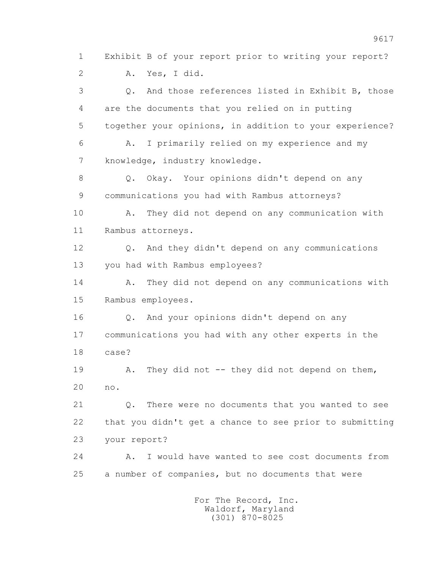9617 1 Exhibit B of your report prior to writing your report? 2 A. Yes, I did. 3 Q. And those references listed in Exhibit B, those 4 are the documents that you relied on in putting 5 together your opinions, in addition to your experience? 6 A. I primarily relied on my experience and my 7 knowledge, industry knowledge. 8 Q. Okay. Your opinions didn't depend on any 9 communications you had with Rambus attorneys? 10 A. They did not depend on any communication with 11 Rambus attorneys. 12 Q. And they didn't depend on any communications 13 you had with Rambus employees? 14 A. They did not depend on any communications with 15 Rambus employees. 16 Q. And your opinions didn't depend on any 17 communications you had with any other experts in the 18 case? 19 A. They did not -- they did not depend on them, 20 no.

> 21 Q. There were no documents that you wanted to see 22 that you didn't get a chance to see prior to submitting 23 your report?

 24 A. I would have wanted to see cost documents from 25 a number of companies, but no documents that were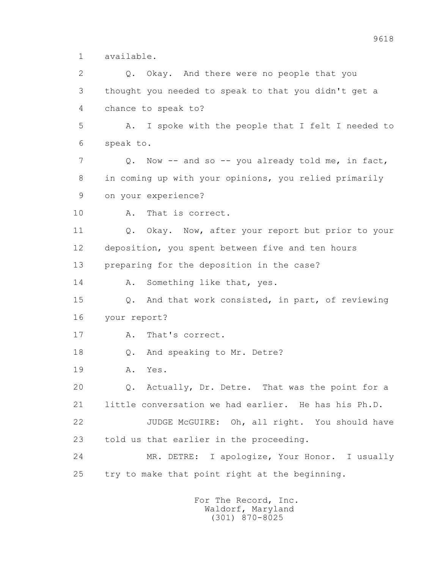1 available.

 2 Q. Okay. And there were no people that you 3 thought you needed to speak to that you didn't get a 4 chance to speak to? 5 A. I spoke with the people that I felt I needed to 6 speak to. 7 Q. Now -- and so -- you already told me, in fact, 8 in coming up with your opinions, you relied primarily 9 on your experience? 10 A. That is correct. 11 Q. Okay. Now, after your report but prior to your 12 deposition, you spent between five and ten hours 13 preparing for the deposition in the case? 14 A. Something like that, yes. 15 Q. And that work consisted, in part, of reviewing 16 your report? 17 A. That's correct. 18 Q. And speaking to Mr. Detre? 19 A. Yes. 20 Q. Actually, Dr. Detre. That was the point for a 21 little conversation we had earlier. He has his Ph.D. 22 JUDGE McGUIRE: Oh, all right. You should have 23 told us that earlier in the proceeding. 24 MR. DETRE: I apologize, Your Honor. I usually 25 try to make that point right at the beginning.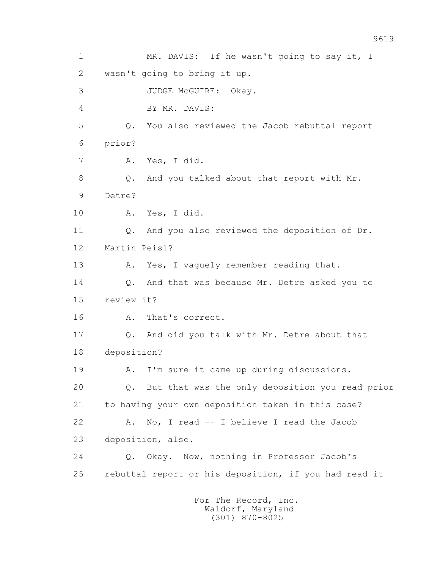1 MR. DAVIS: If he wasn't going to say it, I 2 wasn't going to bring it up. 3 JUDGE McGUIRE: Okay. 4 BY MR. DAVIS: 5 Q. You also reviewed the Jacob rebuttal report 6 prior? 7 A. Yes, I did. 8 Q. And you talked about that report with Mr. 9 Detre? 10 A. Yes, I did. 11 Q. And you also reviewed the deposition of Dr. 12 Martin Peisl? 13 A. Yes, I vaquely remember reading that. 14 Q. And that was because Mr. Detre asked you to 15 review it? 16 A. That's correct. 17 Q. And did you talk with Mr. Detre about that 18 deposition? 19 A. I'm sure it came up during discussions. 20 Q. But that was the only deposition you read prior 21 to having your own deposition taken in this case? 22 A. No, I read -- I believe I read the Jacob 23 deposition, also. 24 Q. Okay. Now, nothing in Professor Jacob's 25 rebuttal report or his deposition, if you had read it For The Record, Inc. Waldorf, Maryland

(301) 870-8025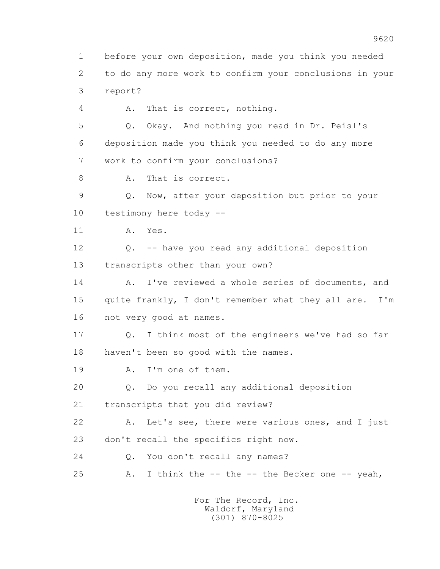1 before your own deposition, made you think you needed 2 to do any more work to confirm your conclusions in your 3 report?

4 A. That is correct, nothing.

 5 Q. Okay. And nothing you read in Dr. Peisl's 6 deposition made you think you needed to do any more 7 work to confirm your conclusions?

8 A. That is correct.

 9 Q. Now, after your deposition but prior to your 10 testimony here today --

11 A. Yes.

 12 Q. -- have you read any additional deposition 13 transcripts other than your own?

14 A. I've reviewed a whole series of documents, and 15 quite frankly, I don't remember what they all are. I'm 16 not very good at names.

 17 Q. I think most of the engineers we've had so far 18 haven't been so good with the names.

19 A. I'm one of them.

20 Q. Do you recall any additional deposition

21 transcripts that you did review?

 22 A. Let's see, there were various ones, and I just 23 don't recall the specifics right now.

24 0. You don't recall any names?

25 A. I think the -- the -- the Becker one -- yeah,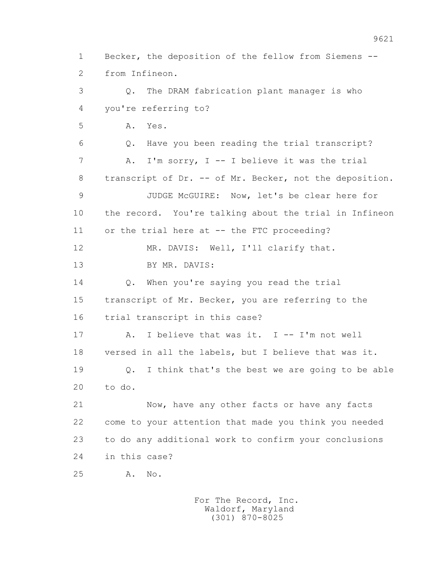1 Becker, the deposition of the fellow from Siemens -- 2 from Infineon. 3 Q. The DRAM fabrication plant manager is who 4 you're referring to? 5 A. Yes. 6 Q. Have you been reading the trial transcript? 7 A. I'm sorry, I -- I believe it was the trial 8 transcript of Dr. -- of Mr. Becker, not the deposition. 9 JUDGE McGUIRE: Now, let's be clear here for 10 the record. You're talking about the trial in Infineon 11 or the trial here at -- the FTC proceeding? 12 MR. DAVIS: Well, I'll clarify that. 13 BY MR. DAVIS: 14 Q. When you're saying you read the trial 15 transcript of Mr. Becker, you are referring to the 16 trial transcript in this case? 17 A. I believe that was it. I -- I'm not well 18 versed in all the labels, but I believe that was it. 19 Q. I think that's the best we are going to be able 20 to do. 21 Now, have any other facts or have any facts 22 come to your attention that made you think you needed 23 to do any additional work to confirm your conclusions 24 in this case? 25 A. No.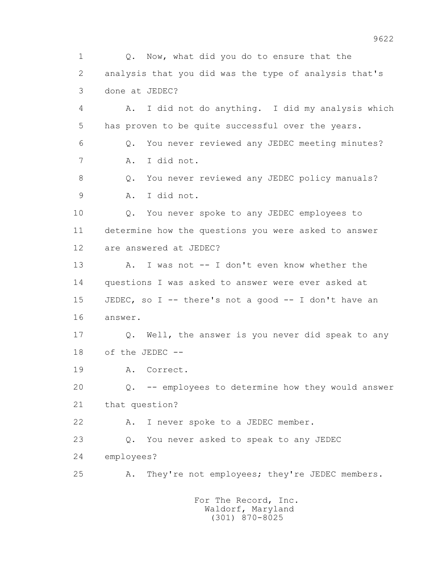1 Q. Now, what did you do to ensure that the 2 analysis that you did was the type of analysis that's 3 done at JEDEC? 4 A. I did not do anything. I did my analysis which 5 has proven to be quite successful over the years. 6 Q. You never reviewed any JEDEC meeting minutes? 7 A. I did not. 8 Q. You never reviewed any JEDEC policy manuals? 9 A. I did not. 10 Q. You never spoke to any JEDEC employees to 11 determine how the questions you were asked to answer 12 are answered at JEDEC? 13 A. I was not -- I don't even know whether the 14 questions I was asked to answer were ever asked at 15 JEDEC, so I -- there's not a good -- I don't have an 16 answer. 17 Q. Well, the answer is you never did speak to any 18 of the JEDEC -- 19 A. Correct. 20 Q. -- employees to determine how they would answer 21 that question? 22 A. I never spoke to a JEDEC member. 23 Q. You never asked to speak to any JEDEC 24 employees? 25 A. They're not employees; they're JEDEC members.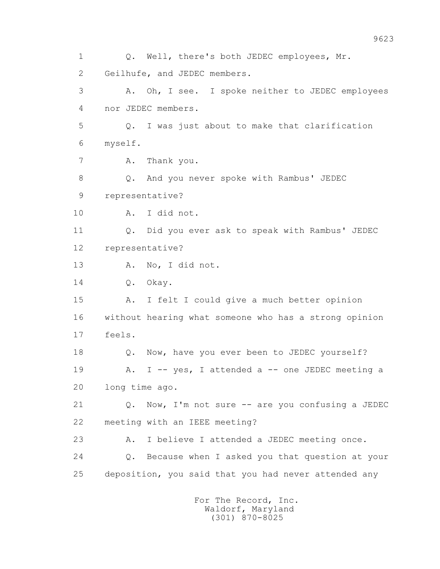1 Q. Well, there's both JEDEC employees, Mr. 2 Geilhufe, and JEDEC members. 3 A. Oh, I see. I spoke neither to JEDEC employees 4 nor JEDEC members. 5 Q. I was just about to make that clarification 6 myself. 7 A. Thank you. 8 Q. And you never spoke with Rambus' JEDEC 9 representative? 10 A. I did not. 11 Q. Did you ever ask to speak with Rambus' JEDEC 12 representative? 13 A. No, I did not. 14 0. Okay. 15 A. I felt I could give a much better opinion 16 without hearing what someone who has a strong opinion 17 feels. 18 Q. Now, have you ever been to JEDEC yourself? 19 A. I -- yes, I attended a -- one JEDEC meeting a 20 long time ago. 21 Q. Now, I'm not sure -- are you confusing a JEDEC 22 meeting with an IEEE meeting? 23 A. I believe I attended a JEDEC meeting once. 24 Q. Because when I asked you that question at your 25 deposition, you said that you had never attended any For The Record, Inc.

 Waldorf, Maryland (301) 870-8025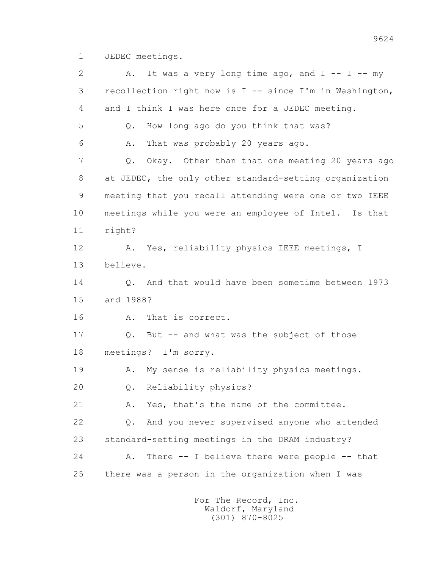1 JEDEC meetings.

2 A. It was a very long time ago, and  $I$  --  $I$  -- my 3 recollection right now is I -- since I'm in Washington, 4 and I think I was here once for a JEDEC meeting. 5 Q. How long ago do you think that was? 6 A. That was probably 20 years ago. 7 Q. Okay. Other than that one meeting 20 years ago 8 at JEDEC, the only other standard-setting organization 9 meeting that you recall attending were one or two IEEE 10 meetings while you were an employee of Intel. Is that 11 right? 12 A. Yes, reliability physics IEEE meetings, I 13 believe. 14 Q. And that would have been sometime between 1973 15 and 1988? 16 A. That is correct. 17 Q. But -- and what was the subject of those 18 meetings? I'm sorry. 19 A. My sense is reliability physics meetings. 20 Q. Reliability physics? 21 A. Yes, that's the name of the committee. 22 Q. And you never supervised anyone who attended 23 standard-setting meetings in the DRAM industry? 24 A. There -- I believe there were people -- that 25 there was a person in the organization when I was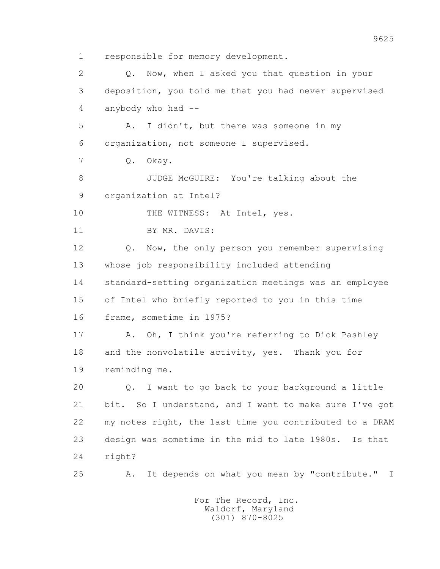1 responsible for memory development. 2 Q. Now, when I asked you that question in your 3 deposition, you told me that you had never supervised 4 anybody who had -- 5 A. I didn't, but there was someone in my 6 organization, not someone I supervised. 7 Q. Okay. 8 JUDGE McGUIRE: You're talking about the 9 organization at Intel? 10 THE WITNESS: At Intel, yes. 11 BY MR. DAVIS: 12 Q. Now, the only person you remember supervising 13 whose job responsibility included attending 14 standard-setting organization meetings was an employee 15 of Intel who briefly reported to you in this time 16 frame, sometime in 1975? 17 A. Oh, I think you're referring to Dick Pashley 18 and the nonvolatile activity, yes. Thank you for 19 reminding me. 20 Q. I want to go back to your background a little 21 bit. So I understand, and I want to make sure I've got 22 my notes right, the last time you contributed to a DRAM 23 design was sometime in the mid to late 1980s. Is that

24 right?

25 A. It depends on what you mean by "contribute." I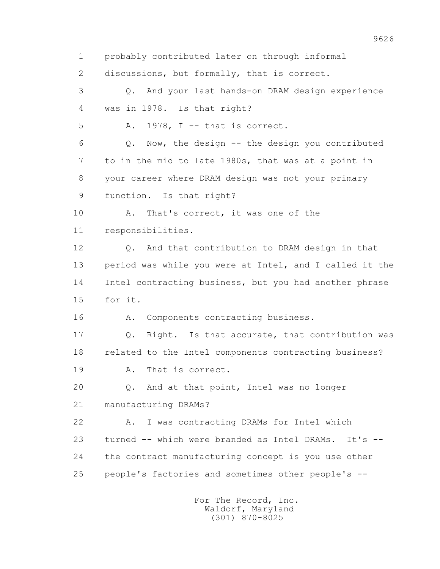1 probably contributed later on through informal 2 discussions, but formally, that is correct.

 3 Q. And your last hands-on DRAM design experience 4 was in 1978. Is that right?

5 A. 1978, I -- that is correct.

 6 Q. Now, the design -- the design you contributed 7 to in the mid to late 1980s, that was at a point in 8 your career where DRAM design was not your primary 9 function. Is that right?

 10 A. That's correct, it was one of the 11 responsibilities.

 12 Q. And that contribution to DRAM design in that 13 period was while you were at Intel, and I called it the 14 Intel contracting business, but you had another phrase 15 for it.

16 A. Components contracting business.

17 Q. Right. Is that accurate, that contribution was 18 related to the Intel components contracting business?

19 A. That is correct.

 20 Q. And at that point, Intel was no longer 21 manufacturing DRAMs?

 22 A. I was contracting DRAMs for Intel which 23 turned -- which were branded as Intel DRAMs. It's -- 24 the contract manufacturing concept is you use other 25 people's factories and sometimes other people's --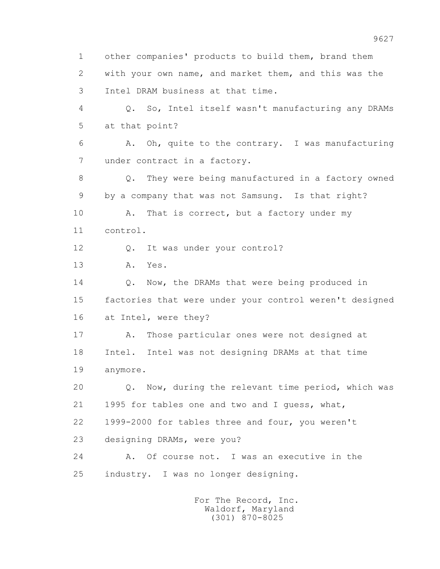1 other companies' products to build them, brand them 2 with your own name, and market them, and this was the 3 Intel DRAM business at that time. 4 Q. So, Intel itself wasn't manufacturing any DRAMs 5 at that point? 6 A. Oh, quite to the contrary. I was manufacturing 7 under contract in a factory. 8 Q. They were being manufactured in a factory owned 9 by a company that was not Samsung. Is that right? 10 A. That is correct, but a factory under my 11 control. 12 Q. It was under your control? 13 A. Yes. 14 0. Now, the DRAMs that were being produced in 15 factories that were under your control weren't designed 16 at Intel, were they? 17 A. Those particular ones were not designed at 18 Intel. Intel was not designing DRAMs at that time 19 anymore. 20 Q. Now, during the relevant time period, which was 21 1995 for tables one and two and I guess, what, 22 1999-2000 for tables three and four, you weren't 23 designing DRAMs, were you? 24 A. Of course not. I was an executive in the 25 industry. I was no longer designing.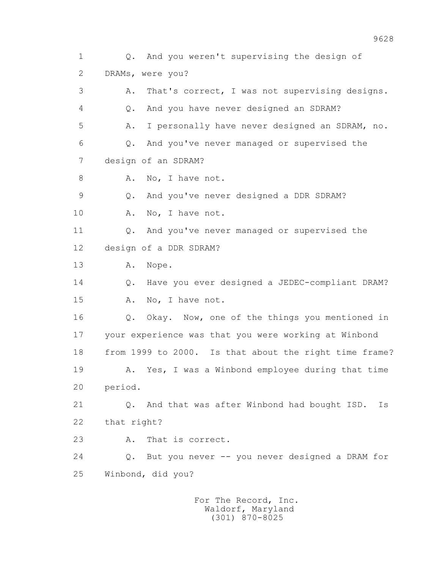1 Q. And you weren't supervising the design of 2 DRAMs, were you? 3 A. That's correct, I was not supervising designs. 4 Q. And you have never designed an SDRAM? 5 A. I personally have never designed an SDRAM, no. 6 Q. And you've never managed or supervised the 7 design of an SDRAM? 8 A. No, I have not. 9 Q. And you've never designed a DDR SDRAM? 10 A. No, I have not. 11 O. And you've never managed or supervised the 12 design of a DDR SDRAM? 13 A. Nope. 14 Q. Have you ever designed a JEDEC-compliant DRAM? 15 A. No, I have not. 16 Q. Okay. Now, one of the things you mentioned in 17 your experience was that you were working at Winbond 18 from 1999 to 2000. Is that about the right time frame? 19 A. Yes, I was a Winbond employee during that time 20 period. 21 Q. And that was after Winbond had bought ISD. Is 22 that right? 23 A. That is correct. 24 Q. But you never -- you never designed a DRAM for 25 Winbond, did you?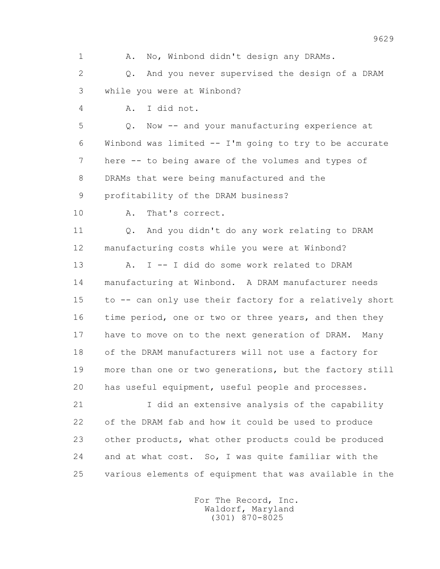1 A. No, Winbond didn't design any DRAMs. 2 Q. And you never supervised the design of a DRAM 3 while you were at Winbond? 4 A. I did not. 5 Q. Now -- and your manufacturing experience at 6 Winbond was limited -- I'm going to try to be accurate 7 here -- to being aware of the volumes and types of 8 DRAMs that were being manufactured and the 9 profitability of the DRAM business? 10 A. That's correct. 11 Q. And you didn't do any work relating to DRAM 12 manufacturing costs while you were at Winbond? 13 A. I -- I did do some work related to DRAM 14 manufacturing at Winbond. A DRAM manufacturer needs 15 to -- can only use their factory for a relatively short 16 time period, one or two or three years, and then they 17 have to move on to the next generation of DRAM. Many 18 of the DRAM manufacturers will not use a factory for 19 more than one or two generations, but the factory still 20 has useful equipment, useful people and processes. 21 I did an extensive analysis of the capability 22 of the DRAM fab and how it could be used to produce 23 other products, what other products could be produced 24 and at what cost. So, I was quite familiar with the 25 various elements of equipment that was available in the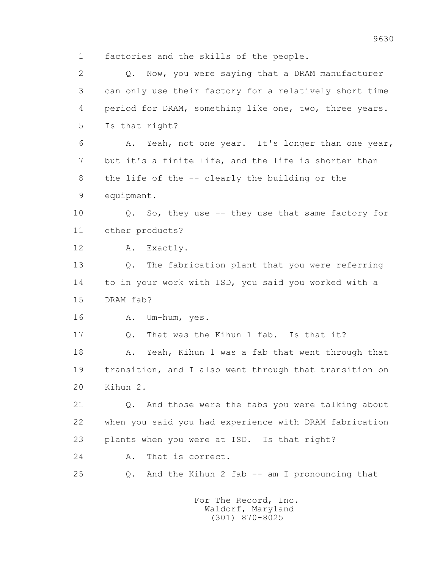1 factories and the skills of the people.

 2 Q. Now, you were saying that a DRAM manufacturer 3 can only use their factory for a relatively short time 4 period for DRAM, something like one, two, three years. 5 Is that right? 6 A. Yeah, not one year. It's longer than one year, 7 but it's a finite life, and the life is shorter than 8 the life of the -- clearly the building or the 9 equipment. 10 Q. So, they use -- they use that same factory for 11 other products? 12 A. Exactly. 13 Q. The fabrication plant that you were referring 14 to in your work with ISD, you said you worked with a 15 DRAM fab? 16 A. Um-hum, yes. 17 Q. That was the Kihun 1 fab. Is that it? 18 A. Yeah, Kihun 1 was a fab that went through that 19 transition, and I also went through that transition on 20 Kihun 2. 21 Q. And those were the fabs you were talking about 22 when you said you had experience with DRAM fabrication 23 plants when you were at ISD. Is that right? 24 A. That is correct. 25 Q. And the Kihun 2 fab -- am I pronouncing that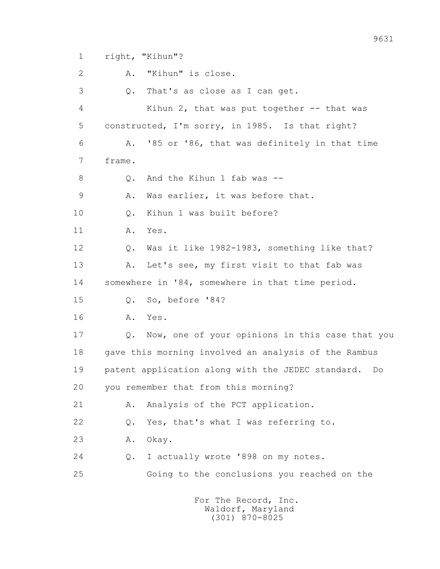1 right, "Kihun"?

 2 A. "Kihun" is close. 3 Q. That's as close as I can get. 4 Kihun 2, that was put together -- that was 5 constructed, I'm sorry, in 1985. Is that right? 6 A. '85 or '86, that was definitely in that time 7 frame. 8 0. And the Kihun 1 fab was -- 9 A. Was earlier, it was before that. 10 Q. Kihun 1 was built before? 11 A. Yes. 12 Q. Was it like 1982-1983, something like that? 13 A. Let's see, my first visit to that fab was 14 somewhere in '84, somewhere in that time period. 15 Q. So, before '84? 16 A. Yes. 17 Q. Now, one of your opinions in this case that you 18 gave this morning involved an analysis of the Rambus 19 patent application along with the JEDEC standard. Do 20 you remember that from this morning? 21 A. Analysis of the PCT application. 22 Q. Yes, that's what I was referring to. 23 A. Okay. 24 Q. I actually wrote '898 on my notes. 25 Going to the conclusions you reached on the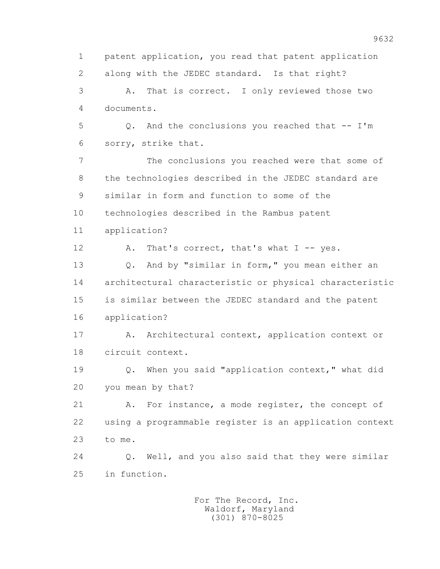1 patent application, you read that patent application 2 along with the JEDEC standard. Is that right? 3 A. That is correct. I only reviewed those two 4 documents. 5 Q. And the conclusions you reached that -- I'm 6 sorry, strike that. 7 The conclusions you reached were that some of 8 the technologies described in the JEDEC standard are 9 similar in form and function to some of the 10 technologies described in the Rambus patent 11 application? 12 A. That's correct, that's what I -- yes. 13 Q. And by "similar in form," you mean either an 14 architectural characteristic or physical characteristic 15 is similar between the JEDEC standard and the patent 16 application? 17 A. Architectural context, application context or 18 circuit context. 19 Q. When you said "application context," what did 20 you mean by that? 21 A. For instance, a mode register, the concept of 22 using a programmable register is an application context 23 to me. 24 Q. Well, and you also said that they were similar 25 in function.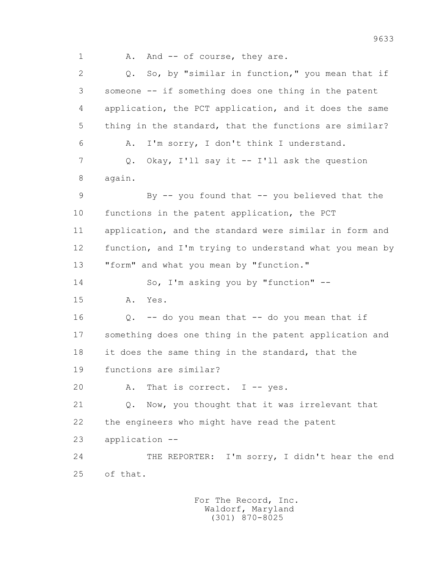1 A. And -- of course, they are.

 2 Q. So, by "similar in function," you mean that if 3 someone -- if something does one thing in the patent 4 application, the PCT application, and it does the same 5 thing in the standard, that the functions are similar? 6 A. I'm sorry, I don't think I understand. 7 Q. Okay, I'll say it -- I'll ask the question 8 again. 9 By -- you found that -- you believed that the 10 functions in the patent application, the PCT 11 application, and the standard were similar in form and 12 function, and I'm trying to understand what you mean by 13 "form" and what you mean by "function." 14 So, I'm asking you by "function" -- 15 A. Yes. 16 Q. -- do you mean that -- do you mean that if 17 something does one thing in the patent application and 18 it does the same thing in the standard, that the 19 functions are similar? 20 A. That is correct. I -- yes. 21 Q. Now, you thought that it was irrelevant that 22 the engineers who might have read the patent 23 application -- 24 THE REPORTER: I'm sorry, I didn't hear the end 25 of that.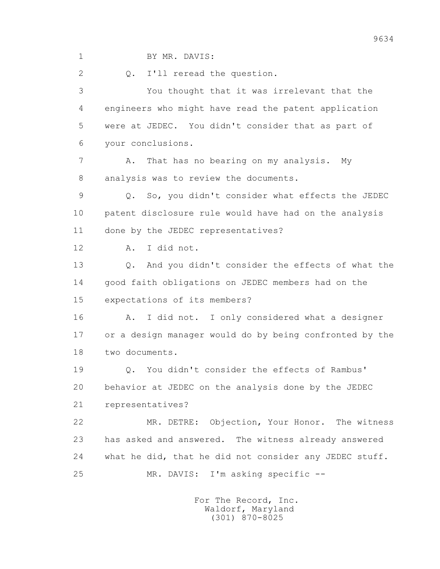1 BY MR. DAVIS:

2 0. I'll reread the question.

 3 You thought that it was irrelevant that the 4 engineers who might have read the patent application 5 were at JEDEC. You didn't consider that as part of 6 your conclusions.

7 A. That has no bearing on my analysis. My 8 analysis was to review the documents.

 9 Q. So, you didn't consider what effects the JEDEC 10 patent disclosure rule would have had on the analysis 11 done by the JEDEC representatives?

12 A. I did not.

 13 Q. And you didn't consider the effects of what the 14 good faith obligations on JEDEC members had on the 15 expectations of its members?

 16 A. I did not. I only considered what a designer 17 or a design manager would do by being confronted by the 18 two documents.

 19 Q. You didn't consider the effects of Rambus' 20 behavior at JEDEC on the analysis done by the JEDEC 21 representatives?

 22 MR. DETRE: Objection, Your Honor. The witness 23 has asked and answered. The witness already answered 24 what he did, that he did not consider any JEDEC stuff. 25 MR. DAVIS: I'm asking specific --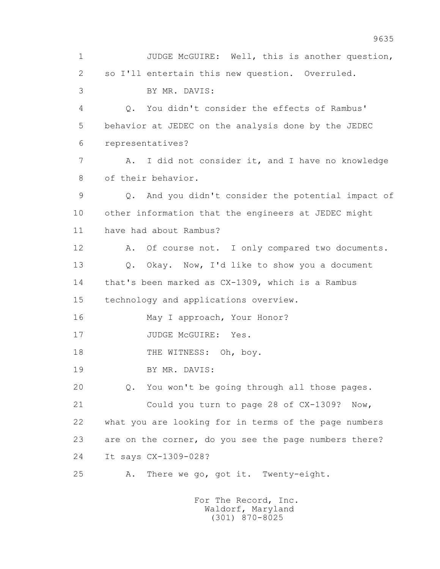1 JUDGE McGUIRE: Well, this is another question, 2 so I'll entertain this new question. Overruled. 3 BY MR. DAVIS: 4 Q. You didn't consider the effects of Rambus' 5 behavior at JEDEC on the analysis done by the JEDEC 6 representatives? 7 A. I did not consider it, and I have no knowledge 8 of their behavior. 9 Q. And you didn't consider the potential impact of 10 other information that the engineers at JEDEC might 11 have had about Rambus? 12 A. Of course not. I only compared two documents. 13 0. Okay. Now, I'd like to show you a document 14 that's been marked as CX-1309, which is a Rambus 15 technology and applications overview. 16 May I approach, Your Honor? 17 JUDGE McGUIRE: Yes. 18 THE WITNESS: Oh, boy. 19 BY MR. DAVIS: 20 Q. You won't be going through all those pages. 21 Could you turn to page 28 of CX-1309? Now, 22 what you are looking for in terms of the page numbers 23 are on the corner, do you see the page numbers there? 24 It says CX-1309-028? 25 A. There we go, got it. Twenty-eight.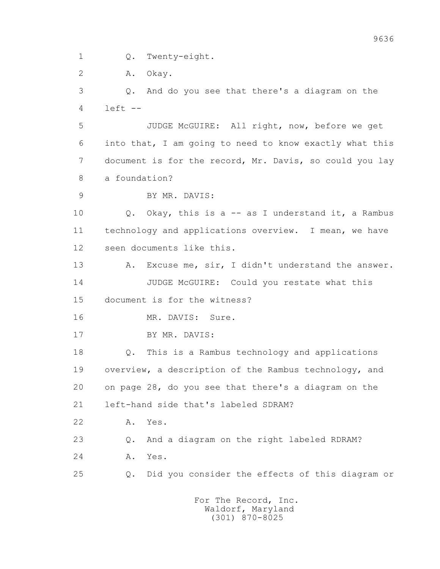1 Q. Twenty-eight.

2 A. Okay.

 3 Q. And do you see that there's a diagram on the  $4 \cdot 1$ eft  $-$ 

 5 JUDGE McGUIRE: All right, now, before we get 6 into that, I am going to need to know exactly what this 7 document is for the record, Mr. Davis, so could you lay 8 a foundation?

9 BY MR. DAVIS:

 10 Q. Okay, this is a -- as I understand it, a Rambus 11 technology and applications overview. I mean, we have 12 seen documents like this.

 13 A. Excuse me, sir, I didn't understand the answer. 14 JUDGE McGUIRE: Could you restate what this 15 document is for the witness?

16 MR. DAVIS: Sure.

17 BY MR. DAVIS:

 18 Q. This is a Rambus technology and applications 19 overview, a description of the Rambus technology, and 20 on page 28, do you see that there's a diagram on the 21 left-hand side that's labeled SDRAM?

22 A. Yes.

23 Q. And a diagram on the right labeled RDRAM?

24 A. Yes.

25 Q. Did you consider the effects of this diagram or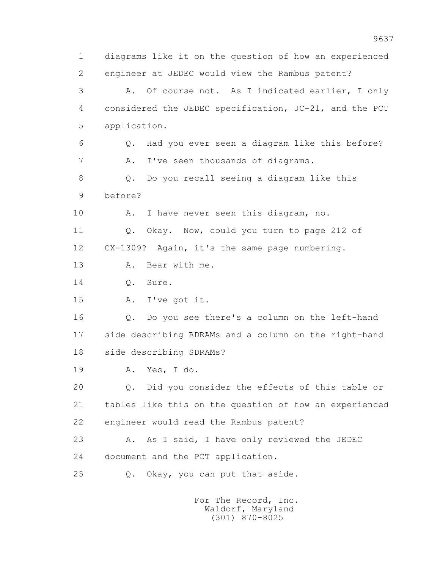1 diagrams like it on the question of how an experienced 2 engineer at JEDEC would view the Rambus patent? 3 A. Of course not. As I indicated earlier, I only 4 considered the JEDEC specification, JC-21, and the PCT 5 application. 6 Q. Had you ever seen a diagram like this before? 7 A. I've seen thousands of diagrams. 8 Q. Do you recall seeing a diagram like this 9 before? 10 A. I have never seen this diagram, no. 11 Q. Okay. Now, could you turn to page 212 of 12 CX-1309? Again, it's the same page numbering. 13 A. Bear with me. 14 Q. Sure. 15 A. I've got it. 16 Q. Do you see there's a column on the left-hand 17 side describing RDRAMs and a column on the right-hand 18 side describing SDRAMs? 19 A. Yes, I do. 20 Q. Did you consider the effects of this table or 21 tables like this on the question of how an experienced 22 engineer would read the Rambus patent? 23 A. As I said, I have only reviewed the JEDEC 24 document and the PCT application. 25 Q. Okay, you can put that aside.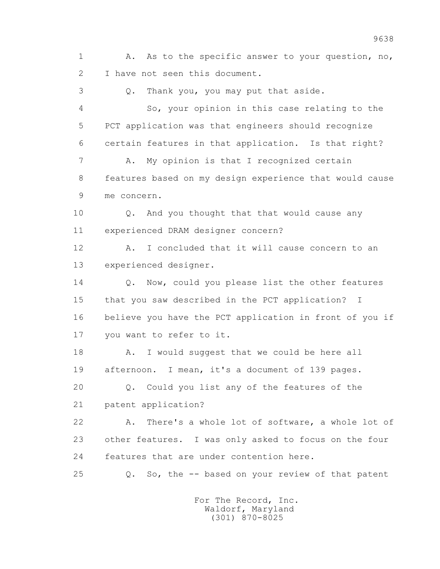1 A. As to the specific answer to your question, no, 2 I have not seen this document.

 3 Q. Thank you, you may put that aside. 4 So, your opinion in this case relating to the 5 PCT application was that engineers should recognize 6 certain features in that application. Is that right? 7 A. My opinion is that I recognized certain 8 features based on my design experience that would cause 9 me concern. 10 Q. And you thought that that would cause any 11 experienced DRAM designer concern? 12 A. I concluded that it will cause concern to an 13 experienced designer. 14 0. Now, could you please list the other features 15 that you saw described in the PCT application? I 16 believe you have the PCT application in front of you if 17 you want to refer to it. 18 A. I would suggest that we could be here all 19 afternoon. I mean, it's a document of 139 pages. 20 Q. Could you list any of the features of the 21 patent application?

 22 A. There's a whole lot of software, a whole lot of 23 other features. I was only asked to focus on the four 24 features that are under contention here.

25 Q. So, the -- based on your review of that patent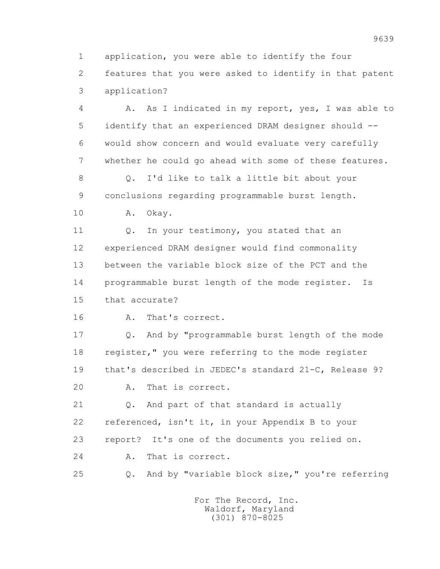1 application, you were able to identify the four 2 features that you were asked to identify in that patent 3 application?

 4 A. As I indicated in my report, yes, I was able to 5 identify that an experienced DRAM designer should -- 6 would show concern and would evaluate very carefully 7 whether he could go ahead with some of these features.

 8 Q. I'd like to talk a little bit about your 9 conclusions regarding programmable burst length.

10 A. Okay.

11 Q. In your testimony, you stated that an 12 experienced DRAM designer would find commonality 13 between the variable block size of the PCT and the 14 programmable burst length of the mode register. Is 15 that accurate?

16 A. That's correct.

 17 Q. And by "programmable burst length of the mode 18 register," you were referring to the mode register 19 that's described in JEDEC's standard 21-C, Release 9? 20 A. That is correct.

 21 Q. And part of that standard is actually 22 referenced, isn't it, in your Appendix B to your 23 report? It's one of the documents you relied on. 24 A. That is correct.

25 Q. And by "variable block size," you're referring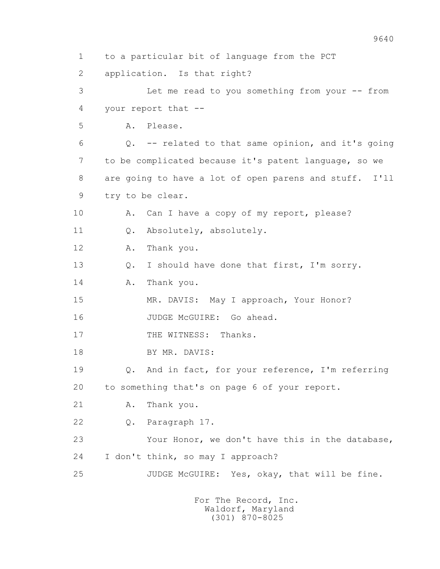1 to a particular bit of language from the PCT 2 application. Is that right? 3 Let me read to you something from your -- from 4 your report that -- 5 A. Please. 6 Q. -- related to that same opinion, and it's going 7 to be complicated because it's patent language, so we 8 are going to have a lot of open parens and stuff. I'll 9 try to be clear. 10 A. Can I have a copy of my report, please? 11 Q. Absolutely, absolutely. 12 A. Thank you. 13 0. I should have done that first, I'm sorry. 14 A. Thank you. 15 MR. DAVIS: May I approach, Your Honor? 16 JUDGE McGUIRE: Go ahead. 17 THE WITNESS: Thanks. 18 BY MR. DAVIS: 19 Q. And in fact, for your reference, I'm referring 20 to something that's on page 6 of your report. 21 A. Thank you. 22 Q. Paragraph 17. 23 Your Honor, we don't have this in the database, 24 I don't think, so may I approach? 25 JUDGE McGUIRE: Yes, okay, that will be fine.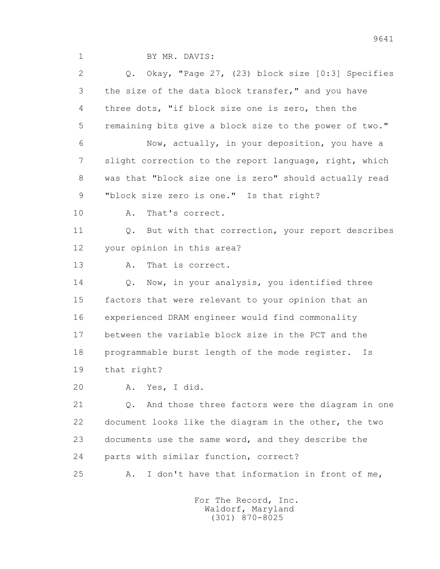1 BY MR. DAVIS:

 2 Q. Okay, "Page 27, (23) block size [0:3] Specifies 3 the size of the data block transfer," and you have 4 three dots, "if block size one is zero, then the 5 remaining bits give a block size to the power of two." 6 Now, actually, in your deposition, you have a 7 slight correction to the report language, right, which 8 was that "block size one is zero" should actually read 9 "block size zero is one." Is that right? 10 A. That's correct. 11 Q. But with that correction, your report describes 12 your opinion in this area? 13 A. That is correct. 14 Q. Now, in your analysis, you identified three 15 factors that were relevant to your opinion that an 16 experienced DRAM engineer would find commonality 17 between the variable block size in the PCT and the 18 programmable burst length of the mode register. Is 19 that right? 20 A. Yes, I did. 21 Q. And those three factors were the diagram in one 22 document looks like the diagram in the other, the two 23 documents use the same word, and they describe the 24 parts with similar function, correct? 25 A. I don't have that information in front of me,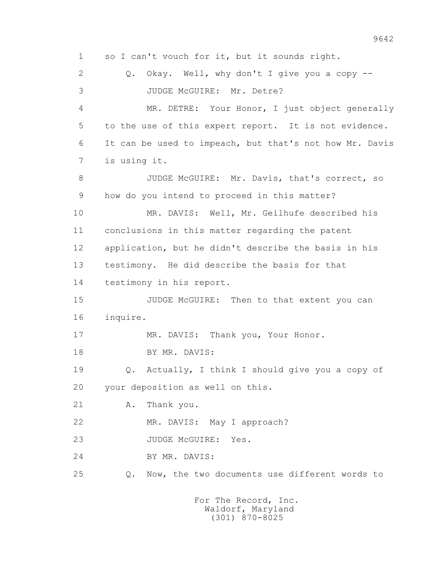1 so I can't vouch for it, but it sounds right. 2 0. Okay. Well, why don't I give you a copy -- 3 JUDGE McGUIRE: Mr. Detre? 4 MR. DETRE: Your Honor, I just object generally 5 to the use of this expert report. It is not evidence. 6 It can be used to impeach, but that's not how Mr. Davis 7 is using it. 8 JUDGE McGUIRE: Mr. Davis, that's correct, so 9 how do you intend to proceed in this matter? 10 MR. DAVIS: Well, Mr. Geilhufe described his 11 conclusions in this matter regarding the patent 12 application, but he didn't describe the basis in his 13 testimony. He did describe the basis for that 14 testimony in his report. 15 JUDGE McGUIRE: Then to that extent you can 16 inquire. 17 MR. DAVIS: Thank you, Your Honor. 18 BY MR. DAVIS: 19 Q. Actually, I think I should give you a copy of 20 your deposition as well on this. 21 A. Thank you. 22 MR. DAVIS: May I approach? 23 JUDGE McGUIRE: Yes. 24 BY MR. DAVIS: 25 Q. Now, the two documents use different words to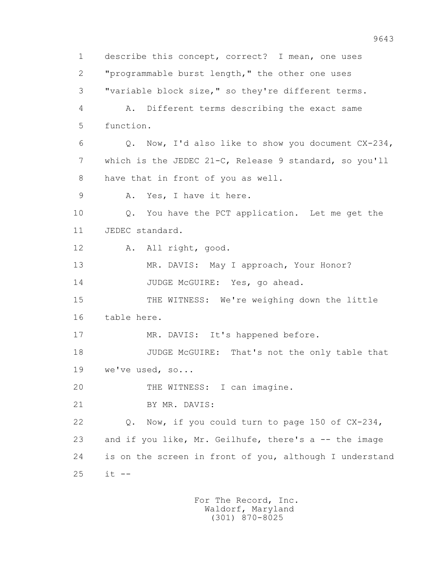1 describe this concept, correct? I mean, one uses 2 "programmable burst length," the other one uses 3 "variable block size," so they're different terms. 4 A. Different terms describing the exact same 5 function. 6 Q. Now, I'd also like to show you document CX-234, 7 which is the JEDEC 21-C, Release 9 standard, so you'll 8 have that in front of you as well. 9 A. Yes, I have it here. 10 Q. You have the PCT application. Let me get the 11 JEDEC standard. 12 A. All right, good. 13 MR. DAVIS: May I approach, Your Honor? 14 JUDGE McGUIRE: Yes, go ahead. 15 THE WITNESS: We're weighing down the little 16 table here. 17 MR. DAVIS: It's happened before. 18 JUDGE McGUIRE: That's not the only table that 19 we've used, so... 20 THE WITNESS: I can imagine. 21 BY MR. DAVIS: 22 Q. Now, if you could turn to page 150 of CX-234, 23 and if you like, Mr. Geilhufe, there's a -- the image 24 is on the screen in front of you, although I understand 25 it --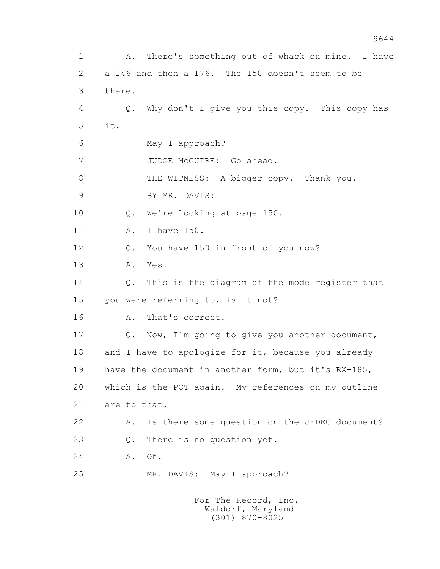1 A. There's something out of whack on mine. I have 2 a 146 and then a 176. The 150 doesn't seem to be 3 there. 4 Q. Why don't I give you this copy. This copy has 5 it. 6 May I approach? 7 JUDGE McGUIRE: Go ahead. 8 THE WITNESS: A bigger copy. Thank you. 9 BY MR. DAVIS: 10 Q. We're looking at page 150. 11 A. I have 150. 12 Q. You have 150 in front of you now? 13 A. Yes. 14 Q. This is the diagram of the mode register that 15 you were referring to, is it not? 16 A. That's correct. 17 Q. Now, I'm going to give you another document, 18 and I have to apologize for it, because you already 19 have the document in another form, but it's RX-185, 20 which is the PCT again. My references on my outline 21 are to that. 22 A. Is there some question on the JEDEC document? 23 Q. There is no question yet. 24 A. Oh. 25 MR. DAVIS: May I approach? For The Record, Inc. Waldorf, Maryland (301) 870-8025

9644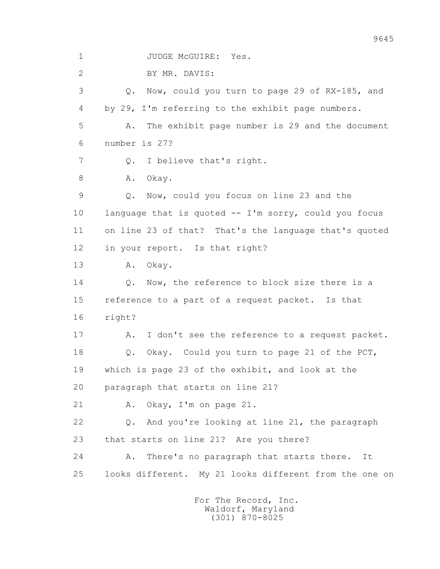1 JUDGE McGUIRE: Yes.

2 BY MR. DAVIS:

 3 Q. Now, could you turn to page 29 of RX-185, and 4 by 29, I'm referring to the exhibit page numbers. 5 A. The exhibit page number is 29 and the document 6 number is 27? 7 0. I believe that's right. 8 A. Okay. 9 Q. Now, could you focus on line 23 and the 10 language that is quoted -- I'm sorry, could you focus 11 on line 23 of that? That's the language that's quoted 12 in your report. Is that right? 13 A. Okay. 14 0. Now, the reference to block size there is a 15 reference to a part of a request packet. Is that 16 right? 17 A. I don't see the reference to a request packet. 18 Q. Okay. Could you turn to page 21 of the PCT, 19 which is page 23 of the exhibit, and look at the 20 paragraph that starts on line 21? 21 A. Okay, I'm on page 21. 22 Q. And you're looking at line 21, the paragraph 23 that starts on line 21? Are you there? 24 A. There's no paragraph that starts there. It 25 looks different. My 21 looks different from the one on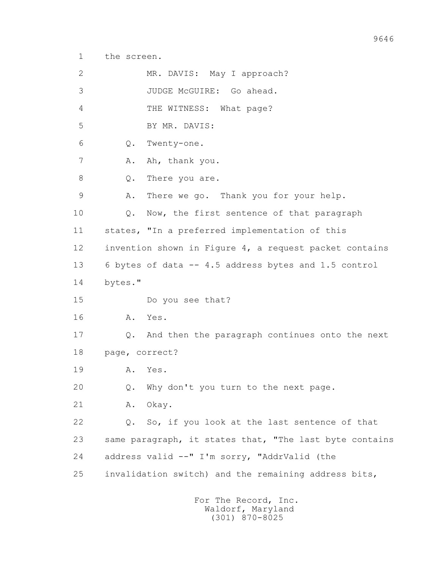1 the screen.

| $\mathbf{2}$ | MR. DAVIS: May I approach?                              |
|--------------|---------------------------------------------------------|
| 3            | JUDGE McGUIRE: Go ahead.                                |
| 4            | THE WITNESS: What page?                                 |
| 5            | BY MR. DAVIS:                                           |
| 6            | Q.<br>Twenty-one.                                       |
| 7            | Ah, thank you.<br>Α.                                    |
| 8            | There you are.<br>Q.                                    |
| 9            | There we go. Thank you for your help.<br>Α.             |
| 10           | Now, the first sentence of that paragraph<br>Q.         |
| 11           | states, "In a preferred implementation of this          |
| 12           | invention shown in Figure 4, a request packet contains  |
| 13           | 6 bytes of data -- 4.5 address bytes and 1.5 control    |
| 14           | bytes."                                                 |
| 15           | Do you see that?                                        |
| 16           | Yes.<br>A.                                              |
| 17           | Q. And then the paragraph continues onto the next       |
| 18           | page, correct?                                          |
| 19           | Yes.<br>Α.                                              |
| 20           | Why don't you turn to the next page.<br>Q.              |
| 21           | Okay.<br>Α.                                             |
| 22           | So, if you look at the last sentence of that<br>Q.      |
| 23           | same paragraph, it states that, "The last byte contains |
| 24           | address valid --" I'm sorry, "AddrValid (the            |
| 25           | invalidation switch) and the remaining address bits,    |
|              |                                                         |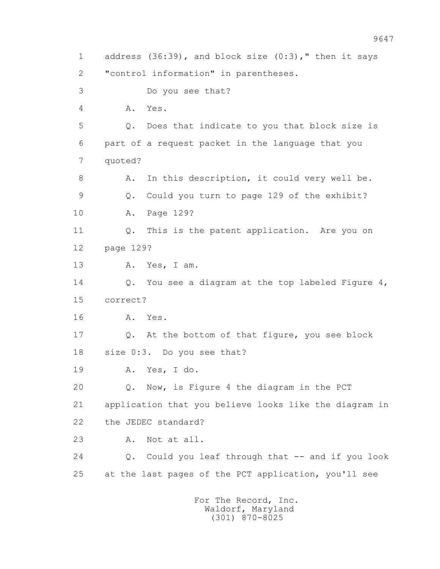1 address (36:39), and block size (0:3)," then it says 2 "control information" in parentheses. 3 Do you see that? 4 A. Yes. 5 Q. Does that indicate to you that block size is 6 part of a request packet in the language that you 7 quoted? 8 A. In this description, it could very well be. 9 Q. Could you turn to page 129 of the exhibit? 10 A. Page 129? 11 Q. This is the patent application. Are you on 12 page 129? 13 A. Yes, I am. 14 Q. You see a diagram at the top labeled Figure 4, 15 correct? 16 A. Yes. 17 Q. At the bottom of that figure, you see block 18 size 0:3. Do you see that? 19 A. Yes, I do. 20 Q. Now, is Figure 4 the diagram in the PCT 21 application that you believe looks like the diagram in 22 the JEDEC standard? 23 A. Not at all. 24 Q. Could you leaf through that -- and if you look 25 at the last pages of the PCT application, you'll see For The Record, Inc.

 Waldorf, Maryland (301) 870-8025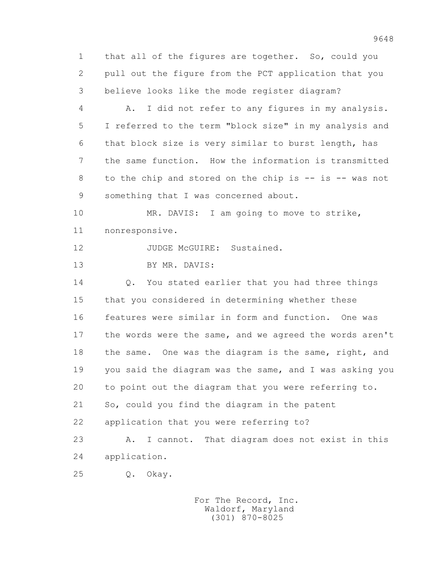1 that all of the figures are together. So, could you 2 pull out the figure from the PCT application that you 3 believe looks like the mode register diagram?

 4 A. I did not refer to any figures in my analysis. 5 I referred to the term "block size" in my analysis and 6 that block size is very similar to burst length, has 7 the same function. How the information is transmitted 8 to the chip and stored on the chip is -- is -- was not 9 something that I was concerned about.

10 MR. DAVIS: I am going to move to strike, 11 nonresponsive.

12 JUDGE McGUIRE: Sustained.

13 BY MR. DAVIS:

14 0. You stated earlier that you had three things 15 that you considered in determining whether these 16 features were similar in form and function. One was 17 the words were the same, and we agreed the words aren't 18 the same. One was the diagram is the same, right, and 19 you said the diagram was the same, and I was asking you 20 to point out the diagram that you were referring to. 21 So, could you find the diagram in the patent 22 application that you were referring to? 23 A. I cannot. That diagram does not exist in this

24 application.

25 Q. Okay.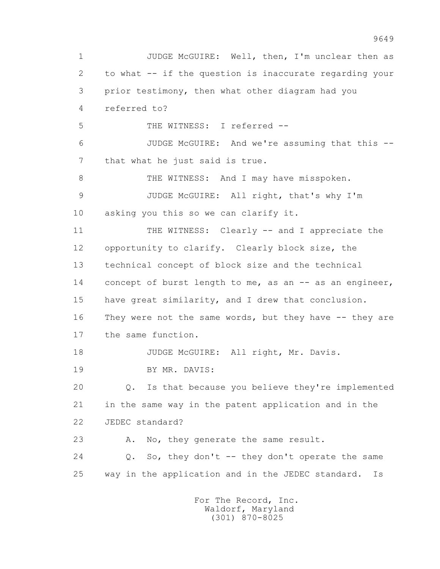1 JUDGE McGUIRE: Well, then, I'm unclear then as 2 to what -- if the question is inaccurate regarding your 3 prior testimony, then what other diagram had you 4 referred to? 5 THE WITNESS: I referred -- 6 JUDGE McGUIRE: And we're assuming that this -- 7 that what he just said is true. 8 THE WITNESS: And I may have misspoken. 9 JUDGE McGUIRE: All right, that's why I'm 10 asking you this so we can clarify it. 11 THE WITNESS: Clearly -- and I appreciate the 12 opportunity to clarify. Clearly block size, the 13 technical concept of block size and the technical 14 concept of burst length to me, as an -- as an engineer, 15 have great similarity, and I drew that conclusion. 16 They were not the same words, but they have -- they are 17 the same function. 18 JUDGE McGUIRE: All right, Mr. Davis. 19 BY MR. DAVIS: 20 Q. Is that because you believe they're implemented 21 in the same way in the patent application and in the 22 JEDEC standard? 23 A. No, they generate the same result. 24 Q. So, they don't -- they don't operate the same 25 way in the application and in the JEDEC standard. Is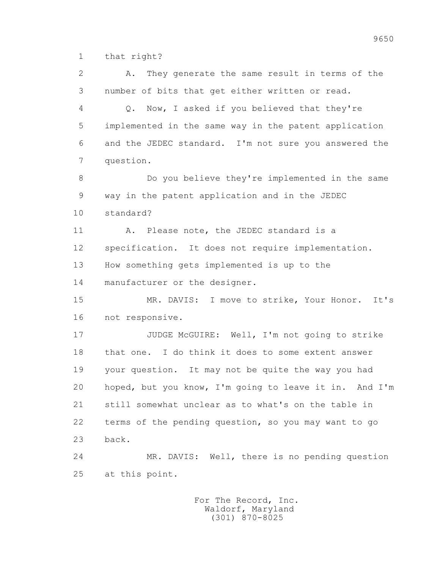1 that right?

 2 A. They generate the same result in terms of the 3 number of bits that get either written or read. 4 Q. Now, I asked if you believed that they're 5 implemented in the same way in the patent application 6 and the JEDEC standard. I'm not sure you answered the 7 question. 8 Do you believe they're implemented in the same 9 way in the patent application and in the JEDEC 10 standard? 11 A. Please note, the JEDEC standard is a 12 specification. It does not require implementation. 13 How something gets implemented is up to the 14 manufacturer or the designer. 15 MR. DAVIS: I move to strike, Your Honor. It's 16 not responsive. 17 JUDGE McGUIRE: Well, I'm not going to strike 18 that one. I do think it does to some extent answer 19 your question. It may not be quite the way you had 20 hoped, but you know, I'm going to leave it in. And I'm 21 still somewhat unclear as to what's on the table in 22 terms of the pending question, so you may want to go 23 back. 24 MR. DAVIS: Well, there is no pending question 25 at this point.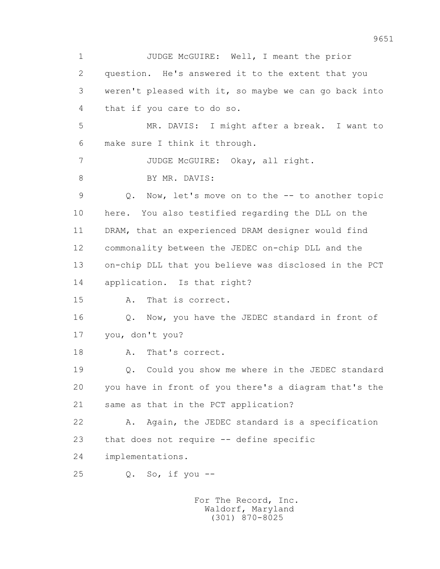1 JUDGE McGUIRE: Well, I meant the prior 2 question. He's answered it to the extent that you 3 weren't pleased with it, so maybe we can go back into 4 that if you care to do so. 5 MR. DAVIS: I might after a break. I want to 6 make sure I think it through. 7 JUDGE McGUIRE: Okay, all right. 8 BY MR. DAVIS: 9 Q. Now, let's move on to the -- to another topic 10 here. You also testified regarding the DLL on the 11 DRAM, that an experienced DRAM designer would find 12 commonality between the JEDEC on-chip DLL and the 13 on-chip DLL that you believe was disclosed in the PCT 14 application. Is that right? 15 A. That is correct. 16 Q. Now, you have the JEDEC standard in front of 17 you, don't you? 18 A. That's correct. 19 Q. Could you show me where in the JEDEC standard 20 you have in front of you there's a diagram that's the 21 same as that in the PCT application? 22 A. Again, the JEDEC standard is a specification 23 that does not require -- define specific 24 implementations. 25 Q. So, if you --

 For The Record, Inc. Waldorf, Maryland (301) 870-8025

9651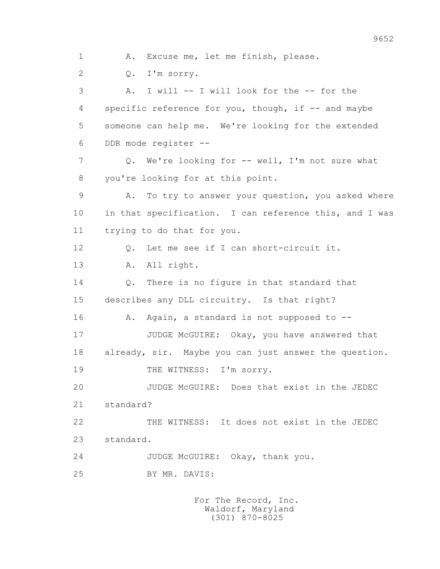1 A. Excuse me, let me finish, please. 2 Q. I'm sorry. 3 A. I will -- I will look for the -- for the 4 specific reference for you, though, if -- and maybe 5 someone can help me. We're looking for the extended 6 DDR mode register -- 7 Q. We're looking for -- well, I'm not sure what 8 you're looking for at this point. 9 A. To try to answer your question, you asked where 10 in that specification. I can reference this, and I was 11 trying to do that for you. 12 Q. Let me see if I can short-circuit it. 13 A. All right. 14 Q. There is no figure in that standard that 15 describes any DLL circuitry. Is that right? 16 A. Again, a standard is not supposed to --17 JUDGE McGUIRE: Okay, you have answered that 18 already, sir. Maybe you can just answer the question. 19 THE WITNESS: I'm sorry. 20 JUDGE McGUIRE: Does that exist in the JEDEC 21 standard? 22 THE WITNESS: It does not exist in the JEDEC 23 standard. 24 JUDGE McGUIRE: Okay, thank you. 25 BY MR. DAVIS: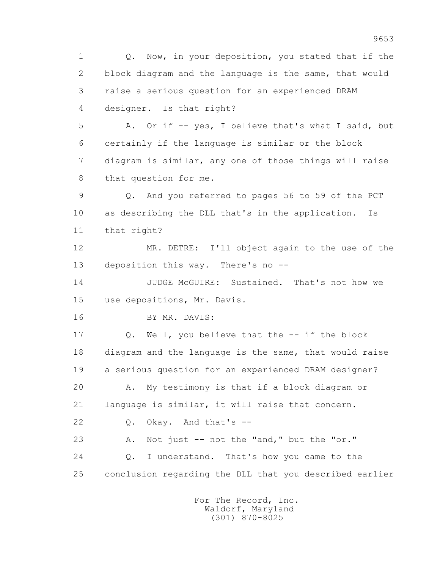1 Q. Now, in your deposition, you stated that if the 2 block diagram and the language is the same, that would 3 raise a serious question for an experienced DRAM 4 designer. Is that right? 5 A. Or if -- yes, I believe that's what I said, but 6 certainly if the language is similar or the block 7 diagram is similar, any one of those things will raise 8 that question for me. 9 Q. And you referred to pages 56 to 59 of the PCT 10 as describing the DLL that's in the application. Is 11 that right? 12 MR. DETRE: I'll object again to the use of the 13 deposition this way. There's no -- 14 JUDGE McGUIRE: Sustained. That's not how we 15 use depositions, Mr. Davis. 16 BY MR. DAVIS: 17 Q. Well, you believe that the -- if the block 18 diagram and the language is the same, that would raise 19 a serious question for an experienced DRAM designer? 20 A. My testimony is that if a block diagram or 21 language is similar, it will raise that concern. 22 Q. Okay. And that's -- 23 A. Not just -- not the "and," but the "or." 24 Q. I understand. That's how you came to the 25 conclusion regarding the DLL that you described earlier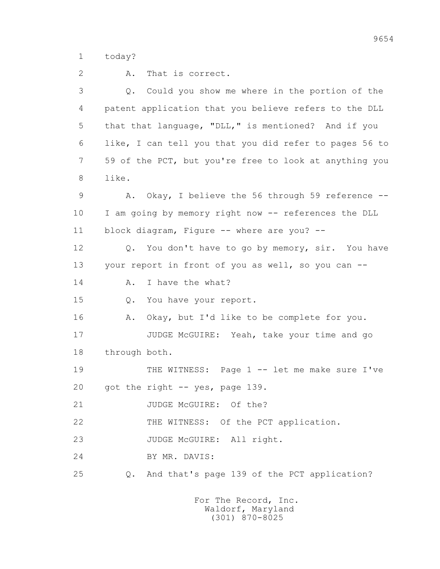1 today?

 2 A. That is correct. 3 Q. Could you show me where in the portion of the 4 patent application that you believe refers to the DLL 5 that that language, "DLL," is mentioned? And if you 6 like, I can tell you that you did refer to pages 56 to 7 59 of the PCT, but you're free to look at anything you 8 like. 9 A. Okay, I believe the 56 through 59 reference -- 10 I am going by memory right now -- references the DLL 11 block diagram, Figure -- where are you? -- 12 Q. You don't have to go by memory, sir. You have 13 your report in front of you as well, so you can -- 14 A. I have the what? 15 Q. You have your report. 16 A. Okay, but I'd like to be complete for you. 17 JUDGE McGUIRE: Yeah, take your time and go 18 through both. 19 THE WITNESS: Page 1 -- let me make sure I've 20 got the right -- yes, page 139. 21 JUDGE McGUIRE: Of the? 22 THE WITNESS: Of the PCT application. 23 JUDGE McGUIRE: All right. 24 BY MR. DAVIS: 25 Q. And that's page 139 of the PCT application?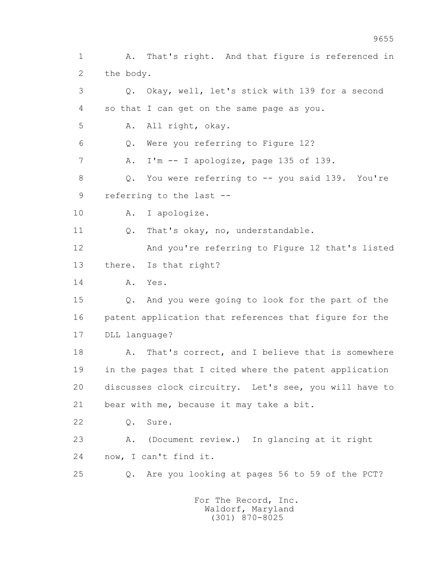1 A. That's right. And that figure is referenced in 2 the body. 3 Q. Okay, well, let's stick with 139 for a second 4 so that I can get on the same page as you. 5 A. All right, okay. 6 Q. Were you referring to Figure 12? 7 A. I'm -- I apologize, page 135 of 139. 8 Q. You were referring to -- you said 139. You're 9 referring to the last -- 10 A. I apologize. 11 Q. That's okay, no, understandable. 12 And you're referring to Figure 12 that's listed 13 there. Is that right? 14 A. Yes. 15 Q. And you were going to look for the part of the 16 patent application that references that figure for the 17 DLL language? 18 A. That's correct, and I believe that is somewhere 19 in the pages that I cited where the patent application 20 discusses clock circuitry. Let's see, you will have to 21 bear with me, because it may take a bit. 22 Q. Sure. 23 A. (Document review.) In glancing at it right 24 now, I can't find it. 25 Q. Are you looking at pages 56 to 59 of the PCT? For The Record, Inc.

 Waldorf, Maryland (301) 870-8025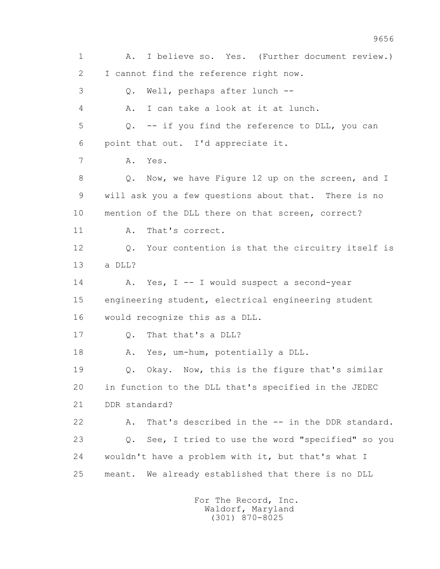1 A. I believe so. Yes. (Further document review.) 2 I cannot find the reference right now. 3 Q. Well, perhaps after lunch -- 4 A. I can take a look at it at lunch. 5 Q. -- if you find the reference to DLL, you can 6 point that out. I'd appreciate it. 7 A. Yes. 8 Q. Now, we have Figure 12 up on the screen, and I 9 will ask you a few questions about that. There is no 10 mention of the DLL there on that screen, correct? 11 A. That's correct. 12 Q. Your contention is that the circuitry itself is 13 a DLL? 14 A. Yes, I -- I would suspect a second-year 15 engineering student, electrical engineering student 16 would recognize this as a DLL. 17 Q. That that's a DLL? 18 A. Yes, um-hum, potentially a DLL. 19 Q. Okay. Now, this is the figure that's similar 20 in function to the DLL that's specified in the JEDEC 21 DDR standard? 22 A. That's described in the -- in the DDR standard. 23 Q. See, I tried to use the word "specified" so you 24 wouldn't have a problem with it, but that's what I 25 meant. We already established that there is no DLL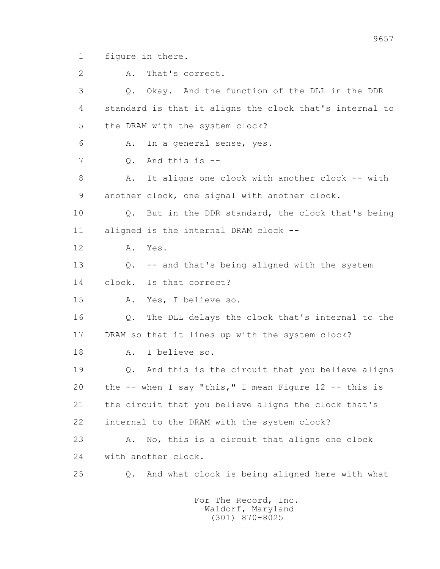1 figure in there.

2 A. That's correct.

 3 Q. Okay. And the function of the DLL in the DDR 4 standard is that it aligns the clock that's internal to 5 the DRAM with the system clock? 6 A. In a general sense, yes. 7 Q. And this is -- 8 A. It aligns one clock with another clock -- with 9 another clock, one signal with another clock. 10 Q. But in the DDR standard, the clock that's being 11 aligned is the internal DRAM clock -- 12 A. Yes. 13 Q. -- and that's being aligned with the system 14 clock. Is that correct? 15 A. Yes, I believe so. 16 Q. The DLL delays the clock that's internal to the 17 DRAM so that it lines up with the system clock? 18 A. I believe so. 19 Q. And this is the circuit that you believe aligns 20 the -- when I say "this," I mean Figure 12 -- this is 21 the circuit that you believe aligns the clock that's 22 internal to the DRAM with the system clock? 23 A. No, this is a circuit that aligns one clock 24 with another clock. 25 Q. And what clock is being aligned here with what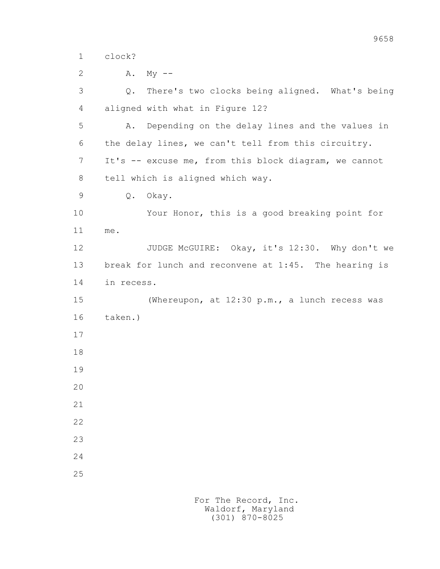1 clock?

| 2  | Α.<br>$My$ --                                         |
|----|-------------------------------------------------------|
| 3  | There's two clocks being aligned. What's being<br>Q.  |
| 4  | aligned with what in Figure 12?                       |
| 5  | Depending on the delay lines and the values in<br>Α.  |
| 6  | the delay lines, we can't tell from this circuitry.   |
| 7  | It's -- excuse me, from this block diagram, we cannot |
| 8  | tell which is aligned which way.                      |
| 9  | Q.<br>Okay.                                           |
| 10 | Your Honor, this is a good breaking point for         |
| 11 | me.                                                   |
| 12 | JUDGE McGUIRE: Okay, it's 12:30. Why don't we         |
| 13 | break for lunch and reconvene at 1:45. The hearing is |
| 14 | in recess.                                            |
| 15 | (Whereupon, at 12:30 p.m., a lunch recess was         |
| 16 | taken.)                                               |
| 17 |                                                       |
| 18 |                                                       |
| 19 |                                                       |
| 20 |                                                       |
| 21 |                                                       |
| 22 |                                                       |
| 23 |                                                       |
| 24 |                                                       |
| 25 |                                                       |
|    |                                                       |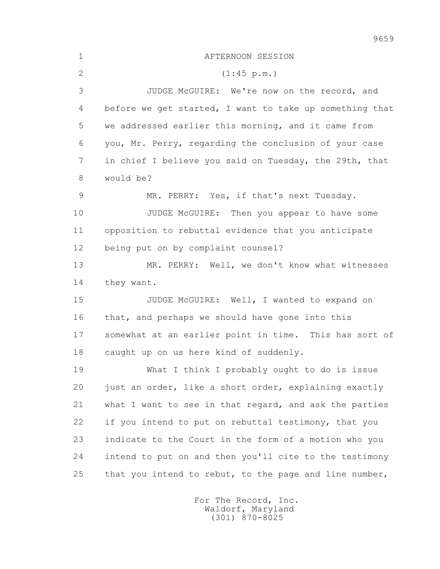| $\mathbf 1$  | AFTERNOON SESSION                                       |
|--------------|---------------------------------------------------------|
| $\mathbf{2}$ | (1:45 p.m.)                                             |
| 3            | JUDGE McGUIRE: We're now on the record, and             |
| 4            | before we get started, I want to take up something that |
| 5            | we addressed earlier this morning, and it came from     |
| 6            | you, Mr. Perry, regarding the conclusion of your case   |
| 7            | in chief I believe you said on Tuesday, the 29th, that  |
| 8            | would be?                                               |
| 9            | MR. PERRY: Yes, if that's next Tuesday.                 |
| 10           | JUDGE McGUIRE: Then you appear to have some             |
| 11           | opposition to rebuttal evidence that you anticipate     |
| 12           | being put on by complaint counsel?                      |
| 13           | MR. PERRY: Well, we don't know what witnesses           |
| 14           | they want.                                              |
| 15           | JUDGE McGUIRE: Well, I wanted to expand on              |
| 16           | that, and perhaps we should have gone into this         |
| 17           | somewhat at an earlier point in time. This has sort of  |
| 18           | caught up on us here kind of suddenly.                  |
| 19           | What I think I probably ought to do is issue            |
| 20           | just an order, like a short order, explaining exactly   |
| 21           | what I want to see in that regard, and ask the parties  |
| 22           | if you intend to put on rebuttal testimony, that you    |
| 23           | indicate to the Court in the form of a motion who you   |
| 24           | intend to put on and then you'll cite to the testimony  |
| 25           | that you intend to rebut, to the page and line number,  |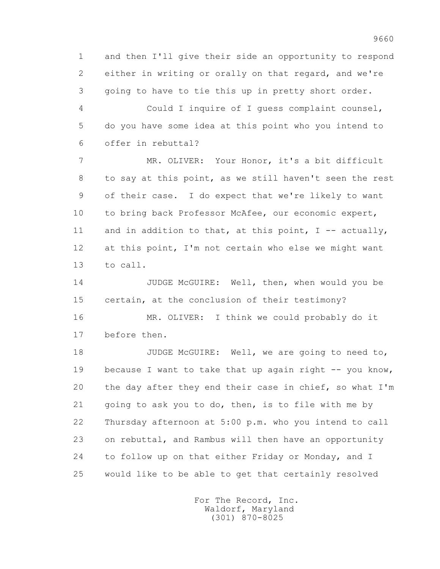1 and then I'll give their side an opportunity to respond 2 either in writing or orally on that regard, and we're 3 going to have to tie this up in pretty short order.

 4 Could I inquire of I guess complaint counsel, 5 do you have some idea at this point who you intend to 6 offer in rebuttal?

 7 MR. OLIVER: Your Honor, it's a bit difficult 8 to say at this point, as we still haven't seen the rest 9 of their case. I do expect that we're likely to want 10 to bring back Professor McAfee, our economic expert, 11 and in addition to that, at this point,  $I - -$  actually, 12 at this point, I'm not certain who else we might want 13 to call.

 14 JUDGE McGUIRE: Well, then, when would you be 15 certain, at the conclusion of their testimony?

 16 MR. OLIVER: I think we could probably do it 17 before then.

18 JUDGE McGUIRE: Well, we are going to need to, 19 because I want to take that up again right -- you know, 20 the day after they end their case in chief, so what I'm 21 going to ask you to do, then, is to file with me by 22 Thursday afternoon at 5:00 p.m. who you intend to call 23 on rebuttal, and Rambus will then have an opportunity 24 to follow up on that either Friday or Monday, and I 25 would like to be able to get that certainly resolved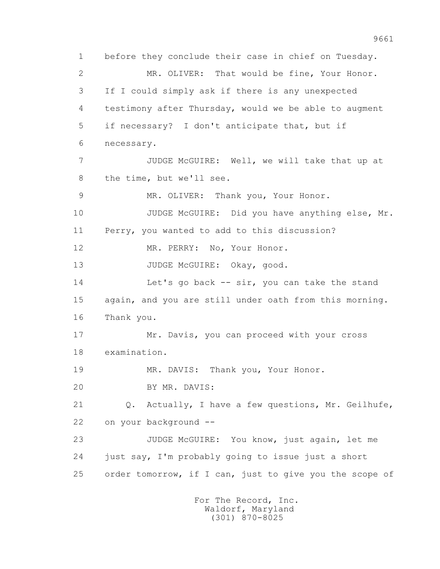1 before they conclude their case in chief on Tuesday. 2 MR. OLIVER: That would be fine, Your Honor. 3 If I could simply ask if there is any unexpected 4 testimony after Thursday, would we be able to augment 5 if necessary? I don't anticipate that, but if 6 necessary. 7 JUDGE McGUIRE: Well, we will take that up at 8 the time, but we'll see. 9 MR. OLIVER: Thank you, Your Honor. 10 JUDGE McGUIRE: Did you have anything else, Mr. 11 Perry, you wanted to add to this discussion? 12 MR. PERRY: No, Your Honor. 13 JUDGE McGUIRE: Okay, good. 14 Let's go back -- sir, you can take the stand 15 again, and you are still under oath from this morning. 16 Thank you. 17 Mr. Davis, you can proceed with your cross 18 examination. 19 MR. DAVIS: Thank you, Your Honor. 20 BY MR. DAVIS: 21 Q. Actually, I have a few questions, Mr. Geilhufe, 22 on your background -- 23 JUDGE McGUIRE: You know, just again, let me 24 just say, I'm probably going to issue just a short 25 order tomorrow, if I can, just to give you the scope of For The Record, Inc.

 Waldorf, Maryland (301) 870-8025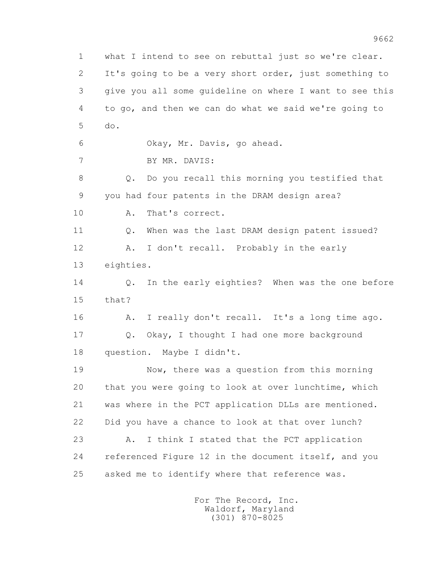1 what I intend to see on rebuttal just so we're clear. 2 It's going to be a very short order, just something to 3 give you all some guideline on where I want to see this 4 to go, and then we can do what we said we're going to 5 do. 6 Okay, Mr. Davis, go ahead. 7 BY MR. DAVIS: 8 Q. Do you recall this morning you testified that 9 you had four patents in the DRAM design area? 10 A. That's correct. 11 Q. When was the last DRAM design patent issued? 12 A. I don't recall. Probably in the early 13 eighties. 14 0. In the early eighties? When was the one before 15 that? 16 A. I really don't recall. It's a long time ago. 17 Q. Okay, I thought I had one more background 18 question. Maybe I didn't. 19 Now, there was a question from this morning 20 that you were going to look at over lunchtime, which 21 was where in the PCT application DLLs are mentioned. 22 Did you have a chance to look at that over lunch? 23 A. I think I stated that the PCT application 24 referenced Figure 12 in the document itself, and you 25 asked me to identify where that reference was.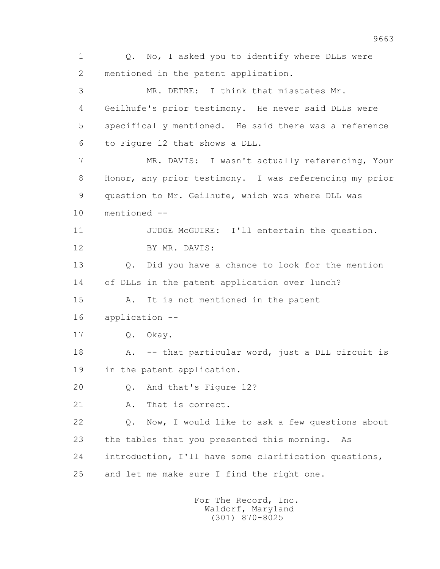1 0. No, I asked you to identify where DLLs were 2 mentioned in the patent application. 3 MR. DETRE: I think that misstates Mr. 4 Geilhufe's prior testimony. He never said DLLs were 5 specifically mentioned. He said there was a reference 6 to Figure 12 that shows a DLL. 7 MR. DAVIS: I wasn't actually referencing, Your 8 Honor, any prior testimony. I was referencing my prior 9 question to Mr. Geilhufe, which was where DLL was 10 mentioned -- 11 JUDGE McGUIRE: I'll entertain the question. 12 BY MR. DAVIS: 13 Q. Did you have a chance to look for the mention 14 of DLLs in the patent application over lunch? 15 A. It is not mentioned in the patent 16 application -- 17 Q. Okay. 18 A. -- that particular word, just a DLL circuit is 19 in the patent application. 20 Q. And that's Figure 12? 21 A. That is correct. 22 Q. Now, I would like to ask a few questions about 23 the tables that you presented this morning. As 24 introduction, I'll have some clarification questions, 25 and let me make sure I find the right one.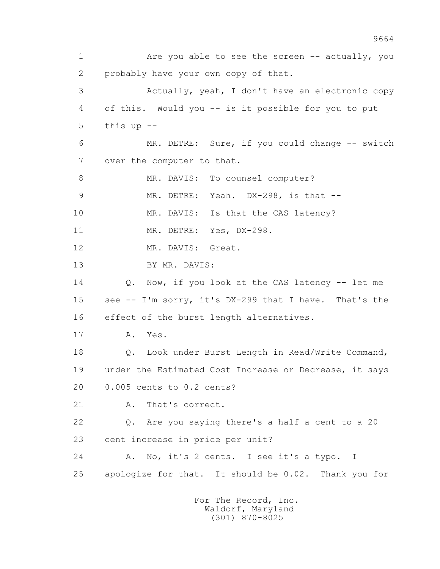1 Are you able to see the screen -- actually, you 2 probably have your own copy of that. 3 Actually, yeah, I don't have an electronic copy 4 of this. Would you -- is it possible for you to put 5 this up -- 6 MR. DETRE: Sure, if you could change -- switch 7 over the computer to that. 8 MR. DAVIS: To counsel computer? 9 MR. DETRE: Yeah. DX-298, is that -- 10 MR. DAVIS: Is that the CAS latency? 11 MR. DETRE: Yes, DX-298. 12 MR. DAVIS: Great. 13 BY MR. DAVIS: 14 Q. Now, if you look at the CAS latency -- let me 15 see -- I'm sorry, it's DX-299 that I have. That's the 16 effect of the burst length alternatives. 17 A. Yes. 18 Q. Look under Burst Length in Read/Write Command, 19 under the Estimated Cost Increase or Decrease, it says 20 0.005 cents to 0.2 cents? 21 A. That's correct. 22 Q. Are you saying there's a half a cent to a 20 23 cent increase in price per unit? 24 A. No, it's 2 cents. I see it's a typo. I 25 apologize for that. It should be 0.02. Thank you for For The Record, Inc. Waldorf, Maryland

(301) 870-8025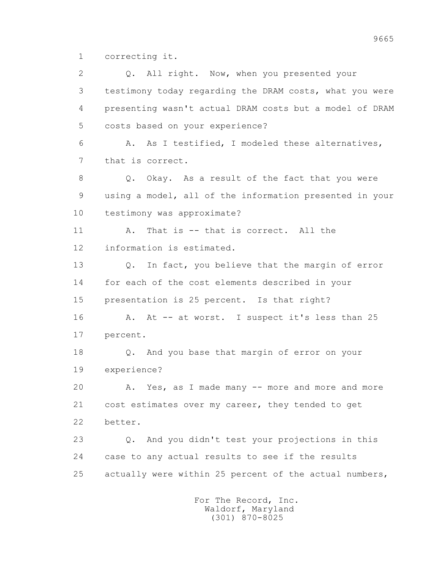1 correcting it.

2 0. All right. Now, when you presented your 3 testimony today regarding the DRAM costs, what you were 4 presenting wasn't actual DRAM costs but a model of DRAM 5 costs based on your experience? 6 A. As I testified, I modeled these alternatives, 7 that is correct. 8 Q. Okay. As a result of the fact that you were 9 using a model, all of the information presented in your 10 testimony was approximate? 11 A. That is -- that is correct. All the 12 information is estimated. 13 Q. In fact, you believe that the margin of error 14 for each of the cost elements described in your 15 presentation is 25 percent. Is that right? 16 A. At -- at worst. I suspect it's less than 25 17 percent. 18 Q. And you base that margin of error on your 19 experience? 20 A. Yes, as I made many -- more and more and more 21 cost estimates over my career, they tended to get 22 better. 23 Q. And you didn't test your projections in this 24 case to any actual results to see if the results 25 actually were within 25 percent of the actual numbers,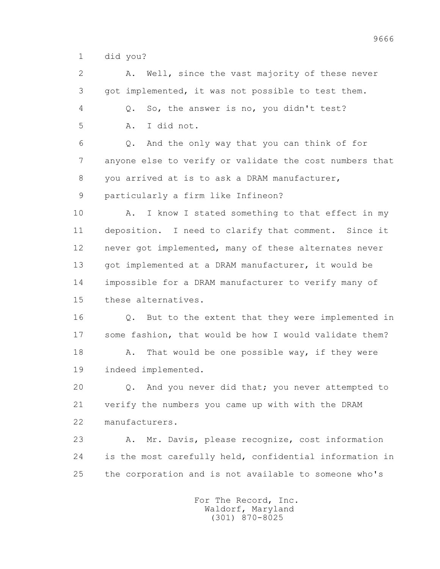1 did you?

 2 A. Well, since the vast majority of these never 3 got implemented, it was not possible to test them. 4 Q. So, the answer is no, you didn't test? 5 A. I did not. 6 Q. And the only way that you can think of for 7 anyone else to verify or validate the cost numbers that 8 you arrived at is to ask a DRAM manufacturer, 9 particularly a firm like Infineon? 10 A. I know I stated something to that effect in my 11 deposition. I need to clarify that comment. Since it

 12 never got implemented, many of these alternates never 13 got implemented at a DRAM manufacturer, it would be 14 impossible for a DRAM manufacturer to verify many of 15 these alternatives.

 16 Q. But to the extent that they were implemented in 17 some fashion, that would be how I would validate them? 18 A. That would be one possible way, if they were 19 indeed implemented.

 20 Q. And you never did that; you never attempted to 21 verify the numbers you came up with with the DRAM 22 manufacturers.

 23 A. Mr. Davis, please recognize, cost information 24 is the most carefully held, confidential information in 25 the corporation and is not available to someone who's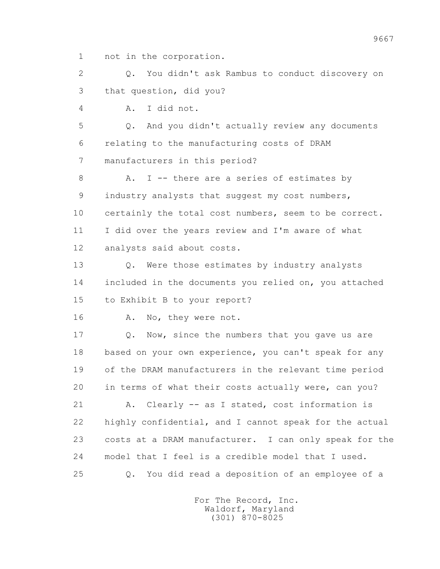1 not in the corporation.

 2 Q. You didn't ask Rambus to conduct discovery on 3 that question, did you?

4 A. I did not.

 5 Q. And you didn't actually review any documents 6 relating to the manufacturing costs of DRAM 7 manufacturers in this period?

8 A. I -- there are a series of estimates by 9 industry analysts that suggest my cost numbers, 10 certainly the total cost numbers, seem to be correct. 11 I did over the years review and I'm aware of what 12 analysts said about costs.

 13 Q. Were those estimates by industry analysts 14 included in the documents you relied on, you attached 15 to Exhibit B to your report?

16 A. No, they were not.

17 Q. Now, since the numbers that you gave us are 18 based on your own experience, you can't speak for any 19 of the DRAM manufacturers in the relevant time period 20 in terms of what their costs actually were, can you?

 21 A. Clearly -- as I stated, cost information is 22 highly confidential, and I cannot speak for the actual 23 costs at a DRAM manufacturer. I can only speak for the 24 model that I feel is a credible model that I used. 25 Q. You did read a deposition of an employee of a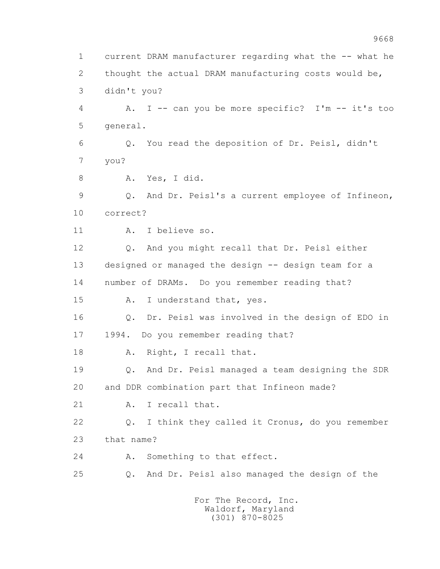1 current DRAM manufacturer regarding what the -- what he 2 thought the actual DRAM manufacturing costs would be, 3 didn't you? 4 A. I -- can you be more specific? I'm -- it's too 5 general. 6 Q. You read the deposition of Dr. Peisl, didn't 7 you? 8 A. Yes, I did. 9 Q. And Dr. Peisl's a current employee of Infineon, 10 correct? 11 A. I believe so. 12 Q. And you might recall that Dr. Peisl either 13 designed or managed the design -- design team for a 14 number of DRAMs. Do you remember reading that? 15 A. I understand that, yes. 16 Q. Dr. Peisl was involved in the design of EDO in 17 1994. Do you remember reading that? 18 A. Right, I recall that. 19 Q. And Dr. Peisl managed a team designing the SDR 20 and DDR combination part that Infineon made? 21 A. I recall that. 22 Q. I think they called it Cronus, do you remember 23 that name? 24 A. Something to that effect. 25 Q. And Dr. Peisl also managed the design of the For The Record, Inc.

 Waldorf, Maryland (301) 870-8025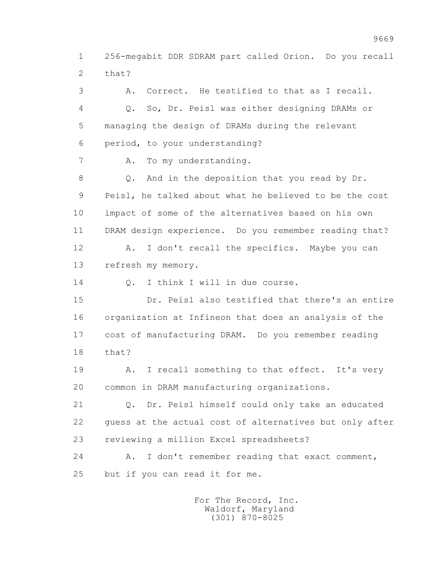1 256-megabit DDR SDRAM part called Orion. Do you recall 2 that?

 3 A. Correct. He testified to that as I recall. 4 Q. So, Dr. Peisl was either designing DRAMs or 5 managing the design of DRAMs during the relevant 6 period, to your understanding? 7 A. To my understanding. 8 Q. And in the deposition that you read by Dr. 9 Peisl, he talked about what he believed to be the cost 10 impact of some of the alternatives based on his own 11 DRAM design experience. Do you remember reading that? 12 A. I don't recall the specifics. Maybe you can 13 refresh my memory. 14 0. I think I will in due course. 15 Dr. Peisl also testified that there's an entire 16 organization at Infineon that does an analysis of the 17 cost of manufacturing DRAM. Do you remember reading 18 that? 19 A. I recall something to that effect. It's very 20 common in DRAM manufacturing organizations. 21 Q. Dr. Peisl himself could only take an educated 22 guess at the actual cost of alternatives but only after 23 reviewing a million Excel spreadsheets? 24 A. I don't remember reading that exact comment, 25 but if you can read it for me.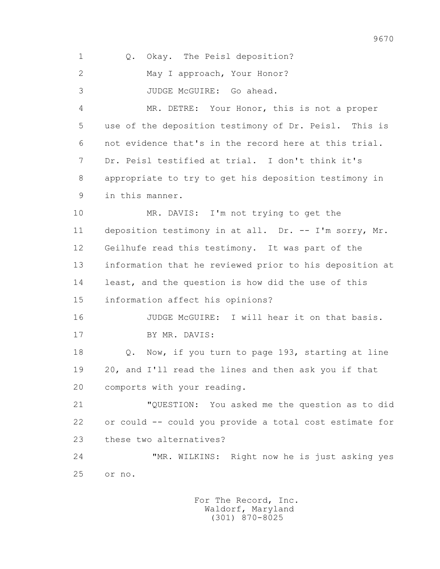| $\mathbf 1$  | Okay. The Peisl deposition?<br>Q.                       |
|--------------|---------------------------------------------------------|
| $\mathbf{2}$ | May I approach, Your Honor?                             |
| 3            | JUDGE McGUIRE: Go ahead.                                |
| 4            | MR. DETRE: Your Honor, this is not a proper             |
| 5            | use of the deposition testimony of Dr. Peisl. This is   |
| 6            | not evidence that's in the record here at this trial.   |
| 7            | Dr. Peisl testified at trial. I don't think it's        |
| 8            | appropriate to try to get his deposition testimony in   |
| 9            | in this manner.                                         |
| 10           | MR. DAVIS: I'm not trying to get the                    |
| 11           | deposition testimony in at all. Dr. -- I'm sorry, Mr.   |
| 12           | Geilhufe read this testimony. It was part of the        |
| 13           | information that he reviewed prior to his deposition at |
| 14           | least, and the question is how did the use of this      |
| 15           | information affect his opinions?                        |
| 16           | JUDGE McGUIRE: I will hear it on that basis.            |
| 17           | BY MR. DAVIS:                                           |
| 18           | Now, if you turn to page 193, starting at line<br>$Q$ . |
| 19           | 20, and I'll read the lines and then ask you if that    |
| 20           | comports with your reading.                             |
| 21           | "QUESTION: You asked me the question as to did          |
| 22           | or could -- could you provide a total cost estimate for |
| 23           | these two alternatives?                                 |
| 24           | "MR. WILKINS: Right now he is just asking yes           |
| 25           | or no.                                                  |
|              |                                                         |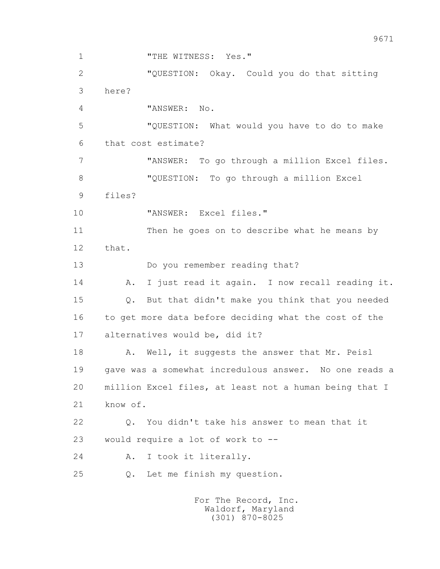1 THE WITNESS: Yes." 2 "QUESTION: Okay. Could you do that sitting 3 here? 4 "ANSWER: No. 5 "QUESTION: What would you have to do to make 6 that cost estimate? 7 "ANSWER: To go through a million Excel files. 8 "QUESTION: To go through a million Excel 9 files? 10 "ANSWER: Excel files." 11 Then he goes on to describe what he means by 12 that. 13 Do you remember reading that? 14 A. I just read it again. I now recall reading it. 15 Q. But that didn't make you think that you needed 16 to get more data before deciding what the cost of the 17 alternatives would be, did it? 18 A. Well, it suggests the answer that Mr. Peisl 19 gave was a somewhat incredulous answer. No one reads a 20 million Excel files, at least not a human being that I 21 know of. 22 Q. You didn't take his answer to mean that it 23 would require a lot of work to -- 24 A. I took it literally. 25 Q. Let me finish my question.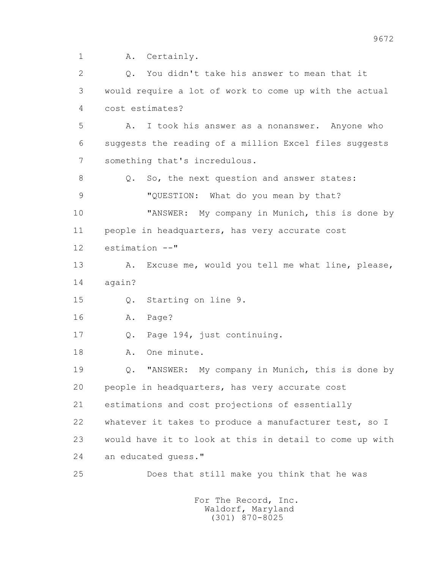1 A. Certainly.

 2 Q. You didn't take his answer to mean that it 3 would require a lot of work to come up with the actual 4 cost estimates? 5 A. I took his answer as a nonanswer. Anyone who 6 suggests the reading of a million Excel files suggests 7 something that's incredulous. 8 Q. So, the next question and answer states: 9 "QUESTION: What do you mean by that? 10 "ANSWER: My company in Munich, this is done by 11 people in headquarters, has very accurate cost 12 estimation --" 13 A. Excuse me, would you tell me what line, please, 14 again? 15 Q. Starting on line 9. 16 A. Page? 17 Q. Page 194, just continuing. 18 A. One minute. 19 Q. "ANSWER: My company in Munich, this is done by 20 people in headquarters, has very accurate cost 21 estimations and cost projections of essentially 22 whatever it takes to produce a manufacturer test, so I 23 would have it to look at this in detail to come up with 24 an educated guess." 25 Does that still make you think that he was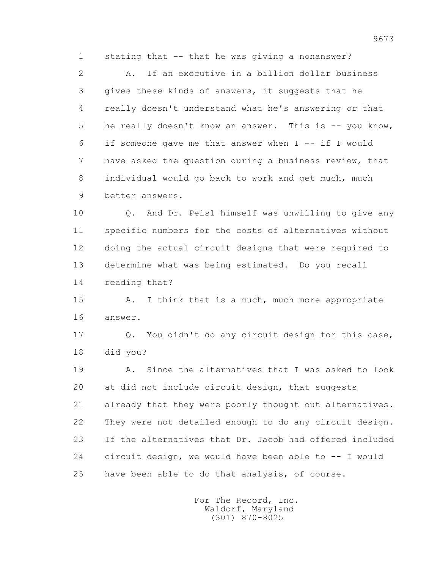1 stating that -- that he was giving a nonanswer?

 2 A. If an executive in a billion dollar business 3 gives these kinds of answers, it suggests that he 4 really doesn't understand what he's answering or that 5 he really doesn't know an answer. This is -- you know, 6 if someone gave me that answer when I -- if I would 7 have asked the question during a business review, that 8 individual would go back to work and get much, much 9 better answers.

 10 Q. And Dr. Peisl himself was unwilling to give any 11 specific numbers for the costs of alternatives without 12 doing the actual circuit designs that were required to 13 determine what was being estimated. Do you recall 14 reading that?

15 A. I think that is a much, much more appropriate 16 answer.

 17 Q. You didn't do any circuit design for this case, 18 did you?

 19 A. Since the alternatives that I was asked to look 20 at did not include circuit design, that suggests 21 already that they were poorly thought out alternatives. 22 They were not detailed enough to do any circuit design. 23 If the alternatives that Dr. Jacob had offered included 24 circuit design, we would have been able to -- I would 25 have been able to do that analysis, of course.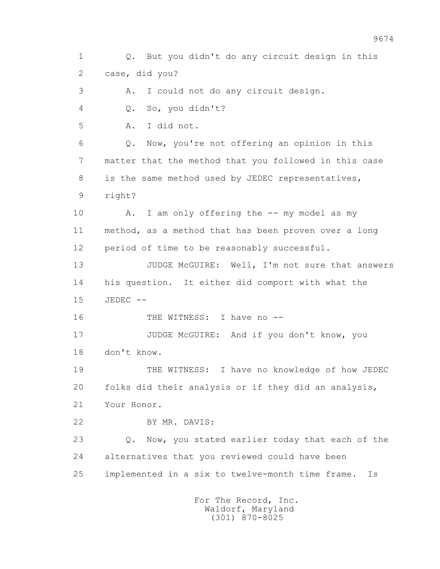1 Q. But you didn't do any circuit design in this 2 case, did you? 3 A. I could not do any circuit design. 4 Q. So, you didn't? 5 A. I did not. 6 Q. Now, you're not offering an opinion in this 7 matter that the method that you followed in this case 8 is the same method used by JEDEC representatives, 9 right? 10 A. I am only offering the -- my model as my 11 method, as a method that has been proven over a long 12 period of time to be reasonably successful. 13 JUDGE McGUIRE: Well, I'm not sure that answers 14 his question. It either did comport with what the 15 JEDEC -- 16 THE WITNESS: I have no --17 JUDGE McGUIRE: And if you don't know, you 18 don't know. 19 THE WITNESS: I have no knowledge of how JEDEC 20 folks did their analysis or if they did an analysis, 21 Your Honor. 22 BY MR. DAVIS: 23 Q. Now, you stated earlier today that each of the 24 alternatives that you reviewed could have been 25 implemented in a six to twelve-month time frame. Is For The Record, Inc. Waldorf, Maryland

(301) 870-8025

9674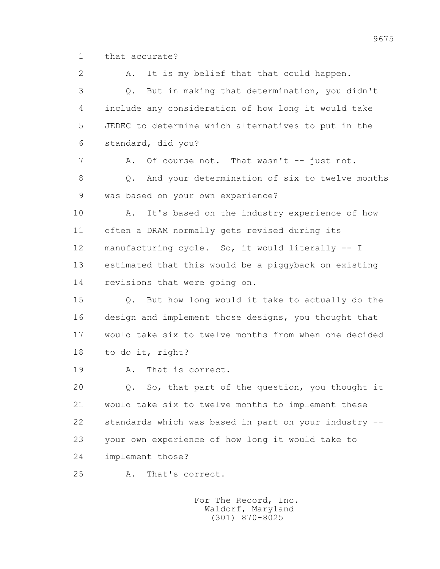1 that accurate?

 2 A. It is my belief that that could happen. 3 Q. But in making that determination, you didn't 4 include any consideration of how long it would take 5 JEDEC to determine which alternatives to put in the 6 standard, did you? 7 A. Of course not. That wasn't -- just not. 8 0. And your determination of six to twelve months 9 was based on your own experience? 10 A. It's based on the industry experience of how 11 often a DRAM normally gets revised during its 12 manufacturing cycle. So, it would literally -- I 13 estimated that this would be a piggyback on existing 14 revisions that were going on. 15 Q. But how long would it take to actually do the 16 design and implement those designs, you thought that 17 would take six to twelve months from when one decided 18 to do it, right? 19 A. That is correct. 20 Q. So, that part of the question, you thought it 21 would take six to twelve months to implement these 22 standards which was based in part on your industry -- 23 your own experience of how long it would take to 24 implement those? 25 A. That's correct.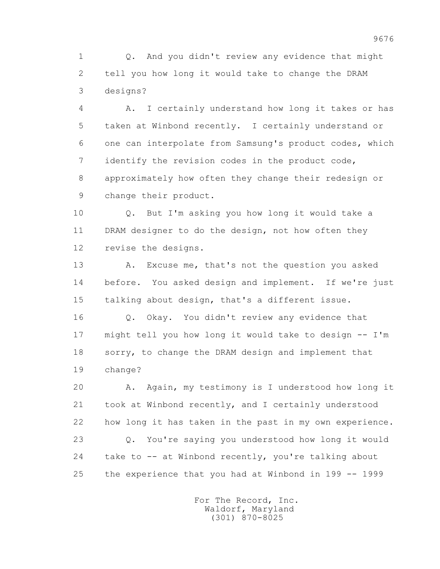1 Q. And you didn't review any evidence that might 2 tell you how long it would take to change the DRAM 3 designs?

 4 A. I certainly understand how long it takes or has 5 taken at Winbond recently. I certainly understand or 6 one can interpolate from Samsung's product codes, which 7 identify the revision codes in the product code, 8 approximately how often they change their redesign or 9 change their product.

 10 Q. But I'm asking you how long it would take a 11 DRAM designer to do the design, not how often they 12 revise the designs.

 13 A. Excuse me, that's not the question you asked 14 before. You asked design and implement. If we're just 15 talking about design, that's a different issue.

 16 Q. Okay. You didn't review any evidence that 17 might tell you how long it would take to design -- I'm 18 sorry, to change the DRAM design and implement that 19 change?

 20 A. Again, my testimony is I understood how long it 21 took at Winbond recently, and I certainly understood 22 how long it has taken in the past in my own experience. 23 Q. You're saying you understood how long it would 24 take to -- at Winbond recently, you're talking about 25 the experience that you had at Winbond in 199 -- 1999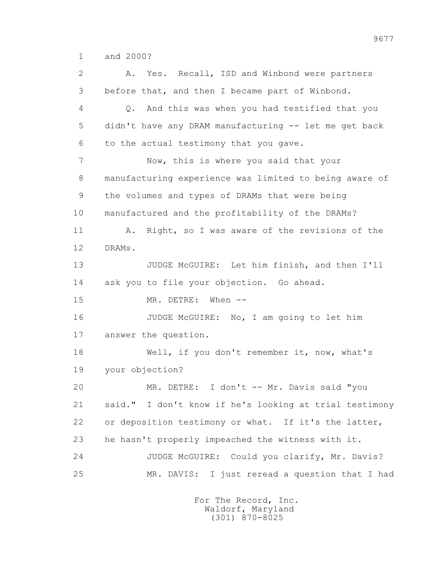1 and 2000?

 2 A. Yes. Recall, ISD and Winbond were partners 3 before that, and then I became part of Winbond. 4 Q. And this was when you had testified that you 5 didn't have any DRAM manufacturing -- let me get back 6 to the actual testimony that you gave. 7 Now, this is where you said that your 8 manufacturing experience was limited to being aware of 9 the volumes and types of DRAMs that were being 10 manufactured and the profitability of the DRAMs? 11 A. Right, so I was aware of the revisions of the 12 DRAMs. 13 JUDGE McGUIRE: Let him finish, and then I'll 14 ask you to file your objection. Go ahead. 15 MR. DETRE: When -- 16 JUDGE McGUIRE: No, I am going to let him 17 answer the question. 18 Well, if you don't remember it, now, what's 19 your objection? 20 MR. DETRE: I don't -- Mr. Davis said "you 21 said." I don't know if he's looking at trial testimony 22 or deposition testimony or what. If it's the latter, 23 he hasn't properly impeached the witness with it. 24 JUDGE McGUIRE: Could you clarify, Mr. Davis? 25 MR. DAVIS: I just reread a question that I had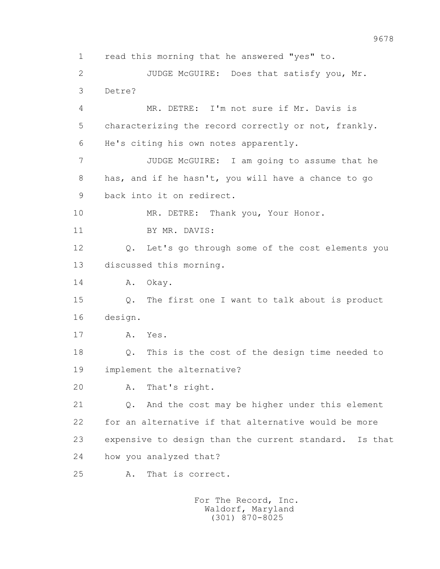1 read this morning that he answered "yes" to. 2 JUDGE McGUIRE: Does that satisfy you, Mr. 3 Detre? 4 MR. DETRE: I'm not sure if Mr. Davis is 5 characterizing the record correctly or not, frankly. 6 He's citing his own notes apparently. 7 JUDGE McGUIRE: I am going to assume that he 8 has, and if he hasn't, you will have a chance to go 9 back into it on redirect. 10 MR. DETRE: Thank you, Your Honor. 11 BY MR. DAVIS: 12 Q. Let's go through some of the cost elements you 13 discussed this morning. 14 A. Okay. 15 Q. The first one I want to talk about is product 16 design. 17 A. Yes. 18 Q. This is the cost of the design time needed to 19 implement the alternative? 20 A. That's right. 21 Q. And the cost may be higher under this element 22 for an alternative if that alternative would be more 23 expensive to design than the current standard. Is that 24 how you analyzed that? 25 A. That is correct.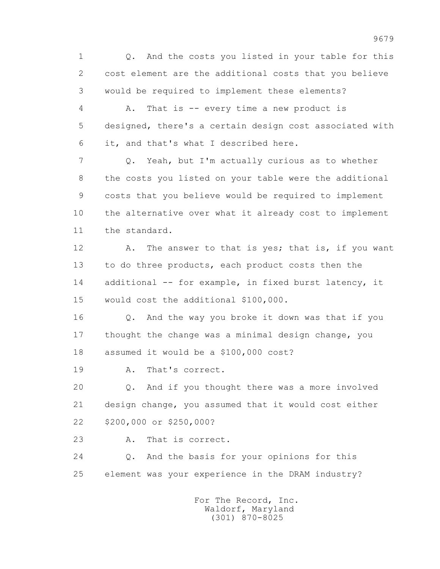1 Q. And the costs you listed in your table for this 2 cost element are the additional costs that you believe 3 would be required to implement these elements?

 4 A. That is -- every time a new product is 5 designed, there's a certain design cost associated with 6 it, and that's what I described here.

 7 Q. Yeah, but I'm actually curious as to whether 8 the costs you listed on your table were the additional 9 costs that you believe would be required to implement 10 the alternative over what it already cost to implement 11 the standard.

12 A. The answer to that is yes; that is, if you want 13 to do three products, each product costs then the 14 additional -- for example, in fixed burst latency, it 15 would cost the additional \$100,000.

 16 Q. And the way you broke it down was that if you 17 thought the change was a minimal design change, you 18 assumed it would be a \$100,000 cost?

19 A. That's correct.

 20 Q. And if you thought there was a more involved 21 design change, you assumed that it would cost either 22 \$200,000 or \$250,000?

23 A. That is correct.

 24 Q. And the basis for your opinions for this 25 element was your experience in the DRAM industry?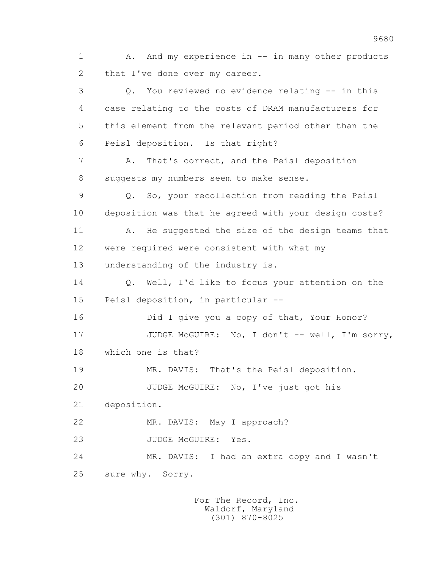1 A. And my experience in -- in many other products 2 that I've done over my career. 3 Q. You reviewed no evidence relating -- in this 4 case relating to the costs of DRAM manufacturers for 5 this element from the relevant period other than the 6 Peisl deposition. Is that right? 7 A. That's correct, and the Peisl deposition 8 suggests my numbers seem to make sense. 9 Q. So, your recollection from reading the Peisl 10 deposition was that he agreed with your design costs? 11 A. He suggested the size of the design teams that 12 were required were consistent with what my 13 understanding of the industry is. 14 0. Well, I'd like to focus your attention on the 15 Peisl deposition, in particular -- 16 Did I give you a copy of that, Your Honor? 17 JUDGE McGUIRE: No, I don't -- well, I'm sorry, 18 which one is that? 19 MR. DAVIS: That's the Peisl deposition. 20 JUDGE McGUIRE: No, I've just got his 21 deposition. 22 MR. DAVIS: May I approach? 23 JUDGE McGUIRE: Yes. 24 MR. DAVIS: I had an extra copy and I wasn't 25 sure why. Sorry.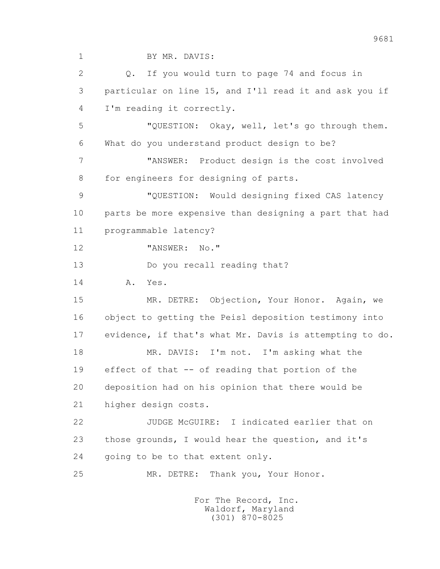1 BY MR. DAVIS:

 2 Q. If you would turn to page 74 and focus in 3 particular on line 15, and I'll read it and ask you if 4 I'm reading it correctly.

 5 "QUESTION: Okay, well, let's go through them. 6 What do you understand product design to be?

 7 "ANSWER: Product design is the cost involved 8 for engineers for designing of parts.

 9 "QUESTION: Would designing fixed CAS latency 10 parts be more expensive than designing a part that had 11 programmable latency?

12 "ANSWER: No."

13 Do you recall reading that?

14 A. Yes.

 15 MR. DETRE: Objection, Your Honor. Again, we 16 object to getting the Peisl deposition testimony into 17 evidence, if that's what Mr. Davis is attempting to do.

 18 MR. DAVIS: I'm not. I'm asking what the 19 effect of that -- of reading that portion of the 20 deposition had on his opinion that there would be 21 higher design costs.

 22 JUDGE McGUIRE: I indicated earlier that on 23 those grounds, I would hear the question, and it's 24 going to be to that extent only.

25 MR. DETRE: Thank you, Your Honor.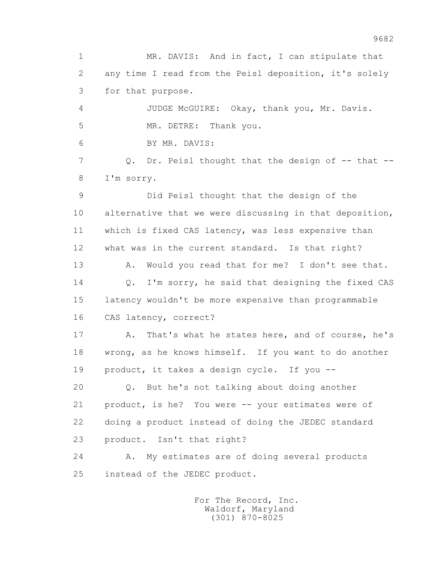1 MR. DAVIS: And in fact, I can stipulate that 2 any time I read from the Peisl deposition, it's solely 3 for that purpose. 4 JUDGE McGUIRE: Okay, thank you, Mr. Davis. 5 MR. DETRE: Thank you. 6 BY MR. DAVIS: 7 Q. Dr. Peisl thought that the design of -- that -- 8 I'm sorry. 9 Did Peisl thought that the design of the 10 alternative that we were discussing in that deposition, 11 which is fixed CAS latency, was less expensive than 12 what was in the current standard. Is that right? 13 A. Would you read that for me? I don't see that. 14 0. I'm sorry, he said that designing the fixed CAS 15 latency wouldn't be more expensive than programmable 16 CAS latency, correct? 17 A. That's what he states here, and of course, he's 18 wrong, as he knows himself. If you want to do another 19 product, it takes a design cycle. If you -- 20 Q. But he's not talking about doing another 21 product, is he? You were -- your estimates were of 22 doing a product instead of doing the JEDEC standard 23 product. Isn't that right? 24 A. My estimates are of doing several products 25 instead of the JEDEC product.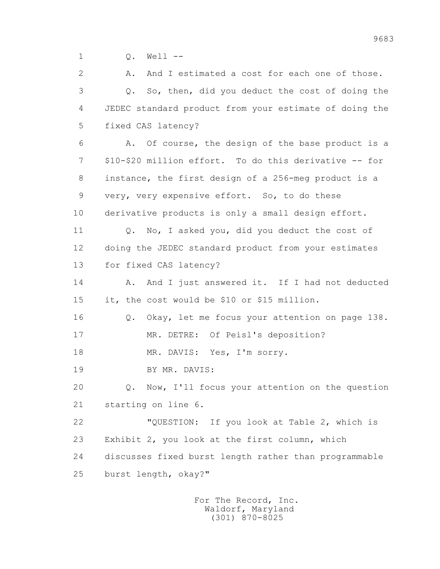1 Q. Well --

 2 A. And I estimated a cost for each one of those. 3 Q. So, then, did you deduct the cost of doing the 4 JEDEC standard product from your estimate of doing the 5 fixed CAS latency? 6 A. Of course, the design of the base product is a 7 \$10-\$20 million effort. To do this derivative -- for 8 instance, the first design of a 256-meg product is a 9 very, very expensive effort. So, to do these 10 derivative products is only a small design effort. 11 Q. No, I asked you, did you deduct the cost of 12 doing the JEDEC standard product from your estimates 13 for fixed CAS latency? 14 A. And I just answered it. If I had not deducted 15 it, the cost would be \$10 or \$15 million. 16 Q. Okay, let me focus your attention on page 138. 17 MR. DETRE: Of Peisl's deposition? 18 MR. DAVIS: Yes, I'm sorry. 19 BY MR. DAVIS: 20 Q. Now, I'll focus your attention on the question 21 starting on line 6. 22 "QUESTION: If you look at Table 2, which is 23 Exhibit 2, you look at the first column, which 24 discusses fixed burst length rather than programmable 25 burst length, okay?"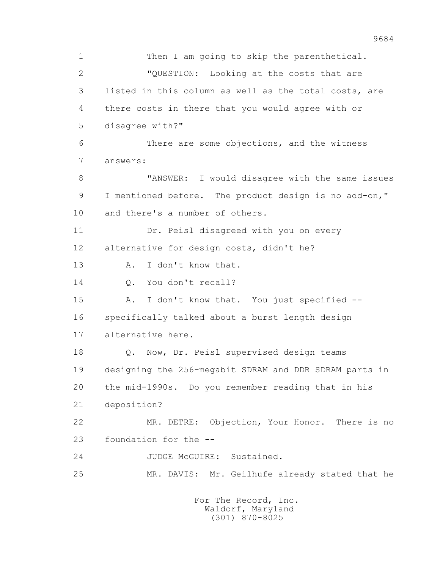1 Then I am going to skip the parenthetical. 2 "QUESTION: Looking at the costs that are 3 listed in this column as well as the total costs, are 4 there costs in there that you would agree with or 5 disagree with?" 6 There are some objections, and the witness 7 answers: 8 "ANSWER: I would disagree with the same issues 9 I mentioned before. The product design is no add-on," 10 and there's a number of others. 11 Dr. Peisl disagreed with you on every 12 alternative for design costs, didn't he? 13 A. I don't know that. 14 0. You don't recall? 15 A. I don't know that. You just specified -- 16 specifically talked about a burst length design 17 alternative here. 18 Q. Now, Dr. Peisl supervised design teams 19 designing the 256-megabit SDRAM and DDR SDRAM parts in 20 the mid-1990s. Do you remember reading that in his 21 deposition? 22 MR. DETRE: Objection, Your Honor. There is no 23 foundation for the -- 24 JUDGE McGUIRE: Sustained. 25 MR. DAVIS: Mr. Geilhufe already stated that he For The Record, Inc.

 Waldorf, Maryland (301) 870-8025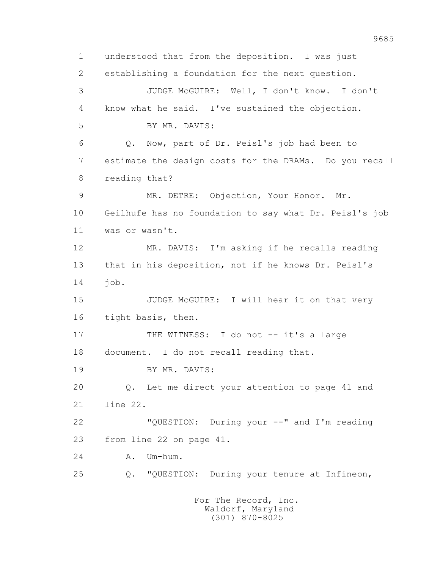1 understood that from the deposition. I was just 2 establishing a foundation for the next question. 3 JUDGE McGUIRE: Well, I don't know. I don't 4 know what he said. I've sustained the objection. 5 BY MR. DAVIS: 6 Q. Now, part of Dr. Peisl's job had been to 7 estimate the design costs for the DRAMs. Do you recall 8 reading that? 9 MR. DETRE: Objection, Your Honor. Mr. 10 Geilhufe has no foundation to say what Dr. Peisl's job 11 was or wasn't. 12 MR. DAVIS: I'm asking if he recalls reading 13 that in his deposition, not if he knows Dr. Peisl's 14 job. 15 JUDGE McGUIRE: I will hear it on that very 16 tight basis, then. 17 THE WITNESS: I do not -- it's a large 18 document. I do not recall reading that. 19 BY MR. DAVIS: 20 Q. Let me direct your attention to page 41 and 21 line 22. 22 "QUESTION: During your --" and I'm reading 23 from line 22 on page 41. 24 A. Um-hum. 25 Q. "QUESTION: During your tenure at Infineon, For The Record, Inc. Waldorf, Maryland

(301) 870-8025

9685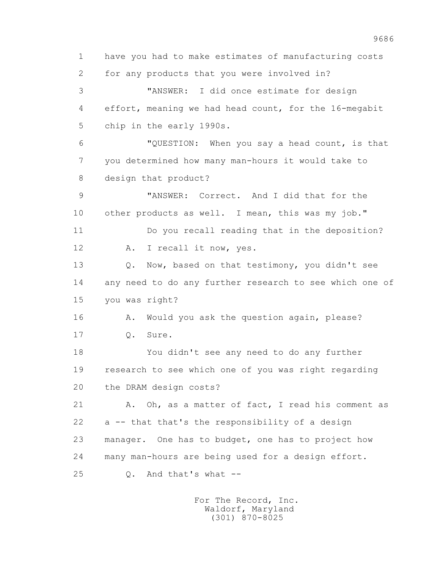1 have you had to make estimates of manufacturing costs 2 for any products that you were involved in? 3 "ANSWER: I did once estimate for design 4 effort, meaning we had head count, for the 16-megabit 5 chip in the early 1990s. 6 "QUESTION: When you say a head count, is that 7 you determined how many man-hours it would take to 8 design that product? 9 "ANSWER: Correct. And I did that for the 10 other products as well. I mean, this was my job." 11 Do you recall reading that in the deposition? 12 A. I recall it now, yes. 13 O. Now, based on that testimony, you didn't see 14 any need to do any further research to see which one of 15 you was right? 16 A. Would you ask the question again, please? 17 Q. Sure. 18 You didn't see any need to do any further 19 research to see which one of you was right regarding 20 the DRAM design costs? 21 A. Oh, as a matter of fact, I read his comment as 22 a -- that that's the responsibility of a design 23 manager. One has to budget, one has to project how 24 many man-hours are being used for a design effort. 25 Q. And that's what --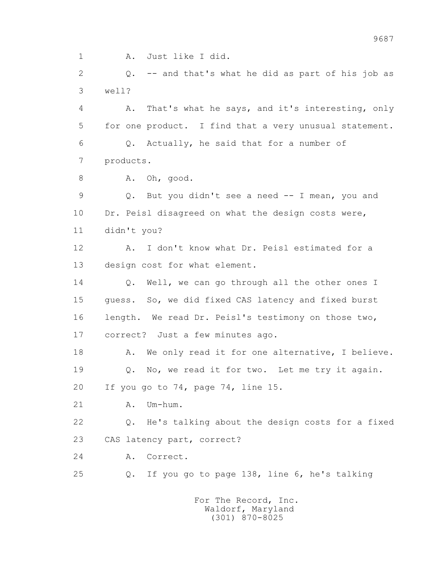1 A. Just like I did.

 2 Q. -- and that's what he did as part of his job as 3 well?

 4 A. That's what he says, and it's interesting, only 5 for one product. I find that a very unusual statement. 6 Q. Actually, he said that for a number of 7 products.

8 A. Oh, good.

 9 Q. But you didn't see a need -- I mean, you and 10 Dr. Peisl disagreed on what the design costs were, 11 didn't you?

 12 A. I don't know what Dr. Peisl estimated for a 13 design cost for what element.

14 O. Well, we can go through all the other ones I 15 guess. So, we did fixed CAS latency and fixed burst 16 length. We read Dr. Peisl's testimony on those two, 17 correct? Just a few minutes ago.

18 A. We only read it for one alternative, I believe. 19 Q. No, we read it for two. Let me try it again. 20 If you go to 74, page 74, line 15.

21 A. Um-hum.

 22 Q. He's talking about the design costs for a fixed 23 CAS latency part, correct?

24 A. Correct.

25 Q. If you go to page 138, line 6, he's talking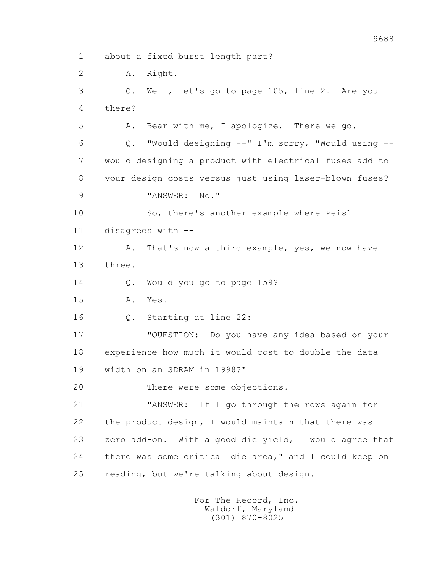1 about a fixed burst length part?

2 A. Right.

 3 Q. Well, let's go to page 105, line 2. Are you 4 there?

5 A. Bear with me, I apologize. There we go.

 6 Q. "Would designing --" I'm sorry, "Would using -- 7 would designing a product with electrical fuses add to 8 your design costs versus just using laser-blown fuses?

9 "ANSWER: No."

 10 So, there's another example where Peisl 11 disagrees with --

12 A. That's now a third example, yes, we now have 13 three.

14 O. Would you go to page 159?

15 A. Yes.

16 Q. Starting at line 22:

 17 "QUESTION: Do you have any idea based on your 18 experience how much it would cost to double the data 19 width on an SDRAM in 1998?"

20 There were some objections.

 21 "ANSWER: If I go through the rows again for 22 the product design, I would maintain that there was 23 zero add-on. With a good die yield, I would agree that 24 there was some critical die area," and I could keep on 25 reading, but we're talking about design.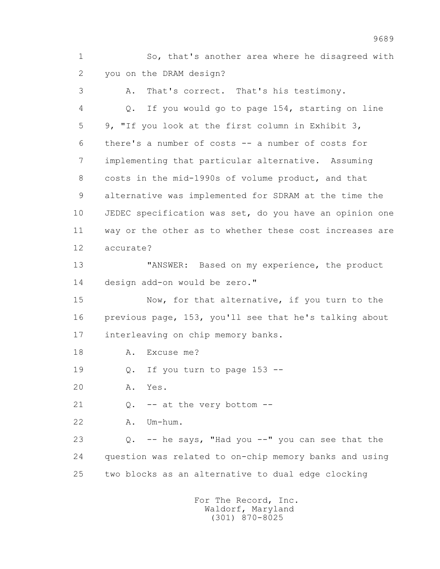1 So, that's another area where he disagreed with 2 you on the DRAM design?

 3 A. That's correct. That's his testimony. 4 Q. If you would go to page 154, starting on line 5 9, "If you look at the first column in Exhibit 3, 6 there's a number of costs -- a number of costs for 7 implementing that particular alternative. Assuming 8 costs in the mid-1990s of volume product, and that 9 alternative was implemented for SDRAM at the time the 10 JEDEC specification was set, do you have an opinion one 11 way or the other as to whether these cost increases are 12 accurate? 13 **"ANSWER:** Based on my experience, the product 14 design add-on would be zero." 15 Now, for that alternative, if you turn to the 16 previous page, 153, you'll see that he's talking about 17 interleaving on chip memory banks. 18 A. Excuse me? 19 Q. If you turn to page 153 -- 20 A. Yes. 21  $Q. -a t$  the very bottom  $-1$  22 A. Um-hum. 23 Q. -- he says, "Had you --" you can see that the 24 question was related to on-chip memory banks and using 25 two blocks as an alternative to dual edge clocking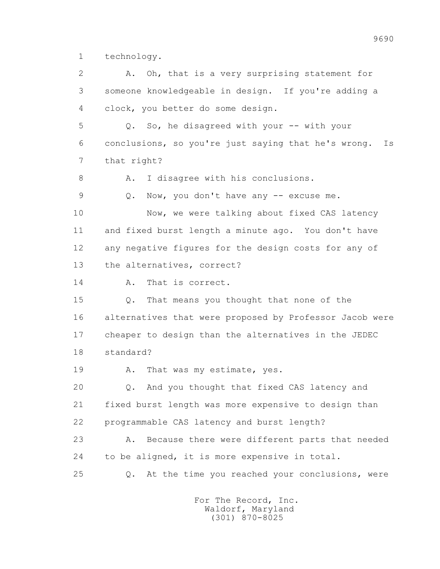1 technology.

 2 A. Oh, that is a very surprising statement for 3 someone knowledgeable in design. If you're adding a 4 clock, you better do some design. 5 Q. So, he disagreed with your -- with your 6 conclusions, so you're just saying that he's wrong. Is 7 that right? 8 A. I disagree with his conclusions. 9 Q. Now, you don't have any -- excuse me. 10 Now, we were talking about fixed CAS latency 11 and fixed burst length a minute ago. You don't have 12 any negative figures for the design costs for any of 13 the alternatives, correct? 14 A. That is correct. 15 Q. That means you thought that none of the 16 alternatives that were proposed by Professor Jacob were 17 cheaper to design than the alternatives in the JEDEC 18 standard? 19 A. That was my estimate, yes. 20 Q. And you thought that fixed CAS latency and 21 fixed burst length was more expensive to design than 22 programmable CAS latency and burst length? 23 A. Because there were different parts that needed 24 to be aligned, it is more expensive in total. 25 Q. At the time you reached your conclusions, were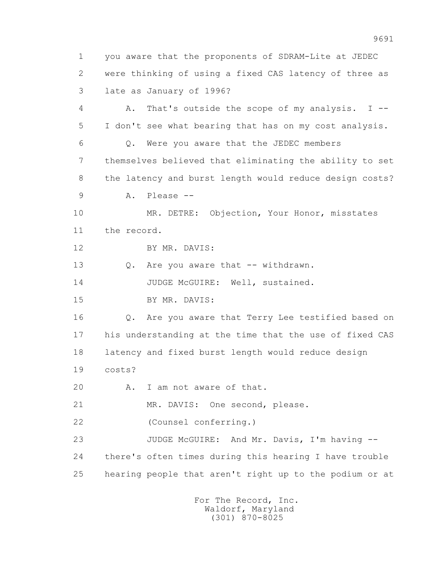1 you aware that the proponents of SDRAM-Lite at JEDEC 2 were thinking of using a fixed CAS latency of three as 3 late as January of 1996? 4 A. That's outside the scope of my analysis. I -- 5 I don't see what bearing that has on my cost analysis. 6 Q. Were you aware that the JEDEC members 7 themselves believed that eliminating the ability to set 8 the latency and burst length would reduce design costs? 9 A. Please -- 10 MR. DETRE: Objection, Your Honor, misstates 11 the record. 12 BY MR. DAVIS: 13 Q. Are you aware that -- withdrawn. 14 JUDGE McGUIRE: Well, sustained. 15 BY MR. DAVIS: 16 Q. Are you aware that Terry Lee testified based on 17 his understanding at the time that the use of fixed CAS 18 latency and fixed burst length would reduce design 19 costs? 20 A. I am not aware of that. 21 MR. DAVIS: One second, please. 22 (Counsel conferring.) 23 JUDGE McGUIRE: And Mr. Davis, I'm having -- 24 there's often times during this hearing I have trouble 25 hearing people that aren't right up to the podium or at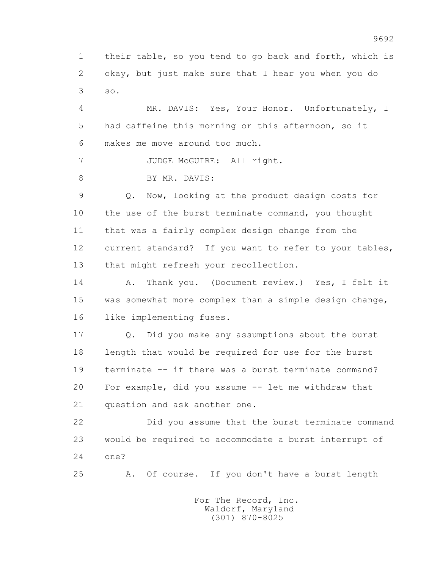1 their table, so you tend to go back and forth, which is 2 okay, but just make sure that I hear you when you do 3 so.

 4 MR. DAVIS: Yes, Your Honor. Unfortunately, I 5 had caffeine this morning or this afternoon, so it 6 makes me move around too much.

7 JUDGE McGUIRE: All right.

8 BY MR. DAVIS:

 9 Q. Now, looking at the product design costs for 10 the use of the burst terminate command, you thought 11 that was a fairly complex design change from the 12 current standard? If you want to refer to your tables, 13 that might refresh your recollection.

 14 A. Thank you. (Document review.) Yes, I felt it 15 was somewhat more complex than a simple design change, 16 like implementing fuses.

 17 Q. Did you make any assumptions about the burst 18 length that would be required for use for the burst 19 terminate -- if there was a burst terminate command? 20 For example, did you assume -- let me withdraw that 21 question and ask another one.

 22 Did you assume that the burst terminate command 23 would be required to accommodate a burst interrupt of 24 one?

25 A. Of course. If you don't have a burst length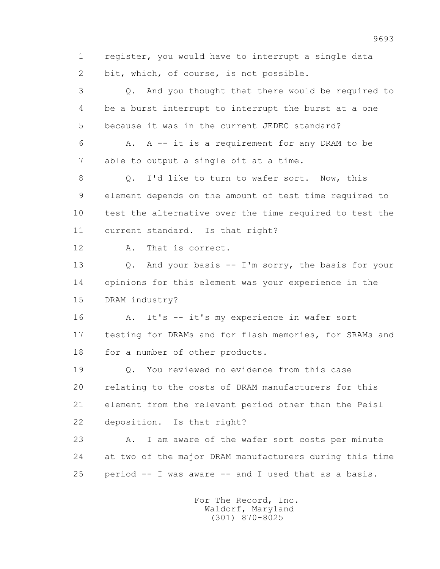1 register, you would have to interrupt a single data 2 bit, which, of course, is not possible. 3 Q. And you thought that there would be required to 4 be a burst interrupt to interrupt the burst at a one 5 because it was in the current JEDEC standard? 6 A. A -- it is a requirement for any DRAM to be

7 able to output a single bit at a time.

8 0. I'd like to turn to wafer sort. Now, this 9 element depends on the amount of test time required to 10 test the alternative over the time required to test the 11 current standard. Is that right?

12 A. That is correct.

 13 Q. And your basis -- I'm sorry, the basis for your 14 opinions for this element was your experience in the 15 DRAM industry?

16 A. It's -- it's my experience in wafer sort 17 testing for DRAMs and for flash memories, for SRAMs and 18 for a number of other products.

 19 Q. You reviewed no evidence from this case 20 relating to the costs of DRAM manufacturers for this 21 element from the relevant period other than the Peisl 22 deposition. Is that right?

 23 A. I am aware of the wafer sort costs per minute 24 at two of the major DRAM manufacturers during this time 25 period -- I was aware -- and I used that as a basis.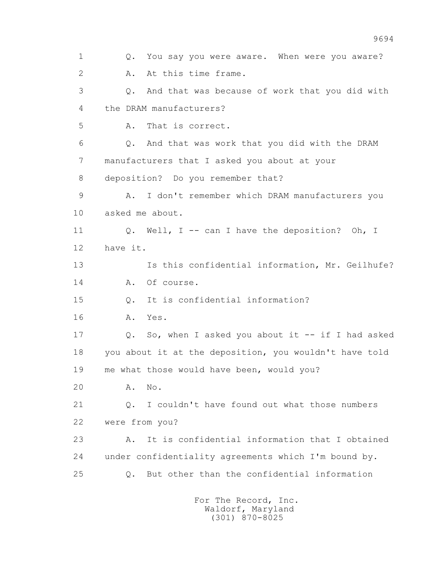1 Q. You say you were aware. When were you aware? 2 A. At this time frame. 3 Q. And that was because of work that you did with 4 the DRAM manufacturers? 5 A. That is correct. 6 Q. And that was work that you did with the DRAM 7 manufacturers that I asked you about at your 8 deposition? Do you remember that? 9 A. I don't remember which DRAM manufacturers you 10 asked me about. 11 0. Well, I -- can I have the deposition? Oh, I 12 have it. 13 Is this confidential information, Mr. Geilhufe? 14 A. Of course. 15 Q. It is confidential information? 16 A. Yes. 17 Q. So, when I asked you about it -- if I had asked 18 you about it at the deposition, you wouldn't have told 19 me what those would have been, would you? 20 A. No. 21 Q. I couldn't have found out what those numbers 22 were from you? 23 A. It is confidential information that I obtained 24 under confidentiality agreements which I'm bound by. 25 Q. But other than the confidential information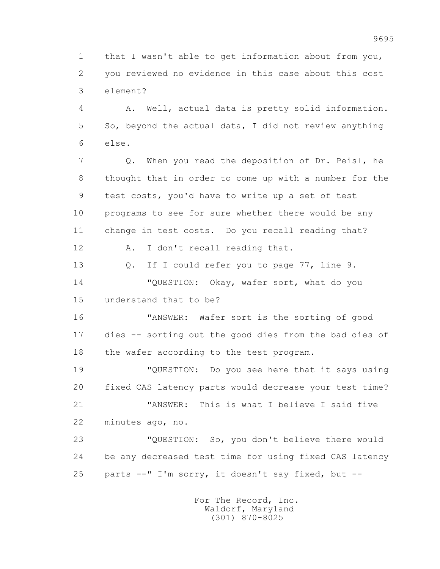1 that I wasn't able to get information about from you, 2 you reviewed no evidence in this case about this cost 3 element?

 4 A. Well, actual data is pretty solid information. 5 So, beyond the actual data, I did not review anything 6 else.

 7 Q. When you read the deposition of Dr. Peisl, he 8 thought that in order to come up with a number for the 9 test costs, you'd have to write up a set of test 10 programs to see for sure whether there would be any 11 change in test costs. Do you recall reading that?

12 A. I don't recall reading that.

 13 Q. If I could refer you to page 77, line 9. 14 "QUESTION: Okay, wafer sort, what do you 15 understand that to be?

 16 "ANSWER: Wafer sort is the sorting of good 17 dies -- sorting out the good dies from the bad dies of 18 the wafer according to the test program.

 19 "QUESTION: Do you see here that it says using 20 fixed CAS latency parts would decrease your test time? 21 "ANSWER: This is what I believe I said five

22 minutes ago, no.

 23 "QUESTION: So, you don't believe there would 24 be any decreased test time for using fixed CAS latency 25 parts --" I'm sorry, it doesn't say fixed, but --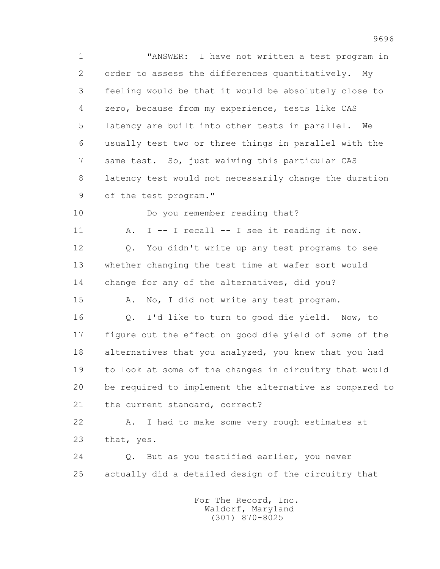1 "ANSWER: I have not written a test program in 2 order to assess the differences quantitatively. My 3 feeling would be that it would be absolutely close to 4 zero, because from my experience, tests like CAS 5 latency are built into other tests in parallel. We 6 usually test two or three things in parallel with the 7 same test. So, just waiving this particular CAS 8 latency test would not necessarily change the duration 9 of the test program." 10 Do you remember reading that? 11 A. I -- I recall -- I see it reading it now. 12 Q. You didn't write up any test programs to see 13 whether changing the test time at wafer sort would 14 change for any of the alternatives, did you? 15 A. No, I did not write any test program. 16 Q. I'd like to turn to good die yield. Now, to 17 figure out the effect on good die yield of some of the 18 alternatives that you analyzed, you knew that you had 19 to look at some of the changes in circuitry that would 20 be required to implement the alternative as compared to 21 the current standard, correct? 22 A. I had to make some very rough estimates at 23 that, yes. 24 Q. But as you testified earlier, you never 25 actually did a detailed design of the circuitry that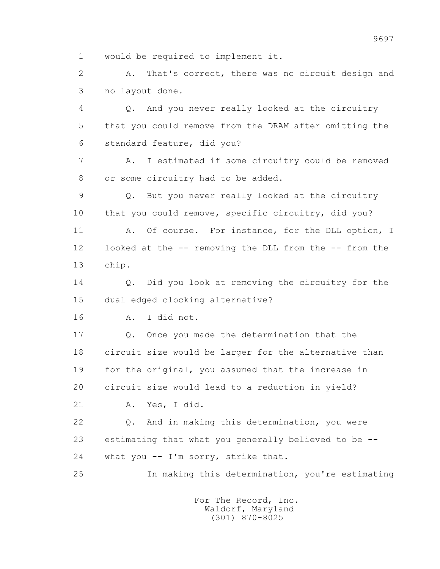1 would be required to implement it.

 2 A. That's correct, there was no circuit design and 3 no layout done.

 4 Q. And you never really looked at the circuitry 5 that you could remove from the DRAM after omitting the 6 standard feature, did you?

 7 A. I estimated if some circuitry could be removed 8 or some circuitry had to be added.

 9 Q. But you never really looked at the circuitry 10 that you could remove, specific circuitry, did you?

11 A. Of course. For instance, for the DLL option, I 12 looked at the -- removing the DLL from the -- from the 13 chip.

14 0. Did you look at removing the circuitry for the 15 dual edged clocking alternative?

16 A. I did not.

 17 Q. Once you made the determination that the 18 circuit size would be larger for the alternative than 19 for the original, you assumed that the increase in 20 circuit size would lead to a reduction in yield?

21 A. Yes, I did.

 22 Q. And in making this determination, you were 23 estimating that what you generally believed to be -- 24 what you -- I'm sorry, strike that.

25 In making this determination, you're estimating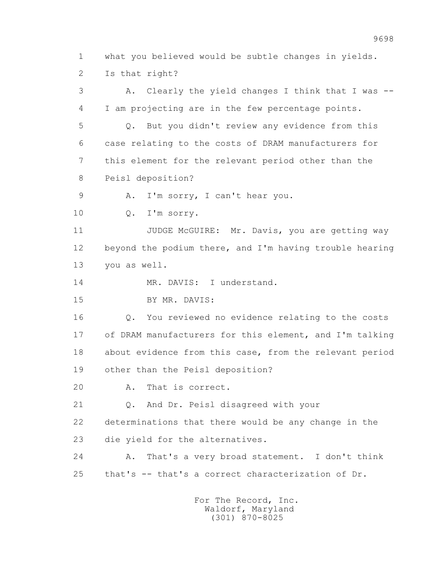1 what you believed would be subtle changes in yields. 2 Is that right?

 3 A. Clearly the yield changes I think that I was -- 4 I am projecting are in the few percentage points. 5 Q. But you didn't review any evidence from this 6 case relating to the costs of DRAM manufacturers for 7 this element for the relevant period other than the 8 Peisl deposition? 9 A. I'm sorry, I can't hear you. 10 Q. I'm sorry. 11 JUDGE McGUIRE: Mr. Davis, you are getting way 12 beyond the podium there, and I'm having trouble hearing 13 you as well. 14 MR. DAVIS: I understand. 15 BY MR. DAVIS: 16 Q. You reviewed no evidence relating to the costs 17 of DRAM manufacturers for this element, and I'm talking 18 about evidence from this case, from the relevant period 19 other than the Peisl deposition? 20 A. That is correct. 21 Q. And Dr. Peisl disagreed with your 22 determinations that there would be any change in the 23 die yield for the alternatives. 24 A. That's a very broad statement. I don't think 25 that's -- that's a correct characterization of Dr.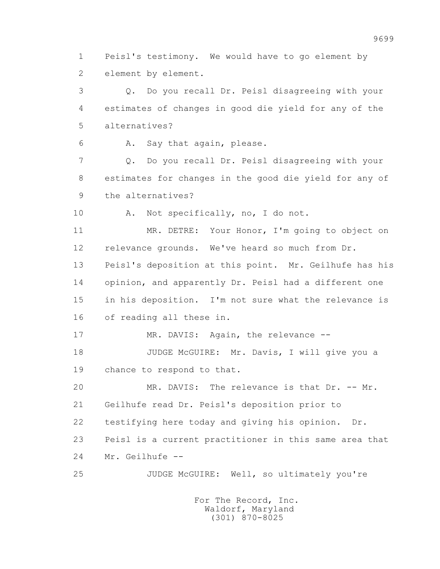1 Peisl's testimony. We would have to go element by 2 element by element.

 3 Q. Do you recall Dr. Peisl disagreeing with your 4 estimates of changes in good die yield for any of the 5 alternatives?

6 A. Say that again, please.

 7 Q. Do you recall Dr. Peisl disagreeing with your 8 estimates for changes in the good die yield for any of 9 the alternatives?

10 A. Not specifically, no, I do not.

 11 MR. DETRE: Your Honor, I'm going to object on 12 relevance grounds. We've heard so much from Dr. 13 Peisl's deposition at this point. Mr. Geilhufe has his 14 opinion, and apparently Dr. Peisl had a different one 15 in his deposition. I'm not sure what the relevance is 16 of reading all these in.

17 MR. DAVIS: Again, the relevance --

 18 JUDGE McGUIRE: Mr. Davis, I will give you a 19 chance to respond to that.

 20 MR. DAVIS: The relevance is that Dr. -- Mr. 21 Geilhufe read Dr. Peisl's deposition prior to 22 testifying here today and giving his opinion. Dr. 23 Peisl is a current practitioner in this same area that 24 Mr. Geilhufe --

25 JUDGE McGUIRE: Well, so ultimately you're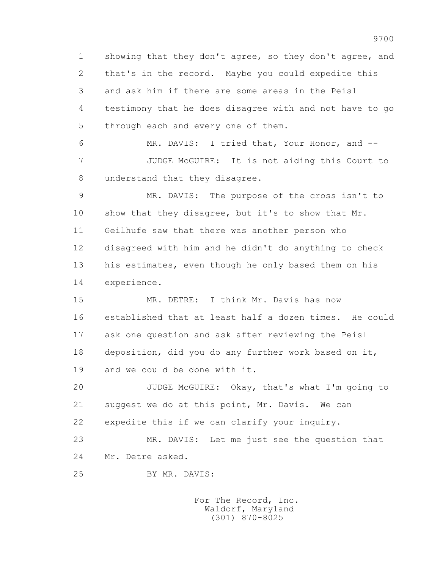1 showing that they don't agree, so they don't agree, and 2 that's in the record. Maybe you could expedite this 3 and ask him if there are some areas in the Peisl 4 testimony that he does disagree with and not have to go 5 through each and every one of them.

 6 MR. DAVIS: I tried that, Your Honor, and -- 7 JUDGE McGUIRE: It is not aiding this Court to 8 understand that they disagree.

 9 MR. DAVIS: The purpose of the cross isn't to 10 show that they disagree, but it's to show that Mr. 11 Geilhufe saw that there was another person who 12 disagreed with him and he didn't do anything to check 13 his estimates, even though he only based them on his 14 experience.

 15 MR. DETRE: I think Mr. Davis has now 16 established that at least half a dozen times. He could 17 ask one question and ask after reviewing the Peisl 18 deposition, did you do any further work based on it, 19 and we could be done with it.

 20 JUDGE McGUIRE: Okay, that's what I'm going to 21 suggest we do at this point, Mr. Davis. We can 22 expedite this if we can clarify your inquiry.

 23 MR. DAVIS: Let me just see the question that 24 Mr. Detre asked.

25 BY MR. DAVIS: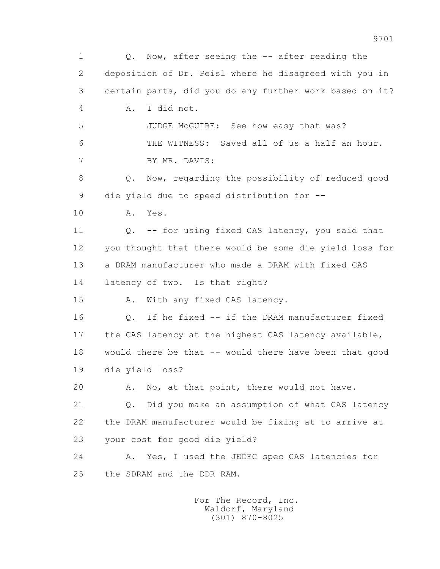1 Q. Now, after seeing the -- after reading the 2 deposition of Dr. Peisl where he disagreed with you in 3 certain parts, did you do any further work based on it? 4 A. I did not. 5 JUDGE McGUIRE: See how easy that was? 6 THE WITNESS: Saved all of us a half an hour. 7 BY MR. DAVIS: 8 Q. Now, regarding the possibility of reduced good 9 die yield due to speed distribution for -- 10 A. Yes. 11 Q. -- for using fixed CAS latency, you said that 12 you thought that there would be some die yield loss for 13 a DRAM manufacturer who made a DRAM with fixed CAS 14 latency of two. Is that right? 15 A. With any fixed CAS latency. 16 Q. If he fixed -- if the DRAM manufacturer fixed 17 the CAS latency at the highest CAS latency available, 18 would there be that -- would there have been that good 19 die yield loss? 20 A. No, at that point, there would not have. 21 Q. Did you make an assumption of what CAS latency 22 the DRAM manufacturer would be fixing at to arrive at 23 your cost for good die yield? 24 A. Yes, I used the JEDEC spec CAS latencies for 25 the SDRAM and the DDR RAM.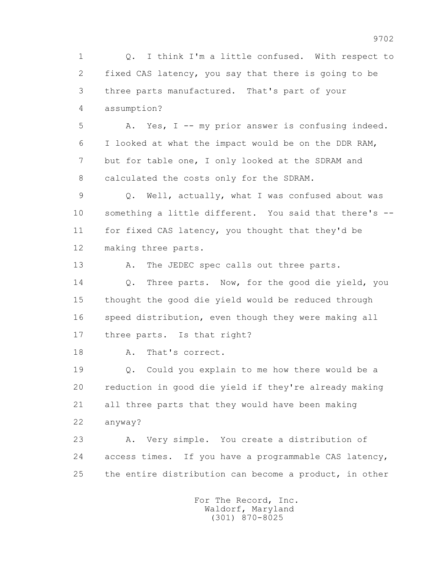1 Q. I think I'm a little confused. With respect to 2 fixed CAS latency, you say that there is going to be 3 three parts manufactured. That's part of your 4 assumption?

 5 A. Yes, I -- my prior answer is confusing indeed. 6 I looked at what the impact would be on the DDR RAM, 7 but for table one, I only looked at the SDRAM and 8 calculated the costs only for the SDRAM.

 9 Q. Well, actually, what I was confused about was 10 something a little different. You said that there's -- 11 for fixed CAS latency, you thought that they'd be 12 making three parts.

13 A. The JEDEC spec calls out three parts. 14 0. Three parts. Now, for the good die yield, you 15 thought the good die yield would be reduced through 16 speed distribution, even though they were making all 17 three parts. Is that right?

18 A. That's correct.

 19 Q. Could you explain to me how there would be a 20 reduction in good die yield if they're already making 21 all three parts that they would have been making 22 anyway?

 23 A. Very simple. You create a distribution of 24 access times. If you have a programmable CAS latency, 25 the entire distribution can become a product, in other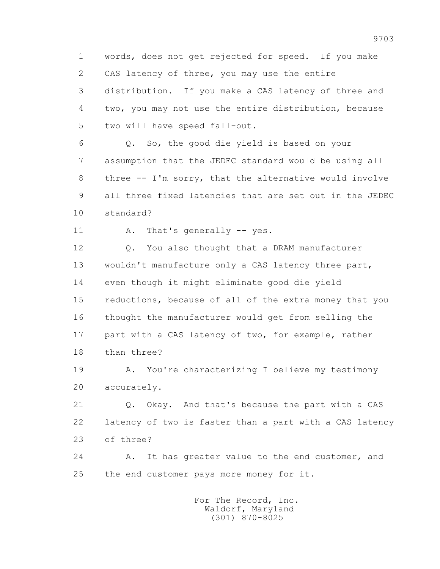1 words, does not get rejected for speed. If you make 2 CAS latency of three, you may use the entire 3 distribution. If you make a CAS latency of three and 4 two, you may not use the entire distribution, because 5 two will have speed fall-out.

 6 Q. So, the good die yield is based on your 7 assumption that the JEDEC standard would be using all 8 three -- I'm sorry, that the alternative would involve 9 all three fixed latencies that are set out in the JEDEC 10 standard?

11 A. That's generally -- yes.

12 Q. You also thought that a DRAM manufacturer 13 wouldn't manufacture only a CAS latency three part, 14 even though it might eliminate good die yield 15 reductions, because of all of the extra money that you 16 thought the manufacturer would get from selling the 17 part with a CAS latency of two, for example, rather 18 than three?

19 A. You're characterizing I believe my testimony 20 accurately.

 21 Q. Okay. And that's because the part with a CAS 22 latency of two is faster than a part with a CAS latency 23 of three?

 24 A. It has greater value to the end customer, and 25 the end customer pays more money for it.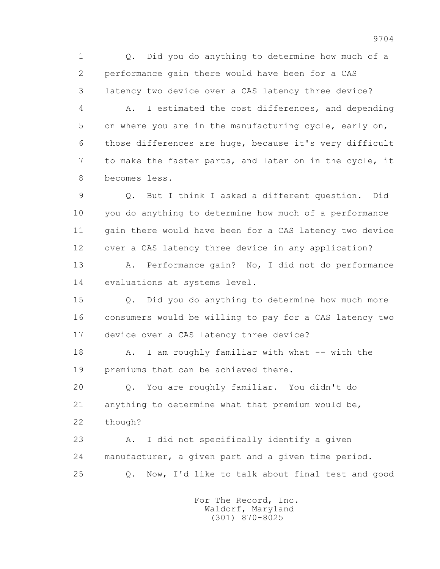1 Q. Did you do anything to determine how much of a 2 performance gain there would have been for a CAS 3 latency two device over a CAS latency three device?

 4 A. I estimated the cost differences, and depending 5 on where you are in the manufacturing cycle, early on, 6 those differences are huge, because it's very difficult 7 to make the faster parts, and later on in the cycle, it 8 becomes less.

 9 Q. But I think I asked a different question. Did 10 you do anything to determine how much of a performance 11 gain there would have been for a CAS latency two device 12 over a CAS latency three device in any application?

 13 A. Performance gain? No, I did not do performance 14 evaluations at systems level.

 15 Q. Did you do anything to determine how much more 16 consumers would be willing to pay for a CAS latency two 17 device over a CAS latency three device?

18 A. I am roughly familiar with what -- with the 19 premiums that can be achieved there.

 20 Q. You are roughly familiar. You didn't do 21 anything to determine what that premium would be, 22 though?

 23 A. I did not specifically identify a given 24 manufacturer, a given part and a given time period. 25 Q. Now, I'd like to talk about final test and good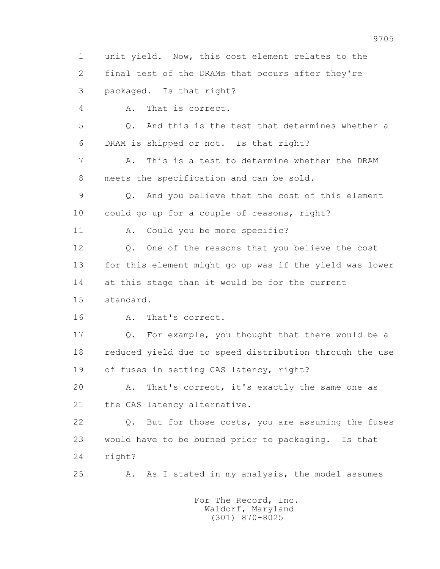1 unit yield. Now, this cost element relates to the 2 final test of the DRAMs that occurs after they're 3 packaged. Is that right? 4 A. That is correct. 5 Q. And this is the test that determines whether a 6 DRAM is shipped or not. Is that right? 7 A. This is a test to determine whether the DRAM 8 meets the specification and can be sold. 9 Q. And you believe that the cost of this element 10 could go up for a couple of reasons, right? 11 A. Could you be more specific? 12 Q. One of the reasons that you believe the cost 13 for this element might go up was if the yield was lower 14 at this stage than it would be for the current 15 standard. 16 A. That's correct. 17 Q. For example, you thought that there would be a 18 reduced yield due to speed distribution through the use 19 of fuses in setting CAS latency, right? 20 A. That's correct, it's exactly the same one as 21 the CAS latency alternative. 22 Q. But for those costs, you are assuming the fuses 23 would have to be burned prior to packaging. Is that 24 right? 25 A. As I stated in my analysis, the model assumes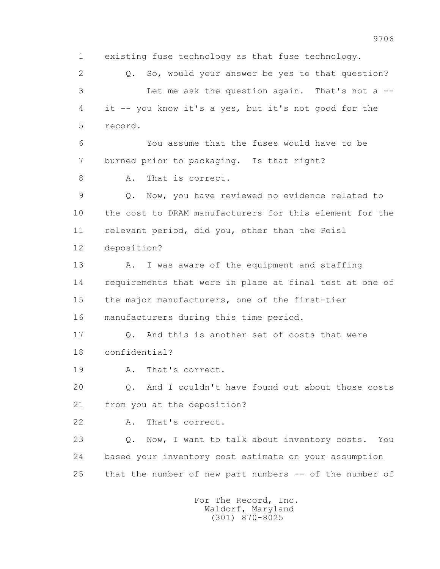1 existing fuse technology as that fuse technology. 2 Q. So, would your answer be yes to that question? 3 Let me ask the question again. That's not a -- 4 it -- you know it's a yes, but it's not good for the 5 record. 6 You assume that the fuses would have to be 7 burned prior to packaging. Is that right? 8 A. That is correct. 9 Q. Now, you have reviewed no evidence related to 10 the cost to DRAM manufacturers for this element for the 11 relevant period, did you, other than the Peisl 12 deposition? 13 A. I was aware of the equipment and staffing 14 requirements that were in place at final test at one of 15 the major manufacturers, one of the first-tier 16 manufacturers during this time period. 17 Q. And this is another set of costs that were 18 confidential? 19 A. That's correct. 20 Q. And I couldn't have found out about those costs 21 from you at the deposition? 22 A. That's correct. 23 Q. Now, I want to talk about inventory costs. You 24 based your inventory cost estimate on your assumption 25 that the number of new part numbers -- of the number of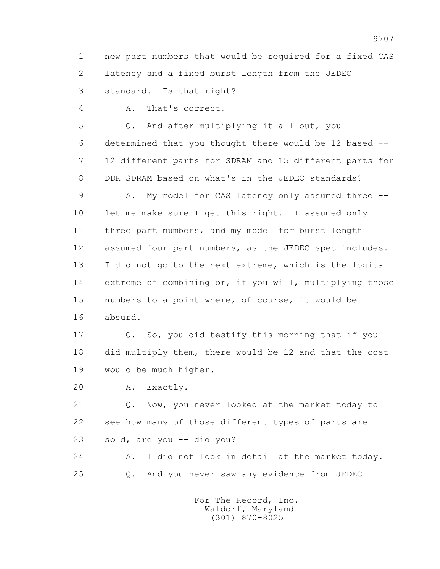1 new part numbers that would be required for a fixed CAS 2 latency and a fixed burst length from the JEDEC 3 standard. Is that right?

4 A. That's correct.

 5 Q. And after multiplying it all out, you 6 determined that you thought there would be 12 based -- 7 12 different parts for SDRAM and 15 different parts for 8 DDR SDRAM based on what's in the JEDEC standards?

 9 A. My model for CAS latency only assumed three -- 10 let me make sure I get this right. I assumed only 11 three part numbers, and my model for burst length 12 assumed four part numbers, as the JEDEC spec includes. 13 I did not go to the next extreme, which is the logical 14 extreme of combining or, if you will, multiplying those 15 numbers to a point where, of course, it would be 16 absurd.

 17 Q. So, you did testify this morning that if you 18 did multiply them, there would be 12 and that the cost 19 would be much higher.

20 A. Exactly.

 21 Q. Now, you never looked at the market today to 22 see how many of those different types of parts are 23 sold, are you -- did you?

 24 A. I did not look in detail at the market today. 25 Q. And you never saw any evidence from JEDEC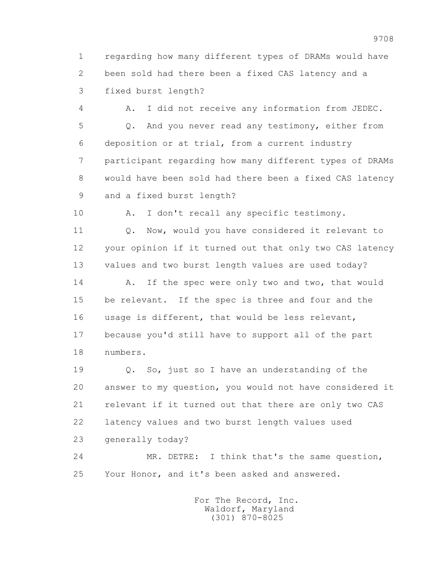1 regarding how many different types of DRAMs would have 2 been sold had there been a fixed CAS latency and a 3 fixed burst length?

 4 A. I did not receive any information from JEDEC. 5 Q. And you never read any testimony, either from 6 deposition or at trial, from a current industry 7 participant regarding how many different types of DRAMs 8 would have been sold had there been a fixed CAS latency 9 and a fixed burst length?

10 A. I don't recall any specific testimony.

11 0. Now, would you have considered it relevant to 12 your opinion if it turned out that only two CAS latency 13 values and two burst length values are used today?

14 A. If the spec were only two and two, that would 15 be relevant. If the spec is three and four and the 16 usage is different, that would be less relevant, 17 because you'd still have to support all of the part 18 numbers.

 19 Q. So, just so I have an understanding of the 20 answer to my question, you would not have considered it 21 relevant if it turned out that there are only two CAS 22 latency values and two burst length values used 23 generally today?

 24 MR. DETRE: I think that's the same question, 25 Your Honor, and it's been asked and answered.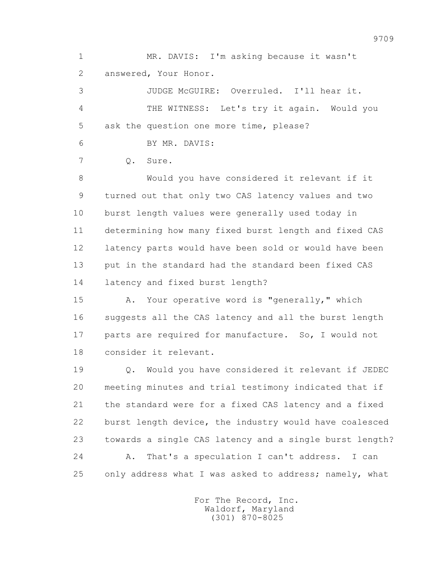1 MR. DAVIS: I'm asking because it wasn't 2 answered, Your Honor.

 3 JUDGE McGUIRE: Overruled. I'll hear it. 4 THE WITNESS: Let's try it again. Would you 5 ask the question one more time, please?

6 BY MR. DAVIS:

7 Q. Sure.

 8 Would you have considered it relevant if it 9 turned out that only two CAS latency values and two 10 burst length values were generally used today in 11 determining how many fixed burst length and fixed CAS 12 latency parts would have been sold or would have been 13 put in the standard had the standard been fixed CAS 14 latency and fixed burst length?

 15 A. Your operative word is "generally," which 16 suggests all the CAS latency and all the burst length 17 parts are required for manufacture. So, I would not 18 consider it relevant.

 19 Q. Would you have considered it relevant if JEDEC 20 meeting minutes and trial testimony indicated that if 21 the standard were for a fixed CAS latency and a fixed 22 burst length device, the industry would have coalesced 23 towards a single CAS latency and a single burst length? 24 A. That's a speculation I can't address. I can 25 only address what I was asked to address; namely, what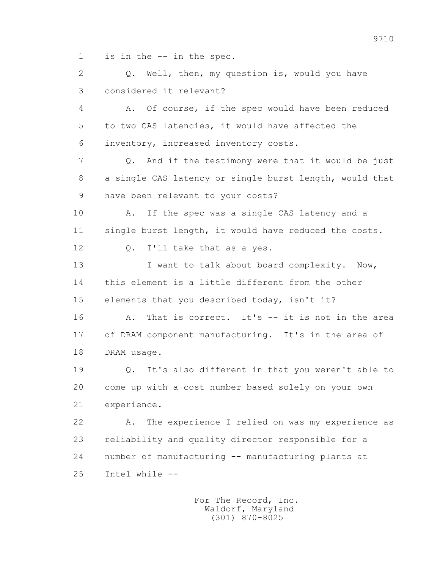1 is in the -- in the spec.

 2 Q. Well, then, my question is, would you have 3 considered it relevant?

 4 A. Of course, if the spec would have been reduced 5 to two CAS latencies, it would have affected the 6 inventory, increased inventory costs.

 7 Q. And if the testimony were that it would be just 8 a single CAS latency or single burst length, would that 9 have been relevant to your costs?

 10 A. If the spec was a single CAS latency and a 11 single burst length, it would have reduced the costs.

12 Q. I'll take that as a yes.

13 I want to talk about board complexity. Now, 14 this element is a little different from the other 15 elements that you described today, isn't it?

 16 A. That is correct. It's -- it is not in the area 17 of DRAM component manufacturing. It's in the area of 18 DRAM usage.

 19 Q. It's also different in that you weren't able to 20 come up with a cost number based solely on your own 21 experience.

 22 A. The experience I relied on was my experience as 23 reliability and quality director responsible for a 24 number of manufacturing -- manufacturing plants at 25 Intel while --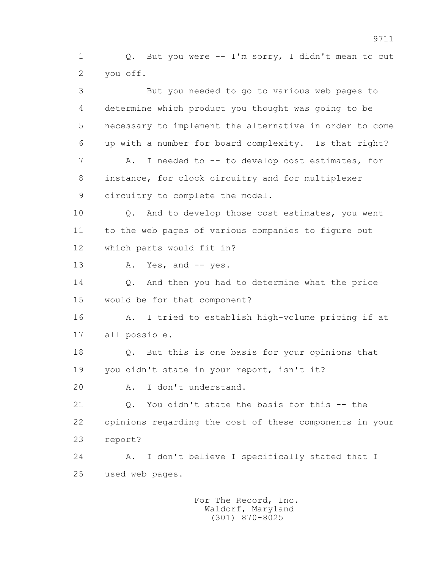1 Q. But you were -- I'm sorry, I didn't mean to cut 2 you off.

 3 But you needed to go to various web pages to 4 determine which product you thought was going to be 5 necessary to implement the alternative in order to come 6 up with a number for board complexity. Is that right? 7 A. I needed to -- to develop cost estimates, for 8 instance, for clock circuitry and for multiplexer 9 circuitry to complete the model. 10 Q. And to develop those cost estimates, you went 11 to the web pages of various companies to figure out 12 which parts would fit in? 13 A. Yes, and -- yes. 14 Q. And then you had to determine what the price 15 would be for that component? 16 A. I tried to establish high-volume pricing if at 17 all possible. 18 Q. But this is one basis for your opinions that 19 you didn't state in your report, isn't it? 20 A. I don't understand. 21 0. You didn't state the basis for this -- the 22 opinions regarding the cost of these components in your 23 report? 24 A. I don't believe I specifically stated that I 25 used web pages.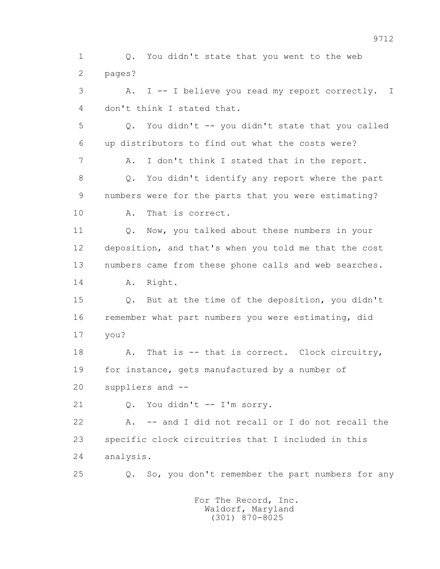1 Q. You didn't state that you went to the web 2 pages? 3 A. I -- I believe you read my report correctly. I 4 don't think I stated that. 5 Q. You didn't -- you didn't state that you called 6 up distributors to find out what the costs were? 7 A. I don't think I stated that in the report. 8 Q. You didn't identify any report where the part 9 numbers were for the parts that you were estimating? 10 A. That is correct. 11 Q. Now, you talked about these numbers in your 12 deposition, and that's when you told me that the cost 13 numbers came from these phone calls and web searches. 14 A. Right. 15 Q. But at the time of the deposition, you didn't 16 remember what part numbers you were estimating, did 17 you? 18 A. That is -- that is correct. Clock circuitry, 19 for instance, gets manufactured by a number of 20 suppliers and -- 21 Q. You didn't -- I'm sorry. 22 A. -- and I did not recall or I do not recall the 23 specific clock circuitries that I included in this 24 analysis. 25 Q. So, you don't remember the part numbers for any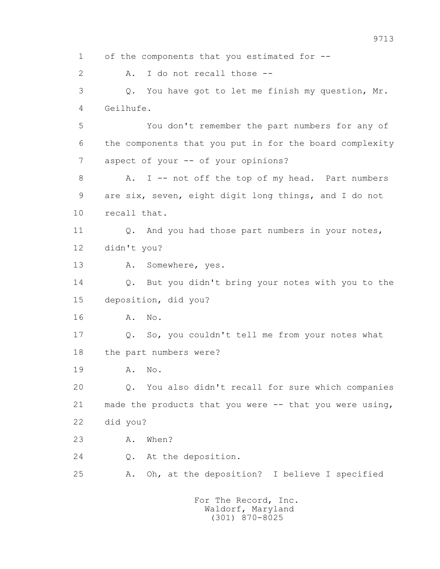1 of the components that you estimated for -- 2 A. I do not recall those -- 3 Q. You have got to let me finish my question, Mr. 4 Geilhufe. 5 You don't remember the part numbers for any of 6 the components that you put in for the board complexity 7 aspect of your -- of your opinions? 8 A. I -- not off the top of my head. Part numbers 9 are six, seven, eight digit long things, and I do not 10 recall that. 11 Q. And you had those part numbers in your notes, 12 didn't you? 13 A. Somewhere, yes. 14 Q. But you didn't bring your notes with you to the 15 deposition, did you? 16 A. No. 17 Q. So, you couldn't tell me from your notes what 18 the part numbers were? 19 A. No. 20 Q. You also didn't recall for sure which companies 21 made the products that you were -- that you were using, 22 did you? 23 A. When? 24 Q. At the deposition. 25 A. Oh, at the deposition? I believe I specified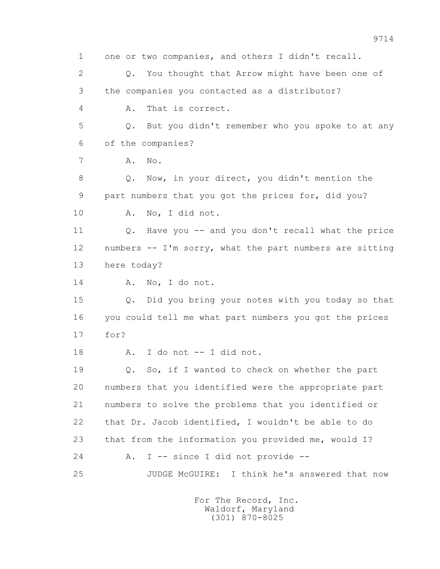1 one or two companies, and others I didn't recall. 2 Q. You thought that Arrow might have been one of 3 the companies you contacted as a distributor? 4 A. That is correct. 5 Q. But you didn't remember who you spoke to at any 6 of the companies? 7 A. No. 8 Q. Now, in your direct, you didn't mention the 9 part numbers that you got the prices for, did you? 10 A. No, I did not. 11 Q. Have you -- and you don't recall what the price 12 numbers -- I'm sorry, what the part numbers are sitting 13 here today? 14 A. No, I do not. 15 Q. Did you bring your notes with you today so that 16 you could tell me what part numbers you got the prices 17 for? 18 A. I do not -- I did not. 19 Q. So, if I wanted to check on whether the part 20 numbers that you identified were the appropriate part 21 numbers to solve the problems that you identified or 22 that Dr. Jacob identified, I wouldn't be able to do 23 that from the information you provided me, would I? 24 A. I -- since I did not provide -- 25 JUDGE McGUIRE: I think he's answered that now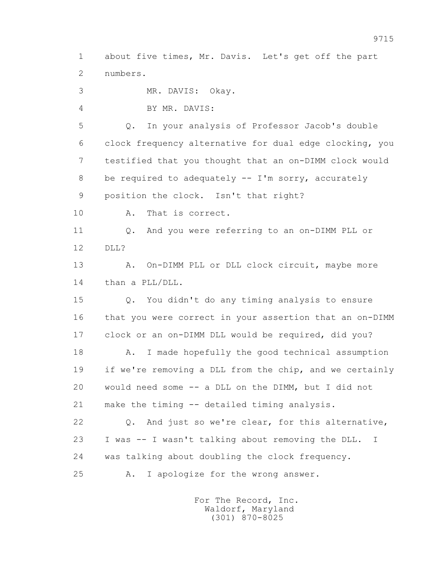1 about five times, Mr. Davis. Let's get off the part 2 numbers.

3 MR. DAVIS: Okay.

4 BY MR. DAVIS:

 5 Q. In your analysis of Professor Jacob's double 6 clock frequency alternative for dual edge clocking, you 7 testified that you thought that an on-DIMM clock would 8 be required to adequately -- I'm sorry, accurately 9 position the clock. Isn't that right?

10 A. That is correct.

 11 Q. And you were referring to an on-DIMM PLL or 12 DLL?

13 A. On-DIMM PLL or DLL clock circuit, maybe more 14 than a PLL/DLL.

 15 Q. You didn't do any timing analysis to ensure 16 that you were correct in your assertion that an on-DIMM 17 clock or an on-DIMM DLL would be required, did you?

 18 A. I made hopefully the good technical assumption 19 if we're removing a DLL from the chip, and we certainly 20 would need some -- a DLL on the DIMM, but I did not 21 make the timing -- detailed timing analysis.

 22 Q. And just so we're clear, for this alternative, 23 I was -- I wasn't talking about removing the DLL. I 24 was talking about doubling the clock frequency.

25 A. I apologize for the wrong answer.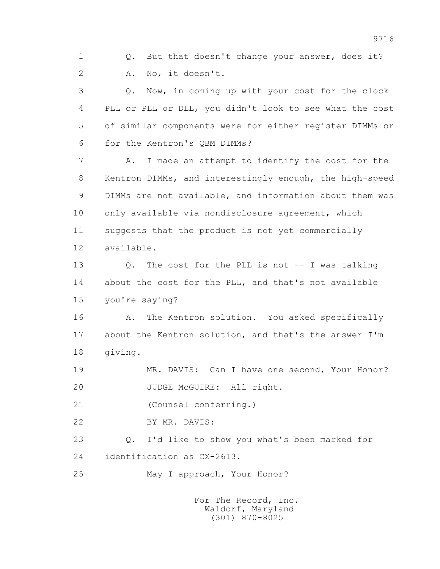1 0. But that doesn't change your answer, does it? 2 A. No, it doesn't.

 3 Q. Now, in coming up with your cost for the clock 4 PLL or PLL or DLL, you didn't look to see what the cost 5 of similar components were for either register DIMMs or 6 for the Kentron's QBM DIMMs?

 7 A. I made an attempt to identify the cost for the 8 Kentron DIMMs, and interestingly enough, the high-speed 9 DIMMs are not available, and information about them was 10 only available via nondisclosure agreement, which 11 suggests that the product is not yet commercially 12 available.

 13 Q. The cost for the PLL is not -- I was talking 14 about the cost for the PLL, and that's not available 15 you're saying?

16 A. The Kentron solution. You asked specifically 17 about the Kentron solution, and that's the answer I'm 18 giving.

 19 MR. DAVIS: Can I have one second, Your Honor? 20 JUDGE McGUIRE: All right.

21 (Counsel conferring.)

22 BY MR. DAVIS:

 23 Q. I'd like to show you what's been marked for 24 identification as CX-2613.

25 May I approach, Your Honor?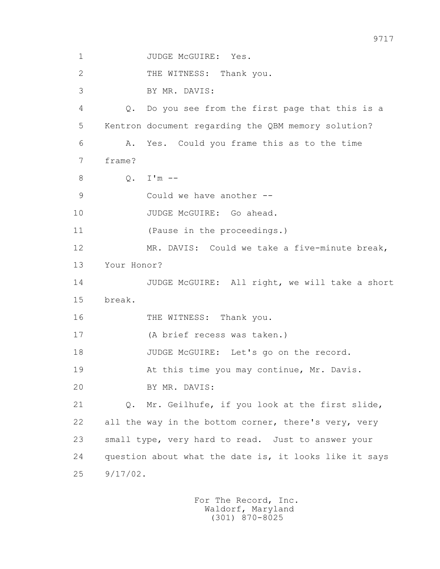1 JUDGE McGUIRE: Yes. 2 THE WITNESS: Thank you. 3 BY MR. DAVIS: 4 Q. Do you see from the first page that this is a 5 Kentron document regarding the QBM memory solution? 6 A. Yes. Could you frame this as to the time 7 frame? 8 Q. I'm -- 9 Could we have another -- 10 JUDGE McGUIRE: Go ahead. 11 (Pause in the proceedings.) 12 MR. DAVIS: Could we take a five-minute break, 13 Your Honor? 14 JUDGE McGUIRE: All right, we will take a short 15 break. 16 THE WITNESS: Thank you. 17 (A brief recess was taken.) 18 JUDGE McGUIRE: Let's go on the record. 19 At this time you may continue, Mr. Davis. 20 BY MR. DAVIS: 21 Q. Mr. Geilhufe, if you look at the first slide, 22 all the way in the bottom corner, there's very, very 23 small type, very hard to read. Just to answer your 24 question about what the date is, it looks like it says 25 9/17/02.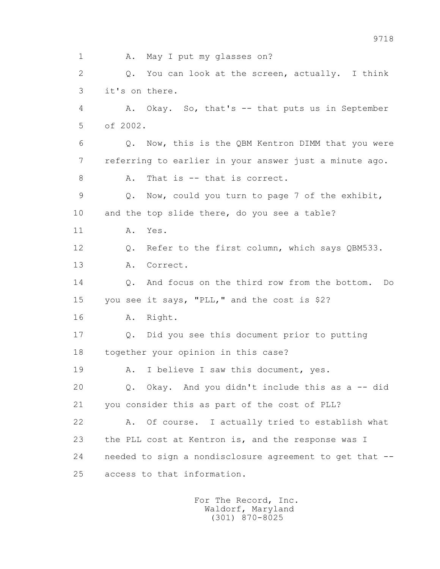1 A. May I put my glasses on? 2 Q. You can look at the screen, actually. I think 3 it's on there. 4 A. Okay. So, that's -- that puts us in September 5 of 2002. 6 Q. Now, this is the QBM Kentron DIMM that you were 7 referring to earlier in your answer just a minute ago. 8 A. That is -- that is correct. 9 Q. Now, could you turn to page 7 of the exhibit, 10 and the top slide there, do you see a table? 11 A. Yes. 12 Q. Refer to the first column, which says QBM533. 13 A. Correct. 14 Q. And focus on the third row from the bottom. Do 15 you see it says, "PLL," and the cost is \$2? 16 A. Right. 17 Q. Did you see this document prior to putting 18 together your opinion in this case? 19 A. I believe I saw this document, yes. 20 Q. Okay. And you didn't include this as a -- did 21 you consider this as part of the cost of PLL? 22 A. Of course. I actually tried to establish what 23 the PLL cost at Kentron is, and the response was I 24 needed to sign a nondisclosure agreement to get that -- 25 access to that information.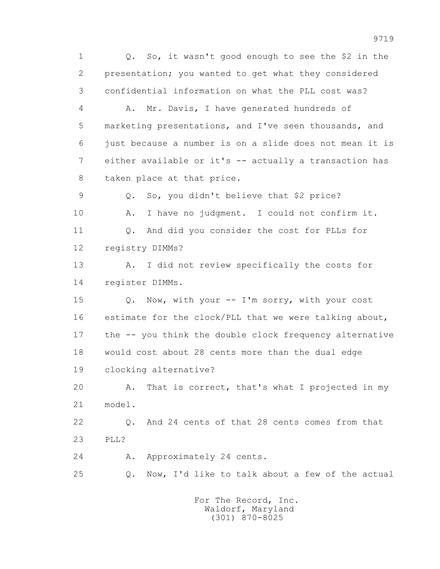1 Q. So, it wasn't good enough to see the \$2 in the 2 presentation; you wanted to get what they considered 3 confidential information on what the PLL cost was?

 4 A. Mr. Davis, I have generated hundreds of 5 marketing presentations, and I've seen thousands, and 6 just because a number is on a slide does not mean it is 7 either available or it's -- actually a transaction has 8 taken place at that price.

 9 Q. So, you didn't believe that \$2 price? 10 A. I have no judgment. I could not confirm it. 11 Q. And did you consider the cost for PLLs for 12 registry DIMMs?

 13 A. I did not review specifically the costs for 14 register DIMMs.

 15 Q. Now, with your -- I'm sorry, with your cost 16 estimate for the clock/PLL that we were talking about, 17 the -- you think the double clock frequency alternative 18 would cost about 28 cents more than the dual edge 19 clocking alternative?

 20 A. That is correct, that's what I projected in my 21 model.

 22 Q. And 24 cents of that 28 cents comes from that 23 PLL?

24 A. Approximately 24 cents.

25 Q. Now, I'd like to talk about a few of the actual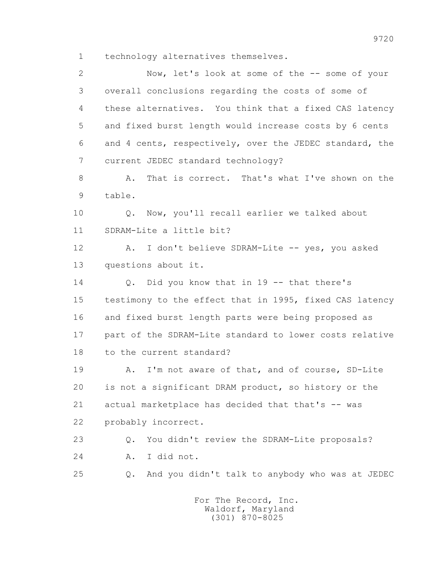1 technology alternatives themselves.

 2 Now, let's look at some of the -- some of your 3 overall conclusions regarding the costs of some of 4 these alternatives. You think that a fixed CAS latency 5 and fixed burst length would increase costs by 6 cents 6 and 4 cents, respectively, over the JEDEC standard, the 7 current JEDEC standard technology? 8 A. That is correct. That's what I've shown on the 9 table. 10 Q. Now, you'll recall earlier we talked about 11 SDRAM-Lite a little bit? 12 A. I don't believe SDRAM-Lite -- yes, you asked 13 questions about it. 14 Q. Did you know that in 19 -- that there's 15 testimony to the effect that in 1995, fixed CAS latency 16 and fixed burst length parts were being proposed as 17 part of the SDRAM-Lite standard to lower costs relative 18 to the current standard? 19 A. I'm not aware of that, and of course, SD-Lite 20 is not a significant DRAM product, so history or the 21 actual marketplace has decided that that's -- was 22 probably incorrect. 23 Q. You didn't review the SDRAM-Lite proposals? 24 A. I did not. 25 Q. And you didn't talk to anybody who was at JEDEC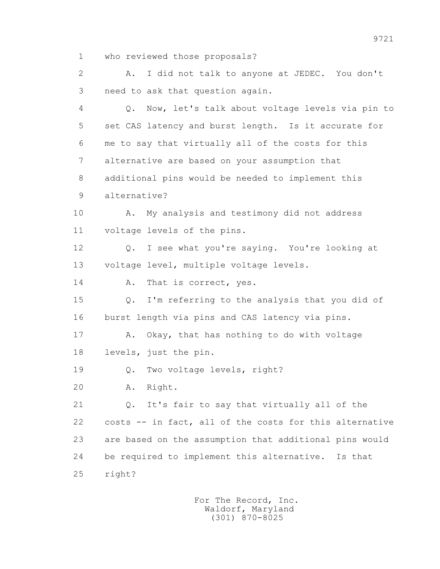1 who reviewed those proposals?

 2 A. I did not talk to anyone at JEDEC. You don't 3 need to ask that question again.

 4 Q. Now, let's talk about voltage levels via pin to 5 set CAS latency and burst length. Is it accurate for 6 me to say that virtually all of the costs for this 7 alternative are based on your assumption that 8 additional pins would be needed to implement this 9 alternative?

 10 A. My analysis and testimony did not address 11 voltage levels of the pins.

 12 Q. I see what you're saying. You're looking at 13 voltage level, multiple voltage levels.

14 A. That is correct, yes.

 15 Q. I'm referring to the analysis that you did of 16 burst length via pins and CAS latency via pins.

 17 A. Okay, that has nothing to do with voltage 18 levels, just the pin.

19 Q. Two voltage levels, right?

20 A. Right.

 21 Q. It's fair to say that virtually all of the 22 costs -- in fact, all of the costs for this alternative 23 are based on the assumption that additional pins would 24 be required to implement this alternative. Is that 25 right?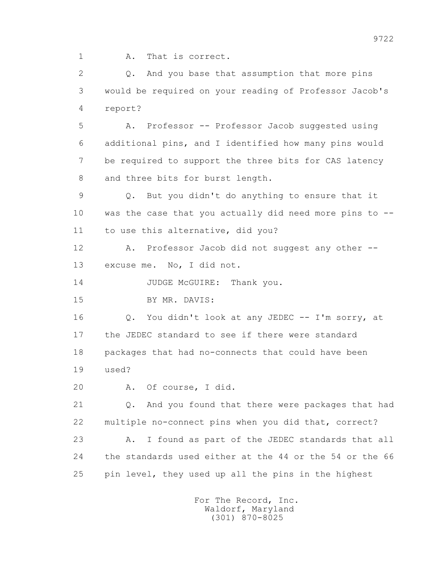1 A. That is correct.

 2 Q. And you base that assumption that more pins 3 would be required on your reading of Professor Jacob's 4 report?

 5 A. Professor -- Professor Jacob suggested using 6 additional pins, and I identified how many pins would 7 be required to support the three bits for CAS latency 8 and three bits for burst length.

 9 Q. But you didn't do anything to ensure that it 10 was the case that you actually did need more pins to -- 11 to use this alternative, did you?

 12 A. Professor Jacob did not suggest any other -- 13 excuse me. No, I did not.

14 JUDGE McGUIRE: Thank you.

15 BY MR. DAVIS:

 16 Q. You didn't look at any JEDEC -- I'm sorry, at 17 the JEDEC standard to see if there were standard 18 packages that had no-connects that could have been 19 used?

20 A. Of course, I did.

 21 Q. And you found that there were packages that had 22 multiple no-connect pins when you did that, correct?

 23 A. I found as part of the JEDEC standards that all 24 the standards used either at the 44 or the 54 or the 66 25 pin level, they used up all the pins in the highest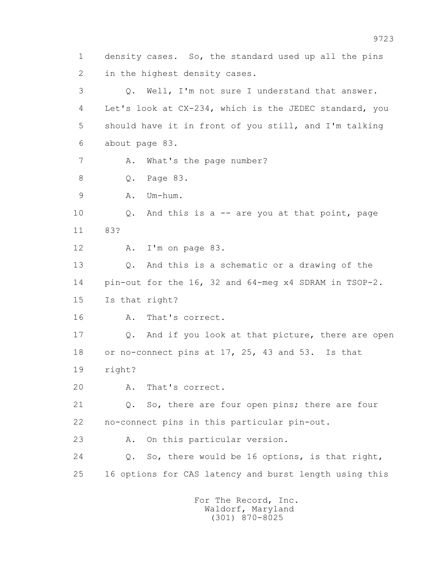1 density cases. So, the standard used up all the pins 2 in the highest density cases. 3 Q. Well, I'm not sure I understand that answer. 4 Let's look at CX-234, which is the JEDEC standard, you 5 should have it in front of you still, and I'm talking 6 about page 83. 7 A. What's the page number? 8 Q. Page 83. 9 A. Um-hum. 10 Q. And this is a -- are you at that point, page 11 83? 12 A. I'm on page 83. 13 Q. And this is a schematic or a drawing of the 14 pin-out for the 16, 32 and 64-meg x4 SDRAM in TSOP-2. 15 Is that right? 16 A. That's correct. 17 Q. And if you look at that picture, there are open 18 or no-connect pins at 17, 25, 43 and 53. Is that 19 right? 20 A. That's correct. 21 Q. So, there are four open pins; there are four 22 no-connect pins in this particular pin-out. 23 A. On this particular version. 24 Q. So, there would be 16 options, is that right, 25 16 options for CAS latency and burst length using this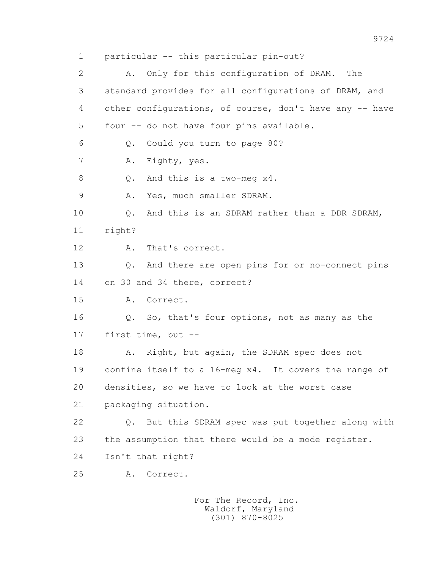1 particular -- this particular pin-out? 2 A. Only for this configuration of DRAM. The 3 standard provides for all configurations of DRAM, and 4 other configurations, of course, don't have any -- have 5 four -- do not have four pins available. 6 Q. Could you turn to page 80? 7 A. Eighty, yes. 8 Q. And this is a two-meg x4. 9 A. Yes, much smaller SDRAM. 10 Q. And this is an SDRAM rather than a DDR SDRAM, 11 right? 12 A. That's correct. 13 Q. And there are open pins for or no-connect pins 14 on 30 and 34 there, correct? 15 A. Correct. 16 Q. So, that's four options, not as many as the 17 first time, but -- 18 A. Right, but again, the SDRAM spec does not 19 confine itself to a 16-meg x4. It covers the range of 20 densities, so we have to look at the worst case 21 packaging situation. 22 Q. But this SDRAM spec was put together along with 23 the assumption that there would be a mode register. 24 Isn't that right? 25 A. Correct.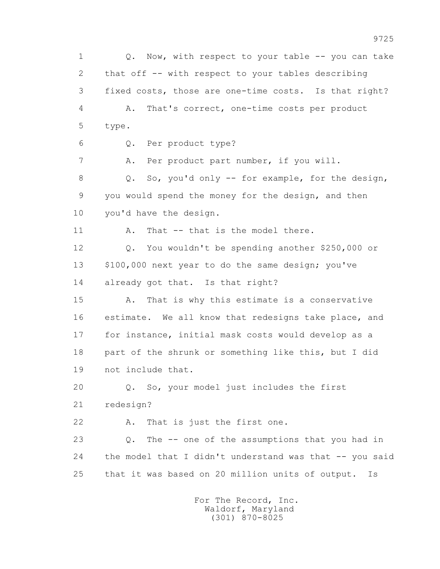1 Q. Now, with respect to your table -- you can take 2 that off -- with respect to your tables describing 3 fixed costs, those are one-time costs. Is that right? 4 A. That's correct, one-time costs per product 5 type. 6 Q. Per product type? 7 A. Per product part number, if you will. 8 Q. So, you'd only -- for example, for the design, 9 you would spend the money for the design, and then 10 you'd have the design. 11 A. That -- that is the model there. 12 Q. You wouldn't be spending another \$250,000 or 13 \$100,000 next year to do the same design; you've 14 already got that. Is that right? 15 A. That is why this estimate is a conservative 16 estimate. We all know that redesigns take place, and 17 for instance, initial mask costs would develop as a 18 part of the shrunk or something like this, but I did 19 not include that. 20 Q. So, your model just includes the first 21 redesign? 22 A. That is just the first one. 23 Q. The -- one of the assumptions that you had in 24 the model that I didn't understand was that -- you said 25 that it was based on 20 million units of output. Is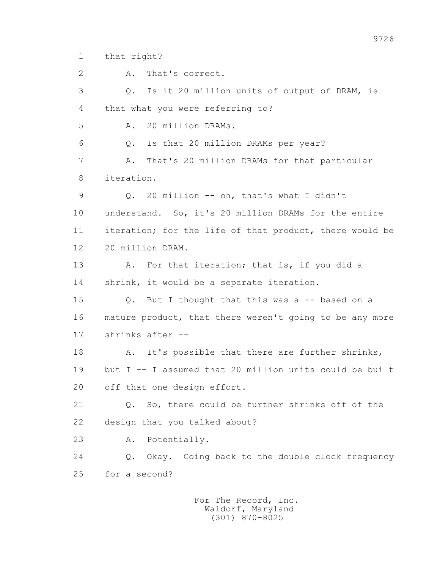1 that right?

 2 A. That's correct. 3 Q. Is it 20 million units of output of DRAM, is 4 that what you were referring to? 5 A. 20 million DRAMs. 6 Q. Is that 20 million DRAMs per year? 7 A. That's 20 million DRAMs for that particular 8 iteration. 9 Q. 20 million -- oh, that's what I didn't 10 understand. So, it's 20 million DRAMs for the entire 11 iteration; for the life of that product, there would be 12 20 million DRAM. 13 A. For that iteration; that is, if you did a 14 shrink, it would be a separate iteration. 15 Q. But I thought that this was a -- based on a 16 mature product, that there weren't going to be any more 17 shrinks after -- 18 A. It's possible that there are further shrinks, 19 but I -- I assumed that 20 million units could be built 20 off that one design effort. 21 Q. So, there could be further shrinks off of the 22 design that you talked about? 23 A. Potentially. 24 Q. Okay. Going back to the double clock frequency 25 for a second?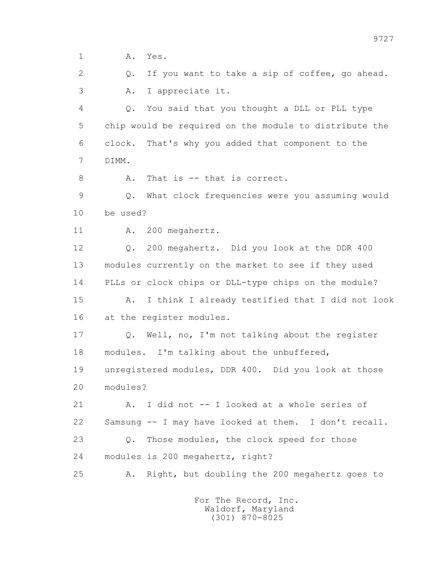1 **A.** Yes.

 2 Q. If you want to take a sip of coffee, go ahead. 3 A. I appreciate it.

 4 Q. You said that you thought a DLL or PLL type 5 chip would be required on the module to distribute the 6 clock. That's why you added that component to the 7 DIMM.

8 A. That is -- that is correct.

 9 Q. What clock frequencies were you assuming would 10 be used?

11 A. 200 megahertz.

 12 Q. 200 megahertz. Did you look at the DDR 400 13 modules currently on the market to see if they used 14 PLLs or clock chips or DLL-type chips on the module?

 15 A. I think I already testified that I did not look 16 at the register modules.

 17 Q. Well, no, I'm not talking about the register 18 modules. I'm talking about the unbuffered,

 19 unregistered modules, DDR 400. Did you look at those 20 modules?

 21 A. I did not -- I looked at a whole series of 22 Samsung -- I may have looked at them. I don't recall. 23 Q. Those modules, the clock speed for those 24 modules is 200 megahertz, right?

25 A. Right, but doubling the 200 megahertz goes to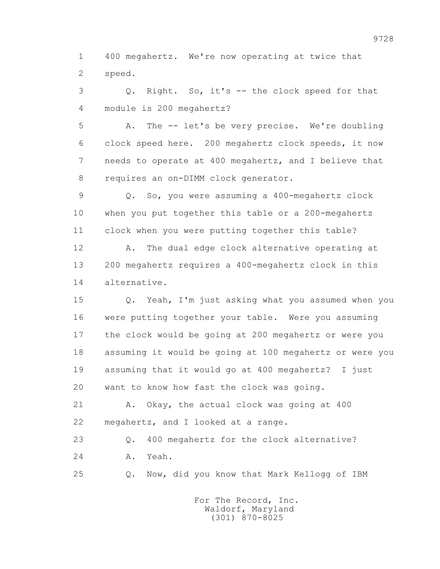1 400 megahertz. We're now operating at twice that 2 speed.

 3 Q. Right. So, it's -- the clock speed for that 4 module is 200 megahertz?

 5 A. The -- let's be very precise. We're doubling 6 clock speed here. 200 megahertz clock speeds, it now 7 needs to operate at 400 megahertz, and I believe that 8 requires an on-DIMM clock generator.

 9 Q. So, you were assuming a 400-megahertz clock 10 when you put together this table or a 200-megahertz 11 clock when you were putting together this table?

 12 A. The dual edge clock alternative operating at 13 200 megahertz requires a 400-megahertz clock in this 14 alternative.

 15 Q. Yeah, I'm just asking what you assumed when you 16 were putting together your table. Were you assuming 17 the clock would be going at 200 megahertz or were you 18 assuming it would be going at 100 megahertz or were you 19 assuming that it would go at 400 megahertz? I just 20 want to know how fast the clock was going.

 21 A. Okay, the actual clock was going at 400 22 megahertz, and I looked at a range.

 23 Q. 400 megahertz for the clock alternative? 24 A. Yeah.

25 Q. Now, did you know that Mark Kellogg of IBM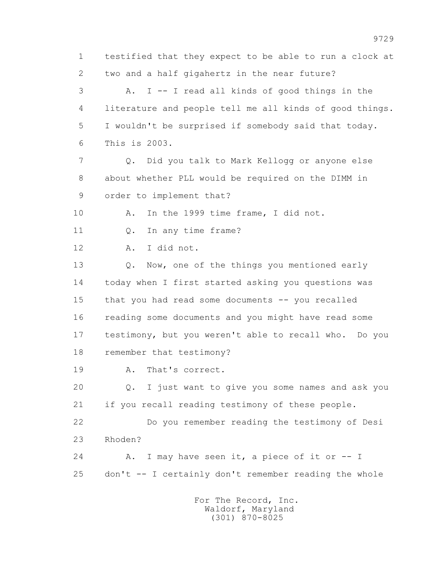1 testified that they expect to be able to run a clock at 2 two and a half gigahertz in the near future? 3 A. I -- I read all kinds of good things in the 4 literature and people tell me all kinds of good things. 5 I wouldn't be surprised if somebody said that today. 6 This is 2003. 7 Q. Did you talk to Mark Kellogg or anyone else 8 about whether PLL would be required on the DIMM in 9 order to implement that? 10 A. In the 1999 time frame, I did not. 11 Q. In any time frame? 12 A. I did not. 13 0. Now, one of the things you mentioned early 14 today when I first started asking you questions was 15 that you had read some documents -- you recalled 16 reading some documents and you might have read some 17 testimony, but you weren't able to recall who. Do you 18 remember that testimony? 19 A. That's correct. 20 Q. I just want to give you some names and ask you 21 if you recall reading testimony of these people. 22 Do you remember reading the testimony of Desi 23 Rhoden? 24 A. I may have seen it, a piece of it or -- I 25 don't -- I certainly don't remember reading the whole For The Record, Inc.

 Waldorf, Maryland (301) 870-8025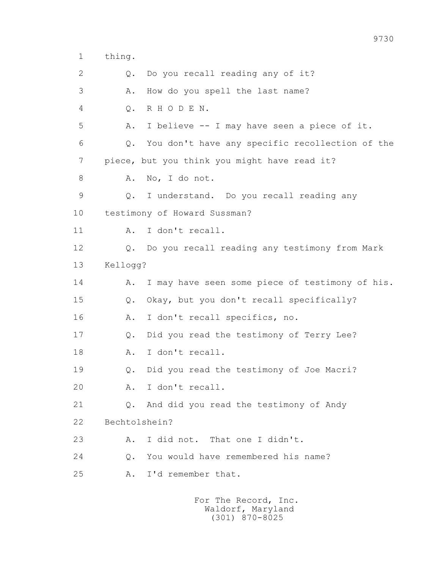1 thing.

2 0. Do you recall reading any of it? 3 A. How do you spell the last name? 4 Q. R H O D E N. 5 A. I believe -- I may have seen a piece of it. 6 Q. You don't have any specific recollection of the 7 piece, but you think you might have read it? 8 A. No, I do not. 9 Q. I understand. Do you recall reading any 10 testimony of Howard Sussman? 11 A. I don't recall. 12 Q. Do you recall reading any testimony from Mark 13 Kellogg? 14 A. I may have seen some piece of testimony of his. 15 Q. Okay, but you don't recall specifically? 16 A. I don't recall specifics, no. 17 Q. Did you read the testimony of Terry Lee? 18 A. I don't recall. 19 Q. Did you read the testimony of Joe Macri? 20 A. I don't recall. 21 Q. And did you read the testimony of Andy 22 Bechtolshein? 23 A. I did not. That one I didn't. 24 Q. You would have remembered his name? 25 A. I'd remember that.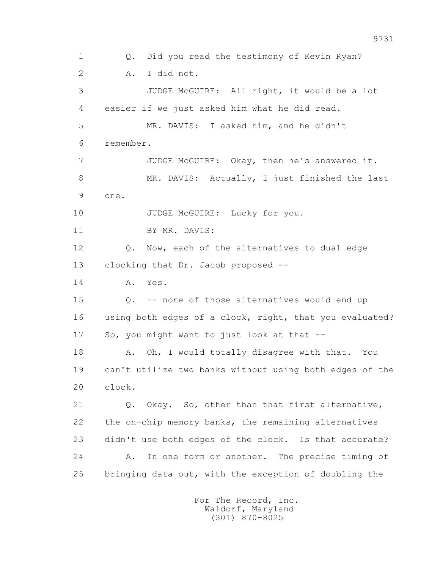1 Q. Did you read the testimony of Kevin Ryan? 2 A. I did not. 3 JUDGE McGUIRE: All right, it would be a lot 4 easier if we just asked him what he did read. 5 MR. DAVIS: I asked him, and he didn't 6 remember. 7 JUDGE McGUIRE: Okay, then he's answered it. 8 MR. DAVIS: Actually, I just finished the last 9 one. 10 JUDGE McGUIRE: Lucky for you. 11 BY MR. DAVIS: 12 **Q.** Now, each of the alternatives to dual edge 13 clocking that Dr. Jacob proposed -- 14 A. Yes. 15 Q. -- none of those alternatives would end up 16 using both edges of a clock, right, that you evaluated? 17 So, you might want to just look at that -- 18 A. Oh, I would totally disagree with that. You 19 can't utilize two banks without using both edges of the 20 clock. 21 Q. Okay. So, other than that first alternative, 22 the on-chip memory banks, the remaining alternatives 23 didn't use both edges of the clock. Is that accurate? 24 A. In one form or another. The precise timing of 25 bringing data out, with the exception of doubling the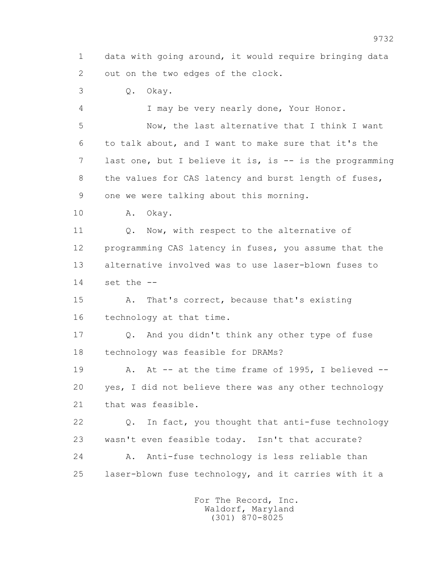1 data with going around, it would require bringing data 2 out on the two edges of the clock.

3 Q. Okay.

4 I may be very nearly done, Your Honor.

 5 Now, the last alternative that I think I want 6 to talk about, and I want to make sure that it's the 7 last one, but I believe it is, is -- is the programming 8 the values for CAS latency and burst length of fuses, 9 one we were talking about this morning.

10 A. Okay.

11 0. Now, with respect to the alternative of 12 programming CAS latency in fuses, you assume that the 13 alternative involved was to use laser-blown fuses to 14 set the --

 15 A. That's correct, because that's existing 16 technology at that time.

 17 Q. And you didn't think any other type of fuse 18 technology was feasible for DRAMs?

 19 A. At -- at the time frame of 1995, I believed -- 20 yes, I did not believe there was any other technology 21 that was feasible.

 22 Q. In fact, you thought that anti-fuse technology 23 wasn't even feasible today. Isn't that accurate? 24 A. Anti-fuse technology is less reliable than 25 laser-blown fuse technology, and it carries with it a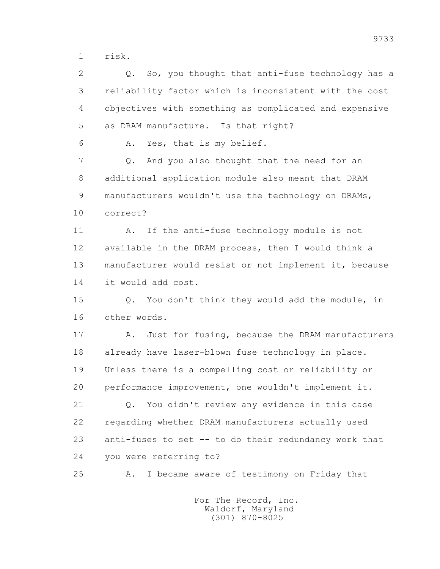1 risk.

 2 Q. So, you thought that anti-fuse technology has a 3 reliability factor which is inconsistent with the cost 4 objectives with something as complicated and expensive 5 as DRAM manufacture. Is that right?

6 A. Yes, that is my belief.

 7 Q. And you also thought that the need for an 8 additional application module also meant that DRAM 9 manufacturers wouldn't use the technology on DRAMs, 10 correct?

 11 A. If the anti-fuse technology module is not 12 available in the DRAM process, then I would think a 13 manufacturer would resist or not implement it, because 14 it would add cost.

 15 Q. You don't think they would add the module, in 16 other words.

 17 A. Just for fusing, because the DRAM manufacturers 18 already have laser-blown fuse technology in place. 19 Unless there is a compelling cost or reliability or 20 performance improvement, one wouldn't implement it.

 21 Q. You didn't review any evidence in this case 22 regarding whether DRAM manufacturers actually used 23 anti-fuses to set -- to do their redundancy work that 24 you were referring to?

25 A. I became aware of testimony on Friday that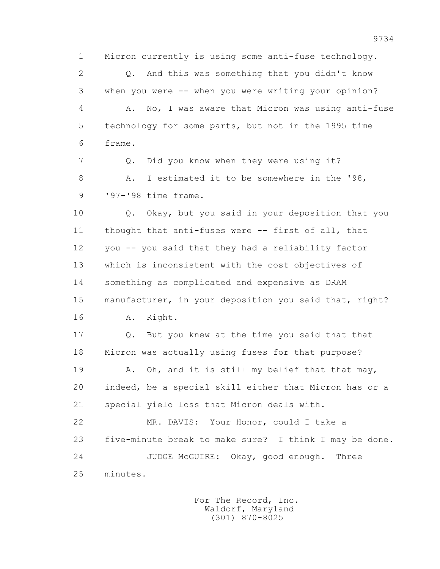1 Micron currently is using some anti-fuse technology. 2 Q. And this was something that you didn't know 3 when you were -- when you were writing your opinion? 4 A. No, I was aware that Micron was using anti-fuse 5 technology for some parts, but not in the 1995 time 6 frame.

 7 Q. Did you know when they were using it? 8 A. I estimated it to be somewhere in the '98, 9 '97-'98 time frame.

 10 Q. Okay, but you said in your deposition that you 11 thought that anti-fuses were -- first of all, that 12 you -- you said that they had a reliability factor 13 which is inconsistent with the cost objectives of 14 something as complicated and expensive as DRAM 15 manufacturer, in your deposition you said that, right? 16 A. Right.

 17 Q. But you knew at the time you said that that 18 Micron was actually using fuses for that purpose?

19 A. Oh, and it is still my belief that that may, 20 indeed, be a special skill either that Micron has or a 21 special yield loss that Micron deals with.

 22 MR. DAVIS: Your Honor, could I take a 23 five-minute break to make sure? I think I may be done. 24 JUDGE McGUIRE: Okay, good enough. Three 25 minutes.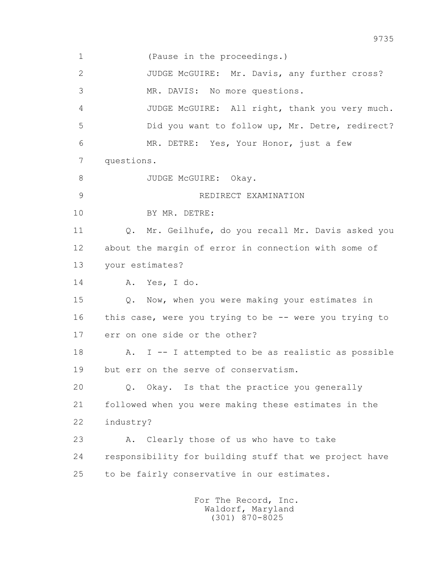1 (Pause in the proceedings.) 2 JUDGE McGUIRE: Mr. Davis, any further cross? 3 MR. DAVIS: No more questions. 4 JUDGE McGUIRE: All right, thank you very much. 5 Did you want to follow up, Mr. Detre, redirect? 6 MR. DETRE: Yes, Your Honor, just a few 7 questions. 8 JUDGE McGUIRE: Okay. 9 REDIRECT EXAMINATION 10 BY MR. DETRE: 11 Q. Mr. Geilhufe, do you recall Mr. Davis asked you 12 about the margin of error in connection with some of 13 your estimates? 14 A. Yes, I do. 15 Q. Now, when you were making your estimates in 16 this case, were you trying to be -- were you trying to 17 err on one side or the other? 18 A. I -- I attempted to be as realistic as possible 19 but err on the serve of conservatism. 20 Q. Okay. Is that the practice you generally 21 followed when you were making these estimates in the 22 industry? 23 A. Clearly those of us who have to take 24 responsibility for building stuff that we project have 25 to be fairly conservative in our estimates.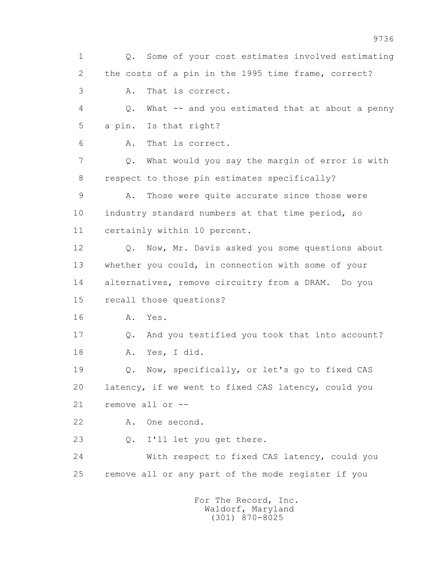1 Q. Some of your cost estimates involved estimating 2 the costs of a pin in the 1995 time frame, correct? 3 A. That is correct. 4 Q. What -- and you estimated that at about a penny 5 a pin. Is that right? 6 A. That is correct. 7 Q. What would you say the margin of error is with 8 respect to those pin estimates specifically? 9 A. Those were quite accurate since those were 10 industry standard numbers at that time period, so 11 certainly within 10 percent. 12 Q. Now, Mr. Davis asked you some questions about 13 whether you could, in connection with some of your 14 alternatives, remove circuitry from a DRAM. Do you 15 recall those questions? 16 A. Yes. 17 Q. And you testified you took that into account? 18 A. Yes, I did. 19 Q. Now, specifically, or let's go to fixed CAS 20 latency, if we went to fixed CAS latency, could you 21 remove all or -- 22 A. One second. 23 Q. I'll let you get there. 24 With respect to fixed CAS latency, could you 25 remove all or any part of the mode register if you For The Record, Inc. Waldorf, Maryland

(301) 870-8025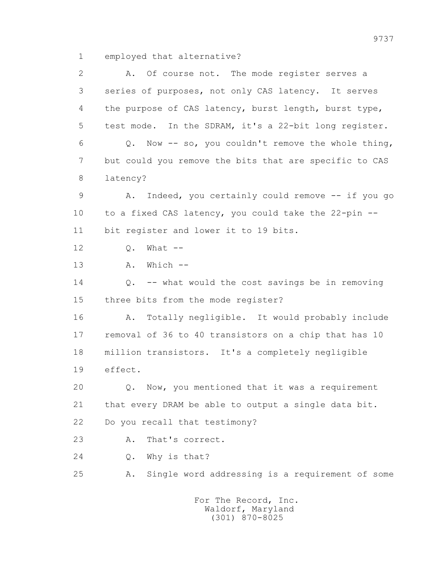1 employed that alternative?

 2 A. Of course not. The mode register serves a 3 series of purposes, not only CAS latency. It serves 4 the purpose of CAS latency, burst length, burst type, 5 test mode. In the SDRAM, it's a 22-bit long register. 6 Q. Now -- so, you couldn't remove the whole thing, 7 but could you remove the bits that are specific to CAS 8 latency? 9 A. Indeed, you certainly could remove -- if you go 10 to a fixed CAS latency, you could take the 22-pin -- 11 bit register and lower it to 19 bits. 12 0. What -- 13 A. Which -- 14 Q. -- what would the cost savings be in removing 15 three bits from the mode register? 16 A. Totally negligible. It would probably include 17 removal of 36 to 40 transistors on a chip that has 10 18 million transistors. It's a completely negligible 19 effect. 20 Q. Now, you mentioned that it was a requirement 21 that every DRAM be able to output a single data bit. 22 Do you recall that testimony? 23 A. That's correct. 24 Q. Why is that? 25 A. Single word addressing is a requirement of some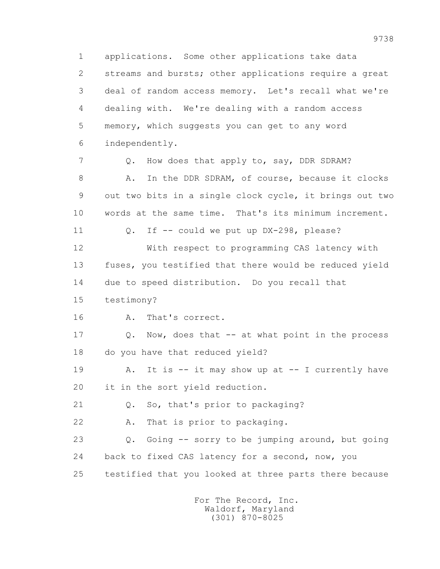1 applications. Some other applications take data 2 streams and bursts; other applications require a great 3 deal of random access memory. Let's recall what we're 4 dealing with. We're dealing with a random access 5 memory, which suggests you can get to any word 6 independently. 7 Q. How does that apply to, say, DDR SDRAM? 8 A. In the DDR SDRAM, of course, because it clocks 9 out two bits in a single clock cycle, it brings out two 10 words at the same time. That's its minimum increment. 11 0. If -- could we put up DX-298, please? 12 With respect to programming CAS latency with 13 fuses, you testified that there would be reduced yield 14 due to speed distribution. Do you recall that 15 testimony? 16 A. That's correct. 17 Q. Now, does that -- at what point in the process 18 do you have that reduced yield? 19 A. It is -- it may show up at -- I currently have 20 it in the sort yield reduction. 21 Q. So, that's prior to packaging? 22 A. That is prior to packaging. 23 Q. Going -- sorry to be jumping around, but going 24 back to fixed CAS latency for a second, now, you 25 testified that you looked at three parts there because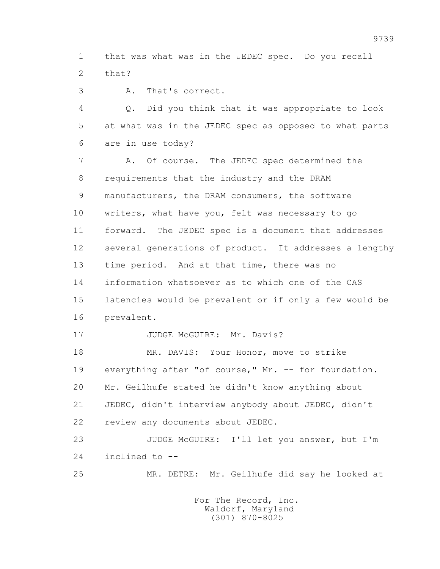1 that was what was in the JEDEC spec. Do you recall 2 that?

3 A. That's correct.

 4 Q. Did you think that it was appropriate to look 5 at what was in the JEDEC spec as opposed to what parts 6 are in use today?

 7 A. Of course. The JEDEC spec determined the 8 requirements that the industry and the DRAM 9 manufacturers, the DRAM consumers, the software 10 writers, what have you, felt was necessary to go 11 forward. The JEDEC spec is a document that addresses 12 several generations of product. It addresses a lengthy 13 time period. And at that time, there was no 14 information whatsoever as to which one of the CAS 15 latencies would be prevalent or if only a few would be 16 prevalent.

17 JUDGE McGUIRE: Mr. Davis?

 18 MR. DAVIS: Your Honor, move to strike 19 everything after "of course," Mr. -- for foundation. 20 Mr. Geilhufe stated he didn't know anything about 21 JEDEC, didn't interview anybody about JEDEC, didn't 22 review any documents about JEDEC.

 23 JUDGE McGUIRE: I'll let you answer, but I'm 24 inclined to --

25 MR. DETRE: Mr. Geilhufe did say he looked at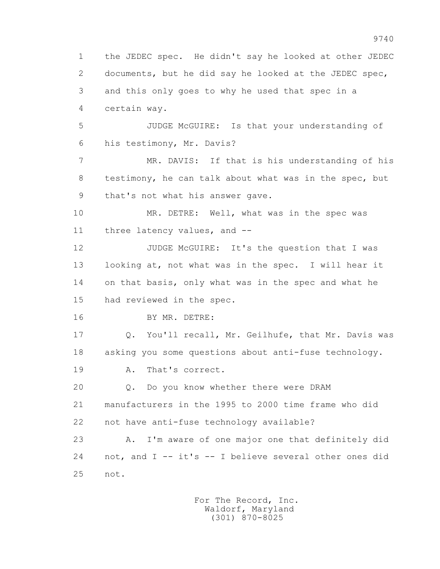1 the JEDEC spec. He didn't say he looked at other JEDEC 2 documents, but he did say he looked at the JEDEC spec, 3 and this only goes to why he used that spec in a 4 certain way. 5 JUDGE McGUIRE: Is that your understanding of 6 his testimony, Mr. Davis? 7 MR. DAVIS: If that is his understanding of his 8 testimony, he can talk about what was in the spec, but 9 that's not what his answer gave. 10 MR. DETRE: Well, what was in the spec was 11 three latency values, and -- 12 JUDGE McGUIRE: It's the question that I was 13 looking at, not what was in the spec. I will hear it 14 on that basis, only what was in the spec and what he 15 had reviewed in the spec. 16 BY MR. DETRE: 17 Q. You'll recall, Mr. Geilhufe, that Mr. Davis was 18 asking you some questions about anti-fuse technology. 19 A. That's correct. 20 Q. Do you know whether there were DRAM 21 manufacturers in the 1995 to 2000 time frame who did 22 not have anti-fuse technology available? 23 A. I'm aware of one major one that definitely did 24 not, and I -- it's -- I believe several other ones did 25 not.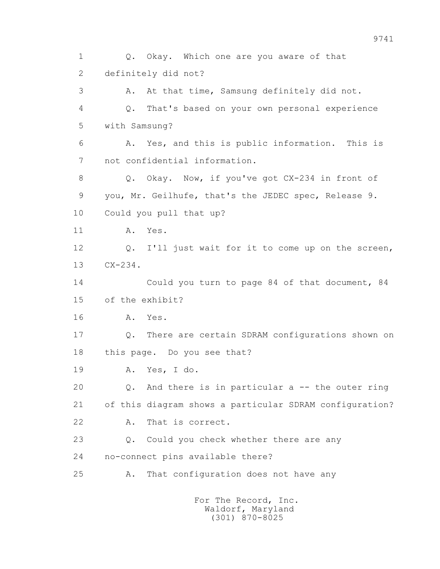1 Q. Okay. Which one are you aware of that 2 definitely did not? 3 A. At that time, Samsung definitely did not. 4 Q. That's based on your own personal experience 5 with Samsung? 6 A. Yes, and this is public information. This is 7 not confidential information. 8 Q. Okay. Now, if you've got CX-234 in front of 9 you, Mr. Geilhufe, that's the JEDEC spec, Release 9. 10 Could you pull that up? 11 A. Yes. 12 Q. I'll just wait for it to come up on the screen, 13 CX-234. 14 Could you turn to page 84 of that document, 84 15 of the exhibit? 16 A. Yes. 17 Q. There are certain SDRAM configurations shown on 18 this page. Do you see that? 19 A. Yes, I do. 20 Q. And there is in particular a -- the outer ring 21 of this diagram shows a particular SDRAM configuration? 22 A. That is correct. 23 Q. Could you check whether there are any 24 no-connect pins available there? 25 A. That configuration does not have any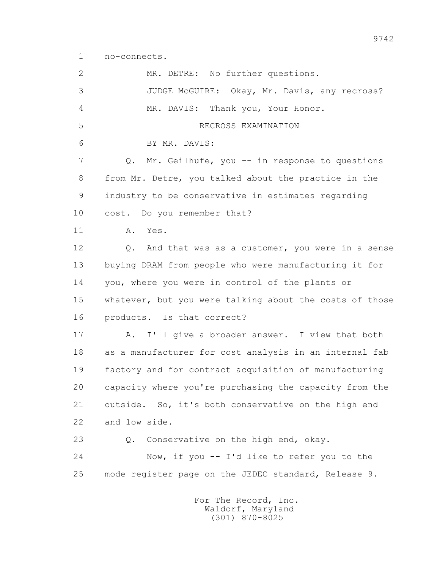1 no-connects.

 2 MR. DETRE: No further questions. 3 JUDGE McGUIRE: Okay, Mr. Davis, any recross? 4 MR. DAVIS: Thank you, Your Honor. 5 RECROSS EXAMINATION 6 BY MR. DAVIS: 7 Q. Mr. Geilhufe, you -- in response to questions 8 from Mr. Detre, you talked about the practice in the 9 industry to be conservative in estimates regarding 10 cost. Do you remember that? 11 A. Yes. 12 Q. And that was as a customer, you were in a sense 13 buying DRAM from people who were manufacturing it for 14 you, where you were in control of the plants or 15 whatever, but you were talking about the costs of those 16 products. Is that correct? 17 A. I'll give a broader answer. I view that both 18 as a manufacturer for cost analysis in an internal fab 19 factory and for contract acquisition of manufacturing 20 capacity where you're purchasing the capacity from the 21 outside. So, it's both conservative on the high end 22 and low side. 23 Q. Conservative on the high end, okay. 24 Now, if you -- I'd like to refer you to the 25 mode register page on the JEDEC standard, Release 9.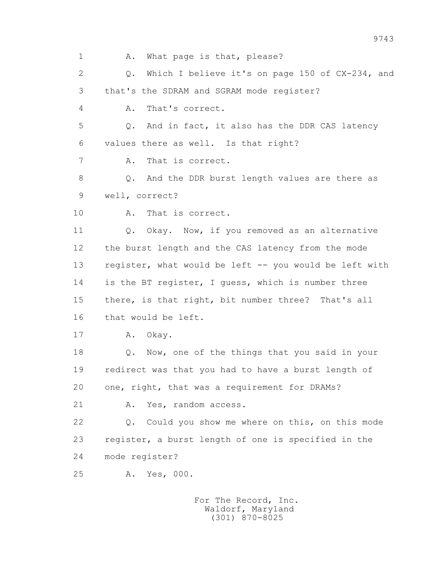1 A. What page is that, please? 2 Q. Which I believe it's on page 150 of CX-234, and 3 that's the SDRAM and SGRAM mode register? 4 A. That's correct. 5 Q. And in fact, it also has the DDR CAS latency 6 values there as well. Is that right? 7 A. That is correct. 8 Q. And the DDR burst length values are there as 9 well, correct? 10 A. That is correct. 11 Q. Okay. Now, if you removed as an alternative 12 the burst length and the CAS latency from the mode 13 register, what would be left -- you would be left with 14 is the BT register, I guess, which is number three 15 there, is that right, bit number three? That's all 16 that would be left. 17 A. Okay. 18 Q. Now, one of the things that you said in your 19 redirect was that you had to have a burst length of 20 one, right, that was a requirement for DRAMs? 21 A. Yes, random access. 22 Q. Could you show me where on this, on this mode 23 register, a burst length of one is specified in the 24 mode register? 25 A. Yes, 000.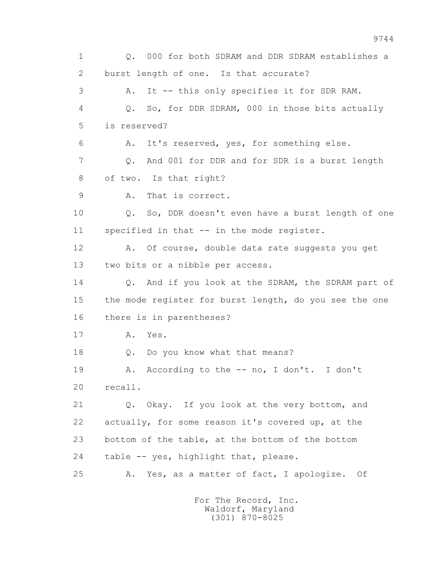1 Q. 000 for both SDRAM and DDR SDRAM establishes a 2 burst length of one. Is that accurate? 3 A. It -- this only specifies it for SDR RAM. 4 Q. So, for DDR SDRAM, 000 in those bits actually 5 is reserved? 6 A. It's reserved, yes, for something else. 7 Q. And 001 for DDR and for SDR is a burst length 8 of two. Is that right? 9 A. That is correct. 10 Q. So, DDR doesn't even have a burst length of one 11 specified in that -- in the mode register. 12 A. Of course, double data rate suggests you get 13 two bits or a nibble per access. 14 0. And if you look at the SDRAM, the SDRAM part of 15 the mode register for burst length, do you see the one 16 there is in parentheses? 17 A. Yes. 18 Q. Do you know what that means? 19 A. According to the -- no, I don't. I don't 20 recall. 21 Q. Okay. If you look at the very bottom, and 22 actually, for some reason it's covered up, at the 23 bottom of the table, at the bottom of the bottom 24 table -- yes, highlight that, please. 25 A. Yes, as a matter of fact, I apologize. Of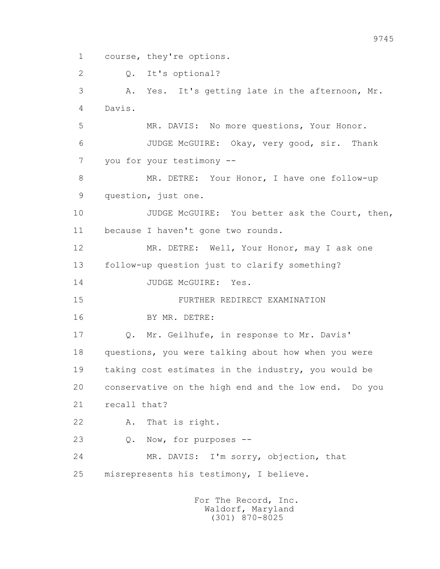1 course, they're options.

2 Q. It's optional?

 3 A. Yes. It's getting late in the afternoon, Mr. 4 Davis. 5 MR. DAVIS: No more questions, Your Honor. 6 JUDGE McGUIRE: Okay, very good, sir. Thank 7 you for your testimony -- 8 MR. DETRE: Your Honor, I have one follow-up 9 question, just one. 10 JUDGE McGUIRE: You better ask the Court, then, 11 because I haven't gone two rounds. 12 MR. DETRE: Well, Your Honor, may I ask one 13 follow-up question just to clarify something? 14 JUDGE McGUIRE: Yes. 15 FURTHER REDIRECT EXAMINATION 16 BY MR. DETRE: 17 Q. Mr. Geilhufe, in response to Mr. Davis' 18 questions, you were talking about how when you were 19 taking cost estimates in the industry, you would be 20 conservative on the high end and the low end. Do you 21 recall that? 22 A. That is right. 23 Q. Now, for purposes -- 24 MR. DAVIS: I'm sorry, objection, that 25 misrepresents his testimony, I believe.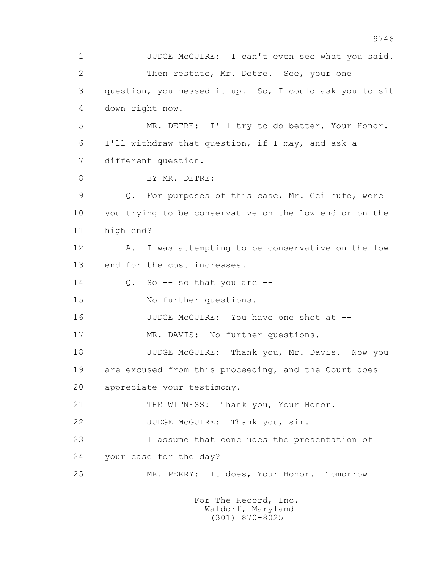1 JUDGE McGUIRE: I can't even see what you said. 2 Then restate, Mr. Detre. See, your one 3 question, you messed it up. So, I could ask you to sit 4 down right now. 5 MR. DETRE: I'll try to do better, Your Honor. 6 I'll withdraw that question, if I may, and ask a 7 different question. 8 BY MR. DETRE: 9 Q. For purposes of this case, Mr. Geilhufe, were 10 you trying to be conservative on the low end or on the 11 high end? 12 A. I was attempting to be conservative on the low 13 end for the cost increases.  $14$  O. So  $-$  so that you are  $-$  15 No further questions. 16 JUDGE McGUIRE: You have one shot at -- 17 MR. DAVIS: No further questions. 18 JUDGE McGUIRE: Thank you, Mr. Davis. Now you 19 are excused from this proceeding, and the Court does 20 appreciate your testimony. 21 THE WITNESS: Thank you, Your Honor. 22 JUDGE McGUIRE: Thank you, sir. 23 I assume that concludes the presentation of 24 your case for the day? 25 MR. PERRY: It does, Your Honor. Tomorrow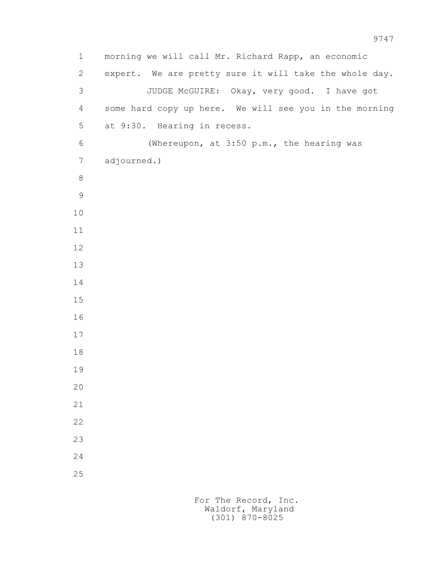1 morning we will call Mr. Richard Rapp, an economic 2 expert. We are pretty sure it will take the whole day. 3 JUDGE McGUIRE: Okay, very good. I have got 4 some hard copy up here. We will see you in the morning 5 at 9:30. Hearing in recess. 6 (Whereupon, at 3:50 p.m., the hearing was 7 adjourned.)